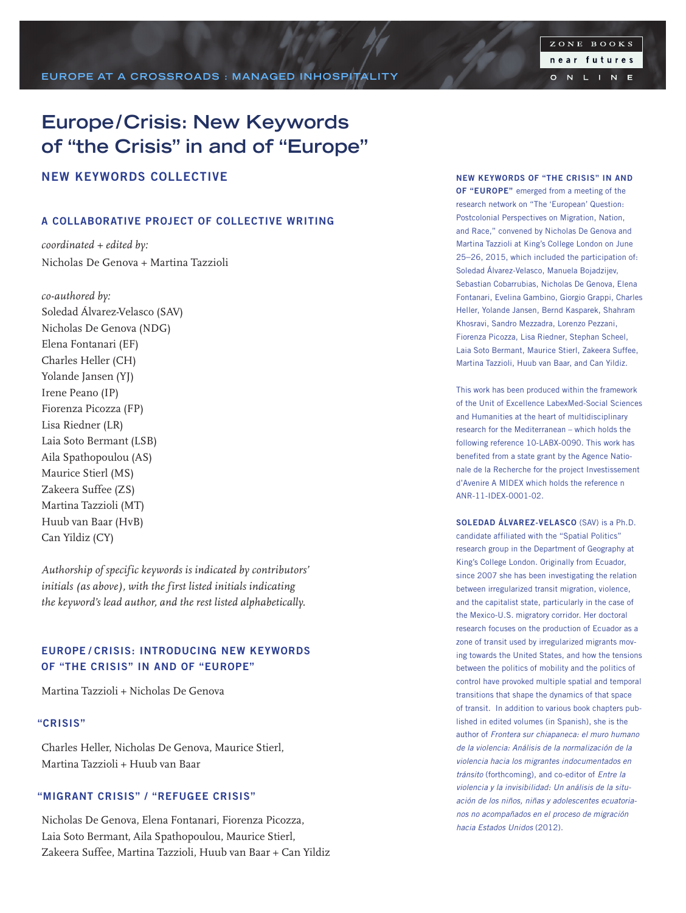# **Europe/Crisis: New Keywords of "the Crisis" in and of "Europe"**

# NEW KEYWORDS COLLECTIVE

### A COLLABORATIVE PROJECT OF COLLECTIVE WRITING

*coordinated + edited by:* Nicholas De Genova + Martina Tazzioli

*co-authored by:* Soledad Álvarez-Velasco (SAV) Nicholas De Genova (NDG) Elena Fontanari (EF) Charles Heller (CH) Yolande Jansen (YJ) Irene Peano (IP) Fiorenza Picozza (FP) Lisa Riedner (LR) Laia Soto Bermant (LSB) Aila Spathopoulou (AS) Maurice Stierl (MS) Zakeera Suffee (ZS) Martina Tazzioli (MT) Huub van Baar (HvB) Can Yildiz (CY)

*Authorship of specific keywords is indicated by contributors' initials (as above), with the first listed initials indicating the keyword's lead author, and the rest listed alphabetically.* 

# EUROPE / CRISIS: INTRODUCING NEW KEYWORDS OF "THE CRISIS" IN AND OF "EUROPE"

Martina Tazzioli + Nicholas De Genova

## "CRISIS"

Charles Heller, Nicholas De Genova, Maurice Stierl, Martina Tazzioli + Huub van Baar

## "MIGRANT CRISIS" / "REFUGEE CRISIS"

Nicholas De Genova, Elena Fontanari, Fiorenza Picozza, Laia Soto Bermant, Aila Spathopoulou, Maurice Stierl, Zakeera Suffee, Martina Tazzioli, Huub van Baar + Can Yildiz NEW KEYWORDS OF "THE CRISIS" IN AND OF "EUROPE" emerged from a meeting of the research network on "The 'European' Question: Postcolonial Perspectives on Migration, Nation, and Race," convened by Nicholas De Genova and Martina Tazzioli at King's College London on June 25–26, 2015, which included the participation of: Soledad Álvarez-Velasco, Manuela Bojadzijev, Sebastian Cobarrubias, Nicholas De Genova, Elena Fontanari, Evelina Gambino, Giorgio Grappi, Charles Heller, Yolande Jansen, Bernd Kasparek, Shahram Khosravi, Sandro Mezzadra, Lorenzo Pezzani, Fiorenza Picozza, Lisa Riedner, Stephan Scheel, Laia Soto Bermant, Maurice Stierl, Zakeera Suffee, Martina Tazzioli, Huub van Baar, and Can Yildiz.

This work has been produced within the framework of the Unit of Excellence LabexMed-Social Sciences and Humanities at the heart of multidisciplinary research for the Mediterranean – which holds the following reference 10-LABX-0090. This work has benefited from a state grant by the Agence Nationale de la Recherche for the project Investissement d'Avenire A MIDEX which holds the reference n ANR-11-IDEX-0001-02.

SOLEDAD ÁLVAREZ-VELASCO (SAV) is a Ph.D. candidate affiliated with the "Spatial Politics" research group in the Department of Geography at King's College London. Originally from Ecuador, since 2007 she has been investigating the relation between irregularized transit migration, violence, and the capitalist state, particularly in the case of the Mexico-U.S. migratory corridor. Her doctoral research focuses on the production of Ecuador as a zone of transit used by irregularized migrants moving towards the United States, and how the tensions between the politics of mobility and the politics of control have provoked multiple spatial and temporal transitions that shape the dynamics of that space of transit. In addition to various book chapters published in edited volumes (in Spanish), she is the author of *Frontera sur chiapaneca: el muro humano de la violencia: Análisis de la normalización de la violencia hacia los migrantes indocumentados en tránsito* (forthcoming), and co-editor of *Entre la violencia y la invisibilidad: Un análisis de la situación de los niños, niñas y adolescentes ecuatorianos no acompañados en el proceso de migración hacia Estados Unidos* (2012).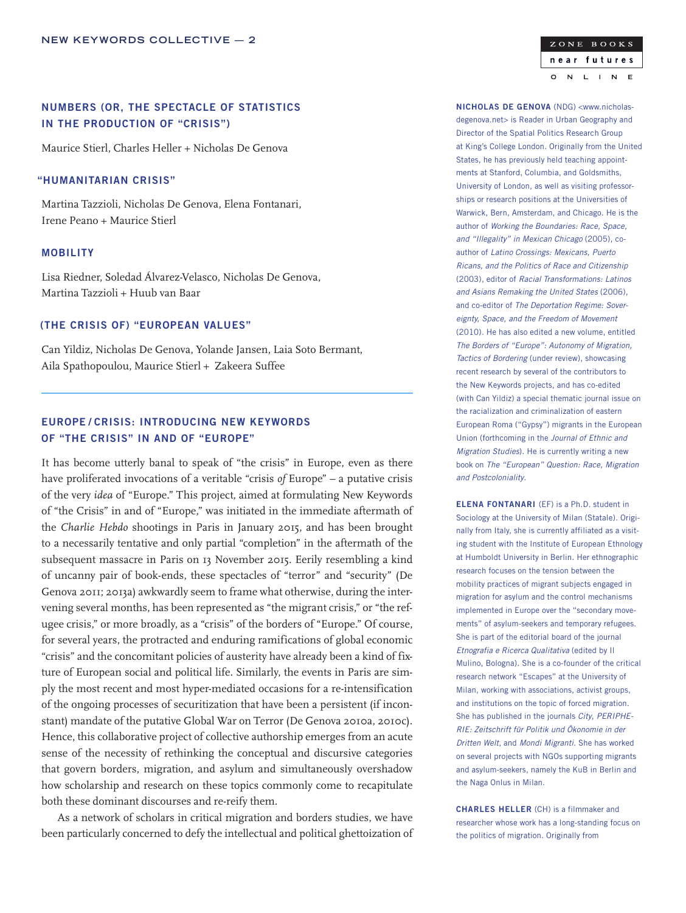# NUMBERS (OR, THE SPECTACLE OF STATISTICS IN THE PRODUCTION OF "CRISIS")

Maurice Stierl, Charles Heller + Nicholas De Genova

### "HUMANITARIAN CRISIS"

Martina Tazzioli, Nicholas De Genova, Elena Fontanari, Irene Peano + Maurice Stierl

### MOBILITY

Lisa Riedner, Soledad Álvarez-Velasco, Nicholas De Genova, Martina Tazzioli + Huub van Baar

### (THE CRISIS OF) "EUROPEAN VALUES"

Can Yildiz, Nicholas De Genova, Yolande Jansen, Laia Soto Bermant, Aila Spathopoulou, Maurice Stierl + Zakeera Suffee

# EUROPE / CRISIS: INTRODUCING NEW KEYWORDS OF "THE CRISIS" IN AND OF "EUROPE"

It has become utterly banal to speak of "the crisis" in Europe, even as there have proliferated invocations of a veritable "crisis *of* Europe" – a putative crisis of the very *idea* of "Europe." This project, aimed at formulating New Keywords of "the Crisis" in and of "Europe," was initiated in the immediate aftermath of the *Charlie Hebdo* shootings in Paris in January 2015, and has been brought to a necessarily tentative and only partial "completion" in the aftermath of the subsequent massacre in Paris on 13 November 2015. Eerily resembling a kind of uncanny pair of book-ends, these spectacles of "terror" and "security" (De Genova 2011; 2013a) awkwardly seem to frame what otherwise, during the intervening several months, has been represented as "the migrant crisis," or "the refugee crisis," or more broadly, as a "crisis" of the borders of "Europe." Of course, for several years, the protracted and enduring ramifications of global economic "crisis" and the concomitant policies of austerity have already been a kind of fixture of European social and political life. Similarly, the events in Paris are simply the most recent and most hyper-mediated occasions for a re-intensification of the ongoing processes of securitization that have been a persistent (if inconstant) mandate of the putative Global War on Terror (De Genova 2010a, 2010c). Hence, this collaborative project of collective authorship emerges from an acute sense of the necessity of rethinking the conceptual and discursive categories that govern borders, migration, and asylum and simultaneously overshadow how scholarship and research on these topics commonly come to recapitulate both these dominant discourses and re-reify them.

As a network of scholars in critical migration and borders studies, we have been particularly concerned to defy the intellectual and political ghettoization of

ZONE BOOKS near futures  $\overline{N}$  $\mathsf{L}$  $\overline{N}$  $\mathbf{E}$  $\circ$  $\blacksquare$ 

NICHOLAS DE GENOVA (NDG) <www.nicholasdegenova.net> is Reader in Urban Geography and Director of the Spatial Politics Research Group at King's College London. Originally from the United States, he has previously held teaching appointments at Stanford, Columbia, and Goldsmiths, University of London, as well as visiting professorships or research positions at the Universities of Warwick, Bern, Amsterdam, and Chicago. He is the author of *Working the Boundaries: Race, Space, and "Illegality" in Mexican Chicago* (2005), coauthor of *Latino Crossings: Mexicans, Puerto Ricans, and the Politics of Race and Citizenship* (2003), editor of *Racial Transformations: Latinos and Asians Remaking the United States* (2006), and co-editor of *The Deportation Regime: Sovereignty, Space, and the Freedom of Movement* (2010). He has also edited a new volume, entitled *The Borders of "Europe": Autonomy of Migration, Tactics of Bordering* (under review), showcasing recent research by several of the contributors to the New Keywords projects, and has co-edited (with Can Yildiz) a special thematic journal issue on the racialization and criminalization of eastern European Roma ("Gypsy") migrants in the European Union (forthcoming in the *Journal of Ethnic and Migration Studies*). He is currently writing a new book on *The "European" Question: Race, Migration and Postcoloniality*.

ELENA FONTANARI (EF) is a Ph.D. student in Sociology at the University of Milan (Statale). Originally from Italy, she is currently affiliated as a visiting student with the Institute of European Ethnology at Humboldt University in Berlin. Her ethnographic research focuses on the tension between the mobility practices of migrant subjects engaged in migration for asylum and the control mechanisms implemented in Europe over the "secondary movements" of asylum-seekers and temporary refugees. She is part of the editorial board of the journal *Etnografia e Ricerca Qualitativa* (edited by Il Mulino, Bologna). She is a co-founder of the critical research network "Escapes" at the University of Milan, working with associations, activist groups, and institutions on the topic of forced migration. She has published in the journals *City*, *PERIPHE-RIE: Zeitschrift für Politik und Ökonomie in der Dritten Welt*, and *Mondi Migranti*. She has worked on several projects with NGOs supporting migrants and asylum-seekers, namely the KuB in Berlin and the Naga Onlus in Milan.

CHARLES HELLER (CH) is a filmmaker and researcher whose work has a long-standing focus on the politics of migration. Originally from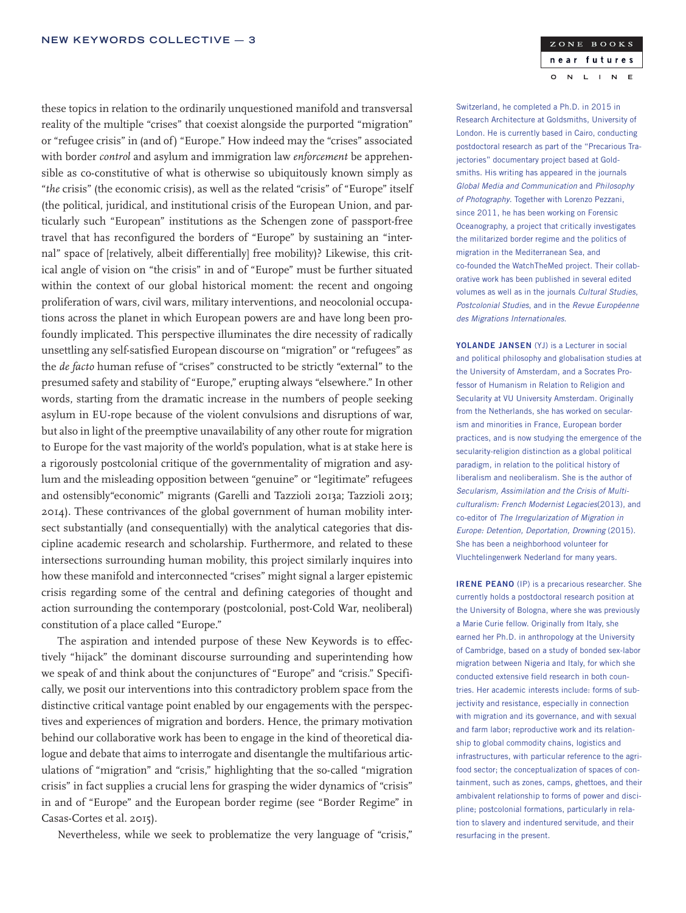these topics in relation to the ordinarily unquestioned manifold and transversal reality of the multiple "crises" that coexist alongside the purported "migration" or "refugee crisis" in (and of) "Europe." How indeed may the "crises" associated with border *control* and asylum and immigration law *enforcement* be apprehensible as co-constitutive of what is otherwise so ubiquitously known simply as "*the* crisis" (the economic crisis), as well as the related "crisis" of "Europe" itself (the political, juridical, and institutional crisis of the European Union, and particularly such "European" institutions as the Schengen zone of passport-free travel that has reconfigured the borders of "Europe" by sustaining an "internal" space of [relatively, albeit differentially] free mobility)? Likewise, this critical angle of vision on "the crisis" in and of "Europe" must be further situated within the context of our global historical moment: the recent and ongoing proliferation of wars, civil wars, military interventions, and neocolonial occupations across the planet in which European powers are and have long been profoundly implicated. This perspective illuminates the dire necessity of radically unsettling any self-satisfied European discourse on "migration" or "refugees" as the *de facto* human refuse of "crises" constructed to be strictly "external" to the presumed safety and stability of "Europe," erupting always "elsewhere." In other words, starting from the dramatic increase in the numbers of people seeking asylum in EU-rope because of the violent convulsions and disruptions of war, but also in light of the preemptive unavailability of any other route for migration to Europe for the vast majority of the world's population, what is at stake here is a rigorously postcolonial critique of the governmentality of migration and asylum and the misleading opposition between "genuine" or "legitimate" refugees and ostensibly"economic" migrants (Garelli and Tazzioli 2013a; Tazzioli 2013; 2014). These contrivances of the global government of human mobility intersect substantially (and consequentially) with the analytical categories that discipline academic research and scholarship. Furthermore, and related to these intersections surrounding human mobility, this project similarly inquires into how these manifold and interconnected "crises" might signal a larger epistemic crisis regarding some of the central and defining categories of thought and action surrounding the contemporary (postcolonial, post-Cold War, neoliberal) constitution of a place called "Europe."

The aspiration and intended purpose of these New Keywords is to effectively "hijack" the dominant discourse surrounding and superintending how we speak of and think about the conjunctures of "Europe" and "crisis." Specifically, we posit our interventions into this contradictory problem space from the distinctive critical vantage point enabled by our engagements with the perspectives and experiences of migration and borders. Hence, the primary motivation behind our collaborative work has been to engage in the kind of theoretical dialogue and debate that aims to interrogate and disentangle the multifarious articulations of "migration" and "crisis," highlighting that the so-called "migration crisis" in fact supplies a crucial lens for grasping the wider dynamics of "crisis" in and of "Europe" and the European border regime (see "Border Regime" in Casas-Cortes et al. 2015).

Nevertheless, while we seek to problematize the very language of "crisis,"

#### ZONE BOOKS near futures  $\overline{N}$  $\mathsf{L}$  $\overline{\mathsf{N}}$  $\mathbf{E}$  $\circ$  $\mathbf{I}$

Switzerland, he completed a Ph.D. in 2015 in Research Architecture at Goldsmiths, University of London. He is currently based in Cairo, conducting postdoctoral research as part of the "Precarious Trajectories" documentary project based at Goldsmiths. His writing has appeared in the journals *Global Media and Communication* and *Philosophy of Photography*. Together with Lorenzo Pezzani, since 2011, he has been working on Forensic Oceanography, a project that critically investigates the militarized border regime and the politics of migration in the Mediterranean Sea, and co-founded the WatchTheMed project. Their collaborative work has been published in several edited volumes as well as in the journals *Cultural Studies*, *Postcolonial Studies*, and in the *Revue Européenne des Migrations Internationales*.

YOLANDE JANSEN (YJ) is a Lecturer in social and political philosophy and globalisation studies at the University of Amsterdam, and a Socrates Professor of Humanism in Relation to Religion and Secularity at VU University Amsterdam. Originally from the Netherlands, she has worked on secularism and minorities in France, European border practices, and is now studying the emergence of the secularity-religion distinction as a global political paradigm, in relation to the political history of liberalism and neoliberalism. She is the author of *Secularism, Assimilation and the Crisis of Multiculturalism: French Modernist Legacies*(2013), and co-editor of *The Irregularization of Migration in Europe: Detention, Deportation, Drowning* (2015). She has been a neighborhood volunteer for Vluchtelingenwerk Nederland for many years.

IRENE PEANO (IP) is a precarious researcher. She currently holds a postdoctoral research position at the University of Bologna, where she was previously a Marie Curie fellow. Originally from Italy, she earned her Ph.D. in anthropology at the University of Cambridge, based on a study of bonded sex-labor migration between Nigeria and Italy, for which she conducted extensive field research in both countries. Her academic interests include: forms of subjectivity and resistance, especially in connection with migration and its governance, and with sexual and farm labor; reproductive work and its relationship to global commodity chains, logistics and infrastructures, with particular reference to the agrifood sector; the conceptualization of spaces of containment, such as zones, camps, ghettoes, and their ambivalent relationship to forms of power and discipline; postcolonial formations, particularly in relation to slavery and indentured servitude, and their resurfacing in the present.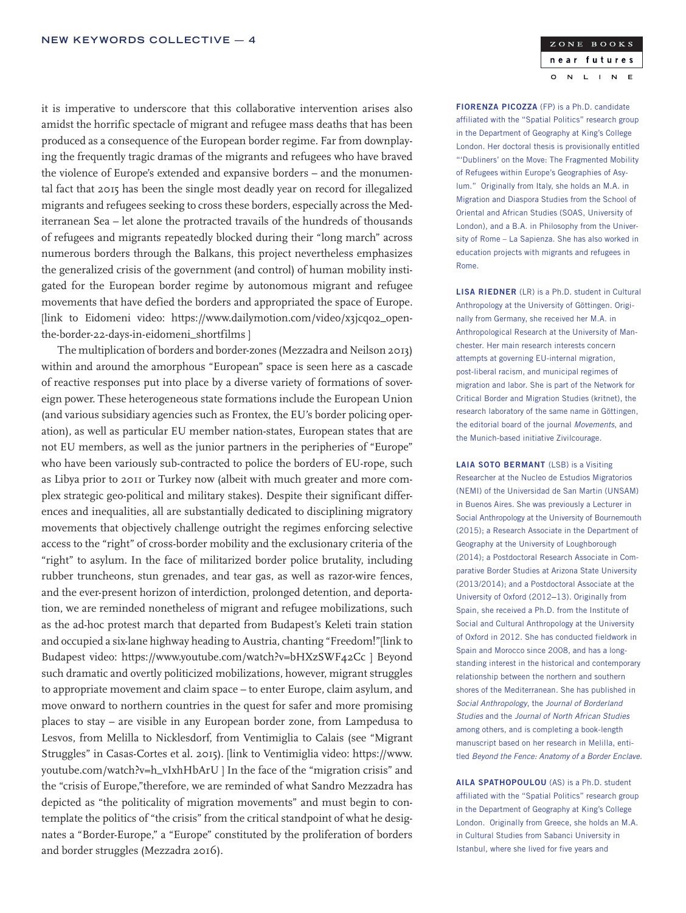it is imperative to underscore that this collaborative intervention arises also amidst the horrific spectacle of migrant and refugee mass deaths that has been produced as a consequence of the European border regime. Far from downplaying the frequently tragic dramas of the migrants and refugees who have braved the violence of Europe's extended and expansive borders – and the monumental fact that 2015 has been the single most deadly year on record for illegalized migrants and refugees seeking to cross these borders, especially across the Mediterranean Sea – let alone the protracted travails of the hundreds of thousands of refugees and migrants repeatedly blocked during their "long march" across numerous borders through the Balkans, this project nevertheless emphasizes the generalized crisis of the government (and control) of human mobility instigated for the European border regime by autonomous migrant and refugee movements that have defied the borders and appropriated the space of Europe. [link to Eidomeni video: https://www.dailymotion.com/video/x3jcqo2\_openthe-border-22-days-in-eidomeni\_shortfilms ]

The multiplication of borders and border-zones (Mezzadra and Neilson 2013) within and around the amorphous "European" space is seen here as a cascade of reactive responses put into place by a diverse variety of formations of sovereign power. These heterogeneous state formations include the European Union (and various subsidiary agencies such as Frontex, the EU's border policing operation), as well as particular EU member nation-states, European states that are not EU members, as well as the junior partners in the peripheries of "Europe" who have been variously sub-contracted to police the borders of EU-rope, such as Libya prior to 2011 or Turkey now (albeit with much greater and more complex strategic geo-political and military stakes). Despite their significant differences and inequalities, all are substantially dedicated to disciplining migratory movements that objectively challenge outright the regimes enforcing selective access to the "right" of cross-border mobility and the exclusionary criteria of the "right" to asylum. In the face of militarized border police brutality, including rubber truncheons, stun grenades, and tear gas, as well as razor-wire fences, and the ever-present horizon of interdiction, prolonged detention, and deportation, we are reminded nonetheless of migrant and refugee mobilizations, such as the ad-hoc protest march that departed from Budapest's Keleti train station and occupied a six-lane highway heading to Austria, chanting "Freedom!"[link to Budapest video: https://www.youtube.com/watch?v=bHXzSWF42Cc ] Beyond such dramatic and overtly politicized mobilizations, however, migrant struggles to appropriate movement and claim space – to enter Europe, claim asylum, and move onward to northern countries in the quest for safer and more promising places to stay – are visible in any European border zone, from Lampedusa to Lesvos, from Melilla to Nicklesdorf, from Ventimiglia to Calais (see "Migrant Struggles" in Casas-Cortes et al. 2015). [link to Ventimiglia video: https://www. youtube.com/watch?v=h\_vIxhHbArU ] In the face of the "migration crisis" and the "crisis of Europe,"therefore, we are reminded of what Sandro Mezzadra has depicted as "the politicality of migration movements" and must begin to contemplate the politics of "the crisis" from the critical standpoint of what he designates a "Border-Europe," a "Europe" constituted by the proliferation of borders and border struggles (Mezzadra 2016).

#### ZONE BOOKS near futures N  $\mathsf{L}$  $\mathbb{N}$  $\mathbf{E}$  $\circ$  $\mathbf{I}$

FIORENZA PICOZZA (FP) is a Ph.D. candidate affiliated with the "Spatial Politics" research group in the Department of Geography at King's College London. Her doctoral thesis is provisionally entitled "'Dubliners' on the Move: The Fragmented Mobility of Refugees within Europe's Geographies of Asylum." Originally from Italy, she holds an M.A. in Migration and Diaspora Studies from the School of Oriental and African Studies (SOAS, University of London), and a B.A. in Philosophy from the University of Rome – La Sapienza. She has also worked in education projects with migrants and refugees in Rome.

LISA RIEDNER (LR) is a Ph.D. student in Cultural Anthropology at the University of Göttingen. Originally from Germany, she received her M.A. in Anthropological Research at the University of Manchester. Her main research interests concern attempts at governing EU-internal migration, post-liberal racism, and municipal regimes of migration and labor. She is part of the Network for Critical Border and Migration Studies (kritnet), the research laboratory of the same name in Göttingen, the editorial board of the journal *Movements*, and the Munich-based initiative Zivilcourage.

LAIA SOTO BERMANT (LSB) is a Visiting Researcher at the Nucleo de Estudios Migratorios (NEMI) of the Universidad de San Martin (UNSAM) in Buenos Aires. She was previously a Lecturer in Social Anthropology at the University of Bournemouth (2015); a Research Associate in the Department of Geography at the University of Loughborough (2014); a Postdoctoral Research Associate in Comparative Border Studies at Arizona State University (2013/2014); and a Postdoctoral Associate at the University of Oxford (2012–13). Originally from Spain, she received a Ph.D. from the Institute of Social and Cultural Anthropology at the University of Oxford in 2012. She has conducted fieldwork in Spain and Morocco since 2008, and has a longstanding interest in the historical and contemporary relationship between the northern and southern shores of the Mediterranean. She has published in *Social Anthropology*, the *Journal of Borderland Studies* and the *Journal of North African Studies* among others, and is completing a book-length manuscript based on her research in Melilla, entitled *Beyond the Fence: Anatomy of a Border Enclave*.

AILA SPATHOPOULOU (AS) is a Ph.D. student affiliated with the "Spatial Politics" research group in the Department of Geography at King's College London. Originally from Greece, she holds an M.A. in Cultural Studies from Sabanci University in Istanbul, where she lived for five years and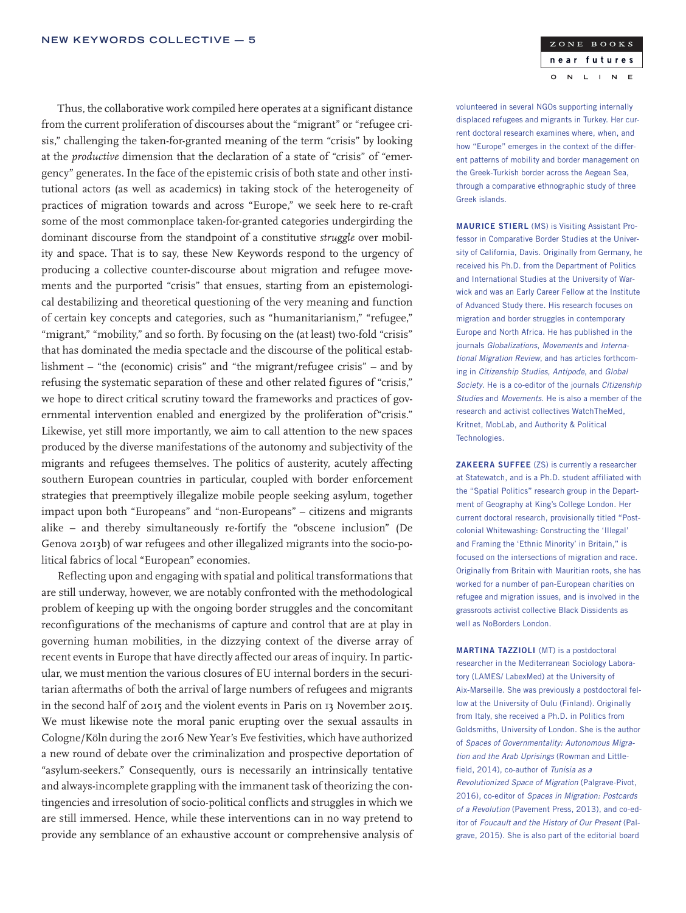Thus, the collaborative work compiled here operates at a significant distance from the current proliferation of discourses about the "migrant" or "refugee crisis," challenging the taken-for-granted meaning of the term "crisis" by looking at the *productive* dimension that the declaration of a state of "crisis" of "emergency" generates. In the face of the epistemic crisis of both state and other institutional actors (as well as academics) in taking stock of the heterogeneity of practices of migration towards and across "Europe," we seek here to re-craft some of the most commonplace taken-for-granted categories undergirding the dominant discourse from the standpoint of a constitutive *struggle* over mobility and space. That is to say, these New Keywords respond to the urgency of producing a collective counter-discourse about migration and refugee movements and the purported "crisis" that ensues, starting from an epistemological destabilizing and theoretical questioning of the very meaning and function of certain key concepts and categories, such as "humanitarianism," "refugee," "migrant," "mobility," and so forth. By focusing on the (at least) two-fold "crisis" that has dominated the media spectacle and the discourse of the political establishment – "the (economic) crisis" and "the migrant/refugee crisis" – and by refusing the systematic separation of these and other related figures of "crisis," we hope to direct critical scrutiny toward the frameworks and practices of governmental intervention enabled and energized by the proliferation of "crisis." Likewise, yet still more importantly, we aim to call attention to the new spaces produced by the diverse manifestations of the autonomy and subjectivity of the migrants and refugees themselves. The politics of austerity, acutely affecting southern European countries in particular, coupled with border enforcement strategies that preemptively illegalize mobile people seeking asylum, together impact upon both "Europeans" and "non-Europeans" – citizens and migrants alike – and thereby simultaneously re-fortify the "obscene inclusion" (De Genova 2013b) of war refugees and other illegalized migrants into the socio-political fabrics of local "European" economies.

Reflecting upon and engaging with spatial and political transformations that are still underway, however, we are notably confronted with the methodological problem of keeping up with the ongoing border struggles and the concomitant reconfigurations of the mechanisms of capture and control that are at play in governing human mobilities, in the dizzying context of the diverse array of recent events in Europe that have directly affected our areas of inquiry. In particular, we must mention the various closures of EU internal borders in the securitarian aftermaths of both the arrival of large numbers of refugees and migrants in the second half of 2015 and the violent events in Paris on 13 November 2015. We must likewise note the moral panic erupting over the sexual assaults in Cologne/Köln during the 2016 New Year's Eve festivities, which have authorized a new round of debate over the criminalization and prospective deportation of "asylum-seekers." Consequently, ours is necessarily an intrinsically tentative and always-incomplete grappling with the immanent task of theorizing the contingencies and irresolution of socio-political conflicts and struggles in which we are still immersed. Hence, while these interventions can in no way pretend to provide any semblance of an exhaustive account or comprehensive analysis of

volunteered in several NGOs supporting internally displaced refugees and migrants in Turkey. Her current doctoral research examines where, when, and how "Europe" emerges in the context of the different patterns of mobility and border management on the Greek-Turkish border across the Aegean Sea, through a comparative ethnographic study of three Greek islands.

ZONE BOOKS near futures

 $\mathbf{I}$ 

 $N$  $\mathbf{E}$ 

 $\overline{N}$  $\mathsf{L}$ 

 $\circ$ 

MAURICE STIERL (MS) is Visiting Assistant Professor in Comparative Border Studies at the University of California, Davis. Originally from Germany, he received his Ph.D. from the Department of Politics and International Studies at the University of Warwick and was an Early Career Fellow at the Institute of Advanced Study there. His research focuses on migration and border struggles in contemporary Europe and North Africa. He has published in the journals *Globalizations*, *Movements* and *International Migration Review*, and has articles forthcoming in *Citizenship Studies*, *Antipode*, and *Global Society*. He is a co-editor of the journals *Citizenship Studies* and *Movements*. He is also a member of the research and activist collectives WatchTheMed, Kritnet, MobLab, and Authority & Political Technologies.

ZAKEERA SUFFEE (ZS) is currently a researcher at Statewatch, and is a Ph.D. student affiliated with the "Spatial Politics" research group in the Department of Geography at King's College London. Her current doctoral research, provisionally titled "Postcolonial Whitewashing: Constructing the 'Illegal' and Framing the 'Ethnic Minority' in Britain," is focused on the intersections of migration and race. Originally from Britain with Mauritian roots, she has worked for a number of pan-European charities on refugee and migration issues, and is involved in the grassroots activist collective Black Dissidents as well as NoBorders London.

MARTINA TAZZIOLI (MT) is a postdoctoral researcher in the Mediterranean Sociology Laboratory (LAMES/ LabexMed) at the University of Aix-Marseille. She was previously a postdoctoral fellow at the University of Oulu (Finland). Originally from Italy, she received a Ph.D. in Politics from Goldsmiths, University of London. She is the author of *Spaces of Governmentality: Autonomous Migration and the Arab Uprisings* (Rowman and Littlefield, 2014), co-author of *Tunisia as a Revolutionized Space of Migration* (Palgrave-Pivot, 2016), co-editor of *Spaces in Migration: Postcards of a Revolution* (Pavement Press, 2013), and co-editor of *Foucault and the History of Our Present* (Palgrave, 2015). She is also part of the editorial board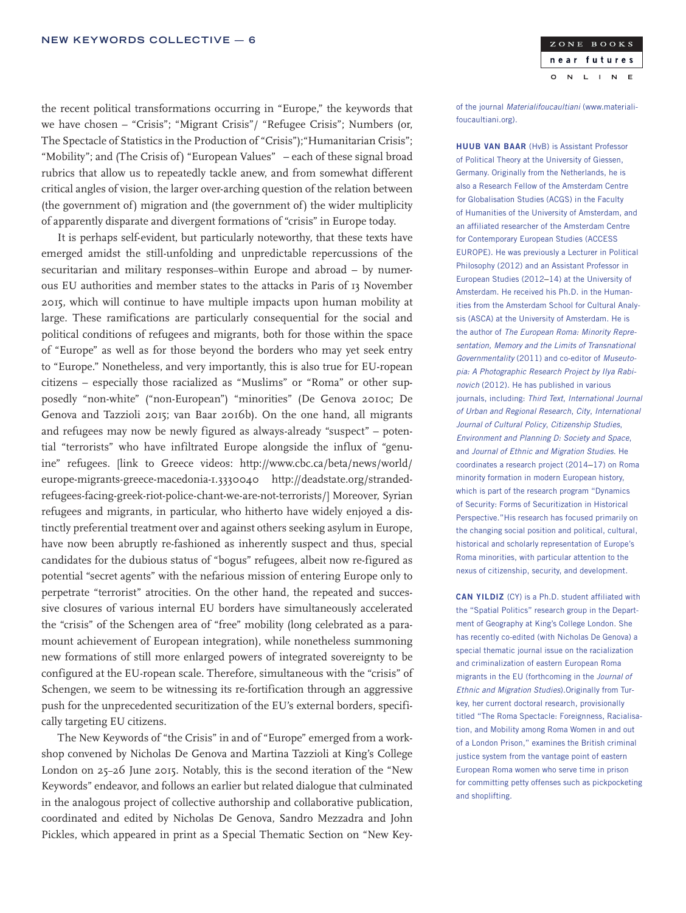the recent political transformations occurring in "Europe," the keywords that we have chosen – "Crisis"; "Migrant Crisis"/ "Refugee Crisis"; Numbers (or, The Spectacle of Statistics in the Production of "Crisis");"Humanitarian Crisis"; "Mobility"; and (The Crisis of) "European Values" – each of these signal broad rubrics that allow us to repeatedly tackle anew, and from somewhat different critical angles of vision, the larger over-arching question of the relation between (the government of) migration and (the government of) the wider multiplicity of apparently disparate and divergent formations of "crisis" in Europe today.

It is perhaps self-evident, but particularly noteworthy, that these texts have emerged amidst the still-unfolding and unpredictable repercussions of the securitarian and military responses–within Europe and abroad – by numerous EU authorities and member states to the attacks in Paris of 13 November 2015, which will continue to have multiple impacts upon human mobility at large. These ramifications are particularly consequential for the social and political conditions of refugees and migrants, both for those within the space of "Europe" as well as for those beyond the borders who may yet seek entry to "Europe." Nonetheless, and very importantly, this is also true for EU-ropean citizens – especially those racialized as "Muslims" or "Roma" or other supposedly "non-white" ("non-European") "minorities" (De Genova 2010c; De Genova and Tazzioli 2015; van Baar 2016b). On the one hand, all migrants and refugees may now be newly figured as always-already "suspect" – potential "terrorists" who have infiltrated Europe alongside the influx of "genuine" refugees. [link to Greece videos: http://www.cbc.ca/beta/news/world/ europe-migrants-greece-macedonia-1.3330040 http://deadstate.org/strandedrefugees-facing-greek-riot-police-chant-we-are-not-terrorists/] Moreover, Syrian refugees and migrants, in particular, who hitherto have widely enjoyed a distinctly preferential treatment over and against others seeking asylum in Europe, have now been abruptly re-fashioned as inherently suspect and thus, special candidates for the dubious status of "bogus" refugees, albeit now re-figured as potential "secret agents" with the nefarious mission of entering Europe only to perpetrate "terrorist" atrocities. On the other hand, the repeated and successive closures of various internal EU borders have simultaneously accelerated the "crisis" of the Schengen area of "free" mobility (long celebrated as a paramount achievement of European integration), while nonetheless summoning new formations of still more enlarged powers of integrated sovereignty to be configured at the EU-ropean scale. Therefore, simultaneous with the "crisis" of Schengen, we seem to be witnessing its re-fortification through an aggressive push for the unprecedented securitization of the EU's external borders, specifically targeting EU citizens.

The New Keywords of "the Crisis" in and of "Europe" emerged from a workshop convened by Nicholas De Genova and Martina Tazzioli at King's College London on 25–26 June 2015. Notably, this is the second iteration of the "New Keywords" endeavor, and follows an earlier but related dialogue that culminated in the analogous project of collective authorship and collaborative publication, coordinated and edited by Nicholas De Genova, Sandro Mezzadra and John Pickles, which appeared in print as a Special Thematic Section on "New Keyof the journal *Materialifoucaultiani* (www.materialifoucaultiani.org).

HUUB VAN BAAR (HvB) is Assistant Professor of Political Theory at the University of Giessen, Germany. Originally from the Netherlands, he is also a Research Fellow of the Amsterdam Centre for Globalisation Studies (ACGS) in the Faculty of Humanities of the University of Amsterdam, and an affiliated researcher of the Amsterdam Centre for Contemporary European Studies (ACCESS EUROPE). He was previously a Lecturer in Political Philosophy (2012) and an Assistant Professor in European Studies (2012–14) at the University of Amsterdam. He received his Ph.D. in the Humanities from the Amsterdam School for Cultural Analysis (ASCA) at the University of Amsterdam. He is the author of *The European Roma: Minority Representation, Memory and the Limits of Transnational Governmentality* (2011) and co-editor of *Museutopia: A Photographic Research Project by Ilya Rabinovich* (2012). He has published in various journals, including: *Third Text*, *International Journal of Urban and Regional Research*, *City*, *International Journal of Cultural Policy*, *Citizenship Studies*, *Environment and Planning D: Society and Space*, and *Journal of Ethnic and Migration Studies*. He coordinates a research project (2014–17) on Roma minority formation in modern European history, which is part of the research program "Dynamics of Security: Forms of Securitization in Historical Perspective."His research has focused primarily on the changing social position and political, cultural, historical and scholarly representation of Europe's Roma minorities, with particular attention to the nexus of citizenship, security, and development.

CAN YILDIZ (CY) is a Ph.D. student affiliated with the "Spatial Politics" research group in the Department of Geography at King's College London. She has recently co-edited (with Nicholas De Genova) a special thematic journal issue on the racialization and criminalization of eastern European Roma migrants in the EU (forthcoming in the *Journal of Ethnic and Migration Studies*).Originally from Turkey, her current doctoral research, provisionally titled "The Roma Spectacle: Foreignness, Racialisation, and Mobility among Roma Women in and out of a London Prison," examines the British criminal justice system from the vantage point of eastern European Roma women who serve time in prison for committing petty offenses such as pickpocketing and shoplifting.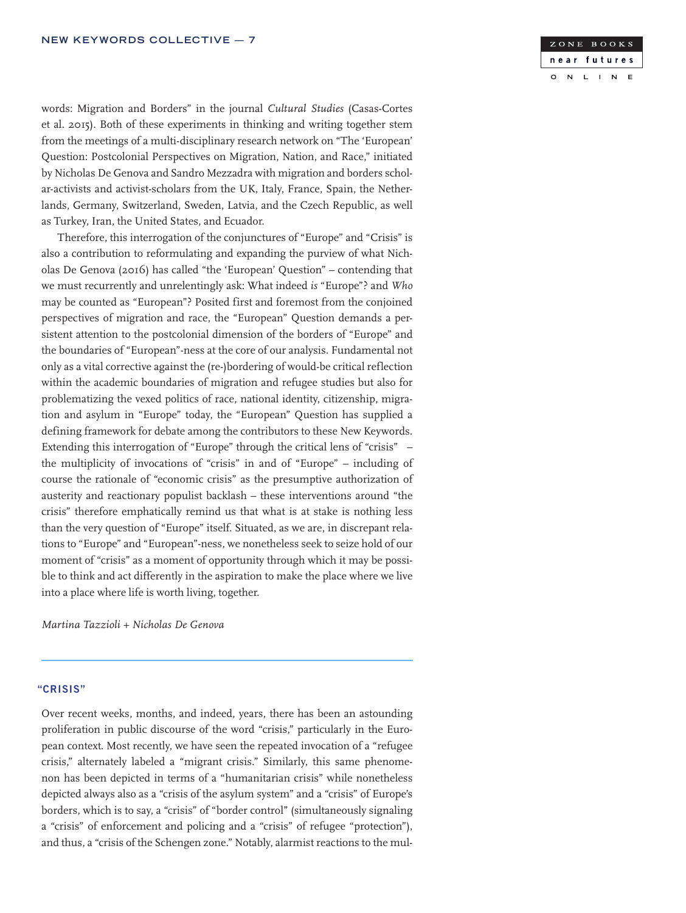

words: Migration and Borders" in the journal *Cultural Studies* (Casas-Cortes et al. 2015). Both of these experiments in thinking and writing together stem from the meetings of a multi-disciplinary research network on "The 'European' Question: Postcolonial Perspectives on Migration, Nation, and Race," initiated by Nicholas De Genova and Sandro Mezzadra with migration and borders scholar-activists and activist-scholars from the UK, Italy, France, Spain, the Netherlands, Germany, Switzerland, Sweden, Latvia, and the Czech Republic, as well as Turkey, Iran, the United States, and Ecuador.

Therefore, this interrogation of the conjunctures of "Europe" and "Crisis" is also a contribution to reformulating and expanding the purview of what Nicholas De Genova (2016) has called "the 'European' Question" – contending that we must recurrently and unrelentingly ask: What indeed *is* "Europe"? and *Who* may be counted as "European"? Posited first and foremost from the conjoined perspectives of migration and race, the "European" Question demands a persistent attention to the postcolonial dimension of the borders of "Europe" and the boundaries of "European"-ness at the core of our analysis. Fundamental not only as a vital corrective against the (re-)bordering of would-be critical reflection within the academic boundaries of migration and refugee studies but also for problematizing the vexed politics of race, national identity, citizenship, migration and asylum in "Europe" today, the "European" Question has supplied a defining framework for debate among the contributors to these New Keywords. Extending this interrogation of "Europe" through the critical lens of "crisis" – the multiplicity of invocations of "crisis" in and of "Europe" – including of course the rationale of "economic crisis" as the presumptive authorization of austerity and reactionary populist backlash – these interventions around "the crisis" therefore emphatically remind us that what is at stake is nothing less than the very question of "Europe" itself. Situated, as we are, in discrepant relations to "Europe" and "European"-ness, we nonetheless seek to seize hold of our moment of "crisis" as a moment of opportunity through which it may be possible to think and act differently in the aspiration to make the place where we live into a place where life is worth living, together.

*Martina Tazzioli + Nicholas De Genova*

### "CRISIS"

Over recent weeks, months, and indeed, years, there has been an astounding proliferation in public discourse of the word "crisis," particularly in the European context. Most recently, we have seen the repeated invocation of a "refugee crisis," alternately labeled a "migrant crisis." Similarly, this same phenomenon has been depicted in terms of a "humanitarian crisis" while nonetheless depicted always also as a "crisis of the asylum system" and a "crisis" of Europe's borders, which is to say, a "crisis" of "border control" (simultaneously signaling a "crisis" of enforcement and policing and a "crisis" of refugee "protection"), and thus, a "crisis of the Schengen zone." Notably, alarmist reactions to the mul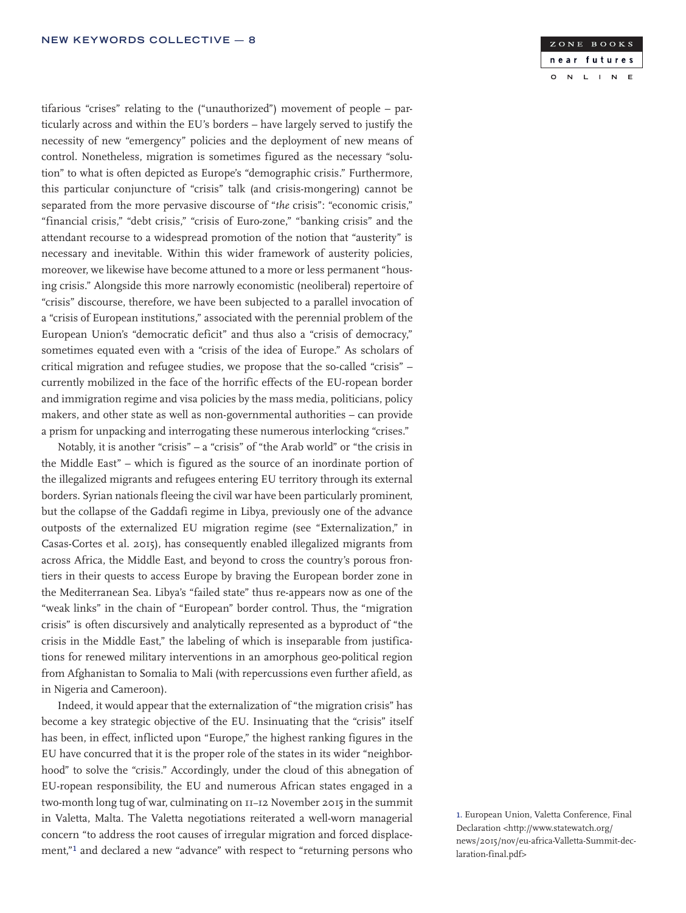tifarious "crises" relating to the ("unauthorized") movement of people – particularly across and within the EU's borders – have largely served to justify the necessity of new "emergency" policies and the deployment of new means of control. Nonetheless, migration is sometimes figured as the necessary "solution" to what is often depicted as Europe's "demographic crisis." Furthermore, this particular conjuncture of "crisis" talk (and crisis-mongering) cannot be separated from the more pervasive discourse of "*the* crisis": "economic crisis," "financial crisis," "debt crisis," "crisis of Euro-zone," "banking crisis" and the attendant recourse to a widespread promotion of the notion that "austerity" is necessary and inevitable. Within this wider framework of austerity policies, moreover, we likewise have become attuned to a more or less permanent "housing crisis." Alongside this more narrowly economistic (neoliberal) repertoire of "crisis" discourse, therefore, we have been subjected to a parallel invocation of a "crisis of European institutions," associated with the perennial problem of the European Union's "democratic deficit" and thus also a "crisis of democracy," sometimes equated even with a "crisis of the idea of Europe." As scholars of critical migration and refugee studies, we propose that the so-called "crisis" – currently mobilized in the face of the horrific effects of the EU-ropean border and immigration regime and visa policies by the mass media, politicians, policy makers, and other state as well as non-governmental authorities – can provide a prism for unpacking and interrogating these numerous interlocking "crises."

Notably, it is another "crisis" – a "crisis" of "the Arab world" or "the crisis in the Middle East" – which is figured as the source of an inordinate portion of the illegalized migrants and refugees entering EU territory through its external borders. Syrian nationals fleeing the civil war have been particularly prominent, but the collapse of the Gaddafi regime in Libya, previously one of the advance outposts of the externalized EU migration regime (see "Externalization," in Casas-Cortes et al. 2015), has consequently enabled illegalized migrants from across Africa, the Middle East, and beyond to cross the country's porous frontiers in their quests to access Europe by braving the European border zone in the Mediterranean Sea. Libya's "failed state" thus re-appears now as one of the "weak links" in the chain of "European" border control. Thus, the "migration crisis" is often discursively and analytically represented as a byproduct of "the crisis in the Middle East," the labeling of which is inseparable from justifications for renewed military interventions in an amorphous geo-political region from Afghanistan to Somalia to Mali (with repercussions even further afield, as in Nigeria and Cameroon).

Indeed, it would appear that the externalization of "the migration crisis" has become a key strategic objective of the EU. Insinuating that the "crisis" itself has been, in effect, inflicted upon "Europe," the highest ranking figures in the EU have concurred that it is the proper role of the states in its wider "neighborhood" to solve the "crisis." Accordingly, under the cloud of this abnegation of EU-ropean responsibility, the EU and numerous African states engaged in a two-month long tug of war, culminating on 11–12 November 2015 in the summit in Valetta, Malta. The Valetta negotiations reiterated a well-worn managerial concern "to address the root causes of irregular migration and forced displacement,"1 and declared a new "advance" with respect to "returning persons who

#### ZONE BOOKS near futures  $\overline{N}$  $\mathbf{L}$  $\mathbb{N}$  $E$  $\circ$  $\blacksquare$

1. European Union, Valetta Conference, Final Declaration <http://www.statewatch.org/ news/2015/nov/eu-africa-Valletta-Summit-declaration-final.pdf>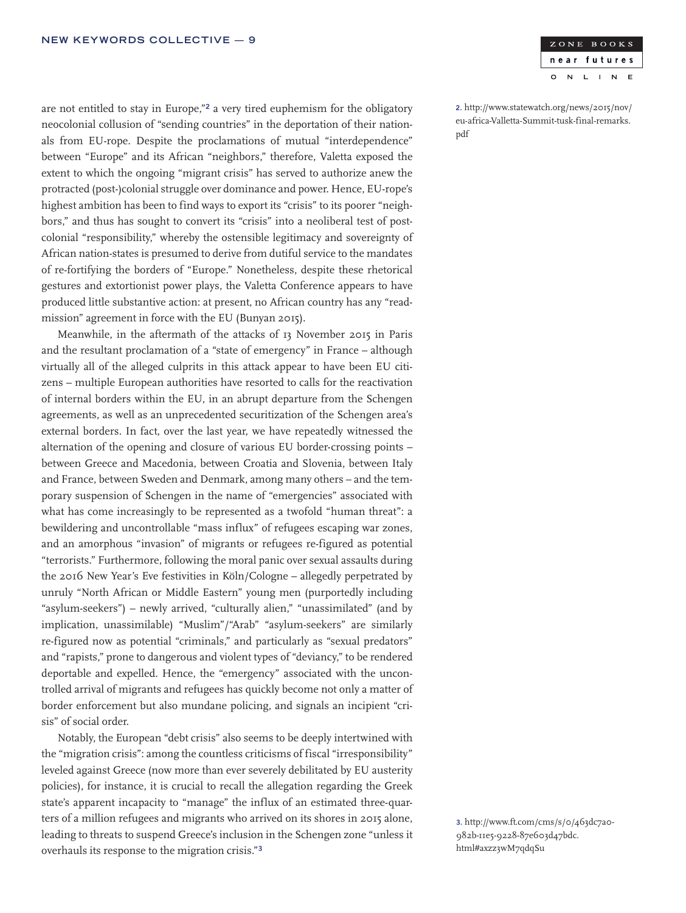are not entitled to stay in Europe,"2 a very tired euphemism for the obligatory neocolonial collusion of "sending countries" in the deportation of their nationals from EU-rope. Despite the proclamations of mutual "interdependence" between "Europe" and its African "neighbors," therefore, Valetta exposed the extent to which the ongoing "migrant crisis" has served to authorize anew the protracted (post-)colonial struggle over dominance and power. Hence, EU-rope's highest ambition has been to find ways to export its "crisis" to its poorer "neighbors," and thus has sought to convert its "crisis" into a neoliberal test of postcolonial "responsibility," whereby the ostensible legitimacy and sovereignty of African nation-states is presumed to derive from dutiful service to the mandates of re-fortifying the borders of "Europe." Nonetheless, despite these rhetorical gestures and extortionist power plays, the Valetta Conference appears to have produced little substantive action: at present, no African country has any "readmission" agreement in force with the EU (Bunyan 2015).

Meanwhile, in the aftermath of the attacks of 13 November 2015 in Paris and the resultant proclamation of a "state of emergency" in France – although virtually all of the alleged culprits in this attack appear to have been EU citizens – multiple European authorities have resorted to calls for the reactivation of internal borders within the EU, in an abrupt departure from the Schengen agreements, as well as an unprecedented securitization of the Schengen area's external borders. In fact, over the last year, we have repeatedly witnessed the alternation of the opening and closure of various EU border-crossing points – between Greece and Macedonia, between Croatia and Slovenia, between Italy and France, between Sweden and Denmark, among many others – and the temporary suspension of Schengen in the name of "emergencies" associated with what has come increasingly to be represented as a twofold "human threat": a bewildering and uncontrollable "mass influx" of refugees escaping war zones, and an amorphous "invasion" of migrants or refugees re-figured as potential "terrorists." Furthermore, following the moral panic over sexual assaults during the 2016 New Year's Eve festivities in Köln/Cologne – allegedly perpetrated by unruly "North African or Middle Eastern" young men (purportedly including "asylum-seekers") – newly arrived, "culturally alien," "unassimilated" (and by implication, unassimilable) "Muslim"/"Arab" "asylum-seekers" are similarly re-figured now as potential "criminals," and particularly as "sexual predators" and "rapists," prone to dangerous and violent types of "deviancy," to be rendered deportable and expelled. Hence, the "emergency" associated with the uncontrolled arrival of migrants and refugees has quickly become not only a matter of border enforcement but also mundane policing, and signals an incipient "crisis" of social order.

Notably, the European "debt crisis" also seems to be deeply intertwined with the "migration crisis": among the countless criticisms of fiscal "irresponsibility" leveled against Greece (now more than ever severely debilitated by EU austerity policies), for instance, it is crucial to recall the allegation regarding the Greek state's apparent incapacity to "manage" the influx of an estimated three-quarters of a million refugees and migrants who arrived on its shores in 2015 alone, leading to threats to suspend Greece's inclusion in the Schengen zone "unless it overhauls its response to the migration crisis."<sup>3</sup>

2. http://www.statewatch.org/news/2015/nov/ eu-africa-Valletta-Summit-tusk-final-remarks. pdf

3. http://www.ft.com/cms/s/0/463dc7a0- 982b-11e5-9228-87e603d47bdc. html#axzz3wM7qdqSu

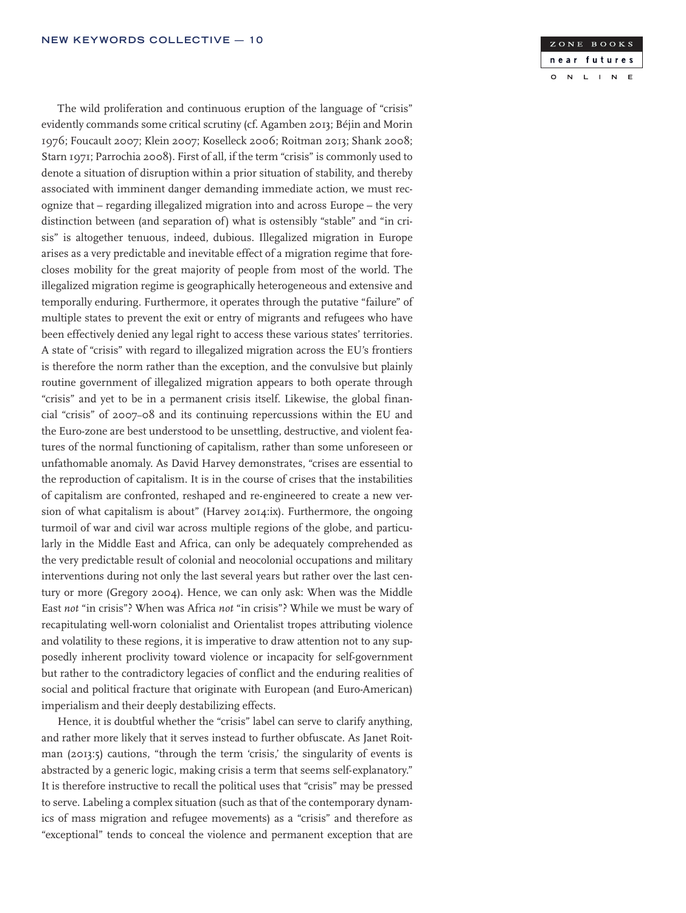The wild proliferation and continuous eruption of the language of "crisis" evidently commands some critical scrutiny (cf. Agamben 2013; Béjin and Morin 1976; Foucault 2007; Klein 2007; Koselleck 2006; Roitman 2013; Shank 2008; Starn 1971; Parrochia 2008). First of all, if the term "crisis" is commonly used to denote a situation of disruption within a prior situation of stability, and thereby associated with imminent danger demanding immediate action, we must recognize that – regarding illegalized migration into and across Europe – the very distinction between (and separation of) what is ostensibly "stable" and "in crisis" is altogether tenuous, indeed, dubious. Illegalized migration in Europe arises as a very predictable and inevitable effect of a migration regime that forecloses mobility for the great majority of people from most of the world. The illegalized migration regime is geographically heterogeneous and extensive and temporally enduring. Furthermore, it operates through the putative "failure" of multiple states to prevent the exit or entry of migrants and refugees who have been effectively denied any legal right to access these various states' territories. A state of "crisis" with regard to illegalized migration across the EU's frontiers is therefore the norm rather than the exception, and the convulsive but plainly routine government of illegalized migration appears to both operate through "crisis" and yet to be in a permanent crisis itself. Likewise, the global financial "crisis" of 2007–08 and its continuing repercussions within the EU and the Euro-zone are best understood to be unsettling, destructive, and violent features of the normal functioning of capitalism, rather than some unforeseen or unfathomable anomaly. As David Harvey demonstrates, "crises are essential to the reproduction of capitalism. It is in the course of crises that the instabilities of capitalism are confronted, reshaped and re-engineered to create a new version of what capitalism is about" (Harvey 2014:ix). Furthermore, the ongoing turmoil of war and civil war across multiple regions of the globe, and particularly in the Middle East and Africa, can only be adequately comprehended as the very predictable result of colonial and neocolonial occupations and military interventions during not only the last several years but rather over the last century or more (Gregory 2004). Hence, we can only ask: When was the Middle East *not* "in crisis"? When was Africa *not* "in crisis"? While we must be wary of recapitulating well-worn colonialist and Orientalist tropes attributing violence and volatility to these regions, it is imperative to draw attention not to any supposedly inherent proclivity toward violence or incapacity for self-government but rather to the contradictory legacies of conflict and the enduring realities of social and political fracture that originate with European (and Euro-American) imperialism and their deeply destabilizing effects.

Hence, it is doubtful whether the "crisis" label can serve to clarify anything, and rather more likely that it serves instead to further obfuscate. As Janet Roitman (2013:5) cautions, "through the term 'crisis,' the singularity of events is abstracted by a generic logic, making crisis a term that seems self-explanatory." It is therefore instructive to recall the political uses that "crisis" may be pressed to serve. Labeling a complex situation (such as that of the contemporary dynamics of mass migration and refugee movements) as a "crisis" and therefore as "exceptional" tends to conceal the violence and permanent exception that are

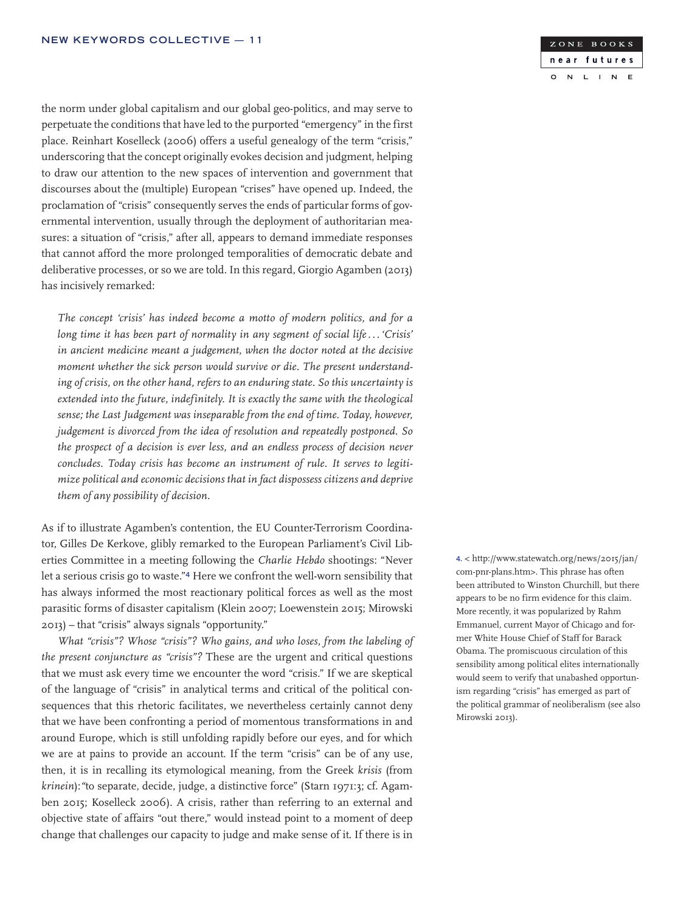the norm under global capitalism and our global geo-politics, and may serve to perpetuate the conditions that have led to the purported "emergency" in the first place. Reinhart Koselleck (2006) offers a useful genealogy of the term "crisis," underscoring that the concept originally evokes decision and judgment, helping to draw our attention to the new spaces of intervention and government that discourses about the (multiple) European "crises" have opened up. Indeed, the proclamation of "crisis" consequently serves the ends of particular forms of governmental intervention, usually through the deployment of authoritarian measures: a situation of "crisis," after all, appears to demand immediate responses that cannot afford the more prolonged temporalities of democratic debate and deliberative processes, or so we are told. In this regard, Giorgio Agamben (2013) has incisively remarked:

*The concept 'crisis' has indeed become a motto of modern politics, and for a long time it has been part of normality in any segment of social life. . . 'Crisis' in ancient medicine meant a judgement, when the doctor noted at the decisive moment whether the sick person would survive or die. The present understanding of crisis, on the other hand, refers to an enduring state. So this uncertainty is extended into the future, indefinitely. It is exactly the same with the theological sense; the Last Judgement was inseparable from the end of time. Today, however, judgement is divorced from the idea of resolution and repeatedly postponed. So the prospect of a decision is ever less, and an endless process of decision never concludes. Today crisis has become an instrument of rule. It serves to legitimize political and economic decisions that in fact dispossess citizens and deprive them of any possibility of decision.*

As if to illustrate Agamben's contention, the EU Counter-Terrorism Coordinator, Gilles De Kerkove, glibly remarked to the European Parliament's Civil Liberties Committee in a meeting following the *Charlie Hebdo* shootings: "Never let a serious crisis go to waste."4 Here we confront the well-worn sensibility that has always informed the most reactionary political forces as well as the most parasitic forms of disaster capitalism (Klein 2007; Loewenstein 2015; Mirowski 2013) – that "crisis" always signals "opportunity."

*What "crisis"? Whose "crisis"? Who gains, and who loses, from the labeling of the present conjuncture as "crisis"?* These are the urgent and critical questions that we must ask every time we encounter the word "crisis." If we are skeptical of the language of "crisis" in analytical terms and critical of the political consequences that this rhetoric facilitates, we nevertheless certainly cannot deny that we have been confronting a period of momentous transformations in and around Europe, which is still unfolding rapidly before our eyes, and for which we are at pains to provide an account. If the term "crisis" can be of any use, then, it is in recalling its etymological meaning, from the Greek *krisis* (from *krinein*):*"*to separate, decide, judge, a distinctive force" (Starn 1971:3; cf. Agamben 2015; Koselleck 2006). A crisis, rather than referring to an external and objective state of affairs "out there," would instead point to a moment of deep change that challenges our capacity to judge and make sense of it. If there is in

4. < http://www.statewatch.org/news/2015/jan/ com-pnr-plans.htm>. This phrase has often been attributed to Winston Churchill, but there appears to be no firm evidence for this claim. More recently, it was popularized by Rahm Emmanuel, current Mayor of Chicago and former White House Chief of Staff for Barack Obama. The promiscuous circulation of this sensibility among political elites internationally would seem to verify that unabashed opportunism regarding "crisis" has emerged as part of the political grammar of neoliberalism (see also Mirowski 2013).

#### ZONE BOOKS near futures  $\overline{N}$  $\mathbf{L}$  $\overline{N}$  $E$  $\circ$  $\mathbf{L}$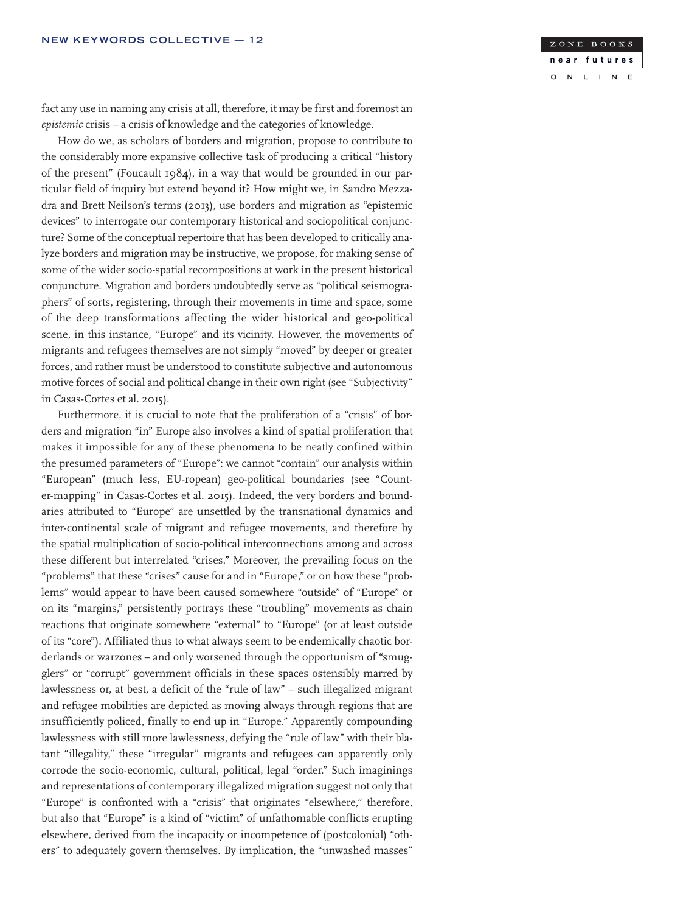

fact any use in naming any crisis at all, therefore, it may be first and foremost an *epistemic* crisis – a crisis of knowledge and the categories of knowledge.

How do we, as scholars of borders and migration, propose to contribute to the considerably more expansive collective task of producing a critical "history of the present" (Foucault  $1984$ ), in a way that would be grounded in our particular field of inquiry but extend beyond it? How might we, in Sandro Mezzadra and Brett Neilson's terms (2013), use borders and migration as "epistemic devices" to interrogate our contemporary historical and sociopolitical conjuncture? Some of the conceptual repertoire that has been developed to critically analyze borders and migration may be instructive, we propose, for making sense of some of the wider socio-spatial recompositions at work in the present historical conjuncture. Migration and borders undoubtedly serve as "political seismographers" of sorts, registering, through their movements in time and space, some of the deep transformations affecting the wider historical and geo-political scene, in this instance, "Europe" and its vicinity. However, the movements of migrants and refugees themselves are not simply "moved" by deeper or greater forces, and rather must be understood to constitute subjective and autonomous motive forces of social and political change in their own right (see "Subjectivity" in Casas-Cortes et al. 2015).

Furthermore, it is crucial to note that the proliferation of a "crisis" of borders and migration "in" Europe also involves a kind of spatial proliferation that makes it impossible for any of these phenomena to be neatly confined within the presumed parameters of "Europe": we cannot "contain" our analysis within "European" (much less, EU-ropean) geo-political boundaries (see "Counter-mapping" in Casas-Cortes et al. 2015). Indeed, the very borders and boundaries attributed to "Europe" are unsettled by the transnational dynamics and inter-continental scale of migrant and refugee movements, and therefore by the spatial multiplication of socio-political interconnections among and across these different but interrelated "crises." Moreover, the prevailing focus on the "problems" that these "crises" cause for and in "Europe," or on how these "problems" would appear to have been caused somewhere "outside" of "Europe" or on its "margins," persistently portrays these "troubling" movements as chain reactions that originate somewhere "external" to "Europe" (or at least outside of its "core"). Affiliated thus to what always seem to be endemically chaotic borderlands or warzones – and only worsened through the opportunism of "smugglers" or "corrupt" government officials in these spaces ostensibly marred by lawlessness or, at best, a deficit of the "rule of law" – such illegalized migrant and refugee mobilities are depicted as moving always through regions that are insufficiently policed, finally to end up in "Europe." Apparently compounding lawlessness with still more lawlessness, defying the "rule of law" with their blatant "illegality," these "irregular" migrants and refugees can apparently only corrode the socio-economic, cultural, political, legal "order." Such imaginings and representations of contemporary illegalized migration suggest not only that "Europe" is confronted with a "crisis" that originates "elsewhere," therefore, but also that "Europe" is a kind of "victim" of unfathomable conflicts erupting elsewhere, derived from the incapacity or incompetence of (postcolonial) "others" to adequately govern themselves. By implication, the "unwashed masses"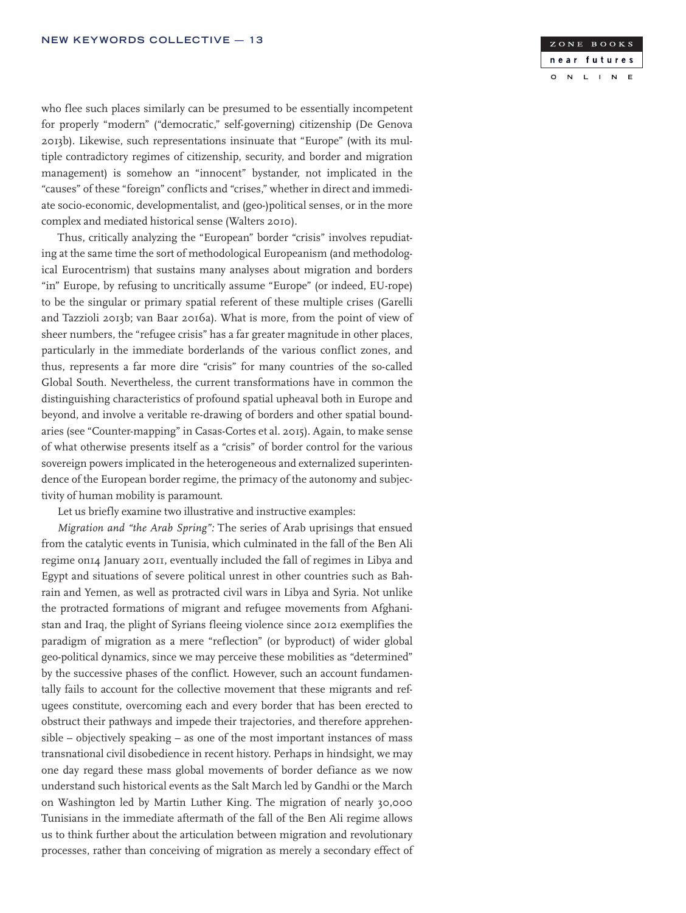

who flee such places similarly can be presumed to be essentially incompetent for properly "modern" ("democratic," self-governing) citizenship (De Genova 2013b). Likewise, such representations insinuate that "Europe" (with its multiple contradictory regimes of citizenship, security, and border and migration management) is somehow an "innocent" bystander, not implicated in the "causes" of these "foreign" conflicts and "crises," whether in direct and immediate socio-economic, developmentalist, and (geo-)political senses, or in the more complex and mediated historical sense (Walters 2010).

Thus, critically analyzing the "European" border "crisis" involves repudiating at the same time the sort of methodological Europeanism (and methodological Eurocentrism) that sustains many analyses about migration and borders "in" Europe, by refusing to uncritically assume "Europe" (or indeed, EU-rope) to be the singular or primary spatial referent of these multiple crises (Garelli and Tazzioli 2013b; van Baar 2016a). What is more, from the point of view of sheer numbers, the "refugee crisis" has a far greater magnitude in other places, particularly in the immediate borderlands of the various conflict zones, and thus, represents a far more dire "crisis" for many countries of the so-called Global South. Nevertheless, the current transformations have in common the distinguishing characteristics of profound spatial upheaval both in Europe and beyond, and involve a veritable re-drawing of borders and other spatial boundaries (see "Counter-mapping" in Casas-Cortes et al. 2015). Again, to make sense of what otherwise presents itself as a "crisis" of border control for the various sovereign powers implicated in the heterogeneous and externalized superintendence of the European border regime, the primacy of the autonomy and subjectivity of human mobility is paramount.

Let us briefly examine two illustrative and instructive examples:

*Migration and "the Arab Spring":* The series of Arab uprisings that ensued from the catalytic events in Tunisia, which culminated in the fall of the Ben Ali regime on14 January 2011, eventually included the fall of regimes in Libya and Egypt and situations of severe political unrest in other countries such as Bahrain and Yemen, as well as protracted civil wars in Libya and Syria. Not unlike the protracted formations of migrant and refugee movements from Afghanistan and Iraq, the plight of Syrians fleeing violence since 2012 exemplifies the paradigm of migration as a mere "reflection" (or byproduct) of wider global geo-political dynamics, since we may perceive these mobilities as "determined" by the successive phases of the conflict. However, such an account fundamentally fails to account for the collective movement that these migrants and refugees constitute, overcoming each and every border that has been erected to obstruct their pathways and impede their trajectories, and therefore apprehensible – objectively speaking – as one of the most important instances of mass transnational civil disobedience in recent history. Perhaps in hindsight, we may one day regard these mass global movements of border defiance as we now understand such historical events as the Salt March led by Gandhi or the March on Washington led by Martin Luther King. The migration of nearly 30,000 Tunisians in the immediate aftermath of the fall of the Ben Ali regime allows us to think further about the articulation between migration and revolutionary processes, rather than conceiving of migration as merely a secondary effect of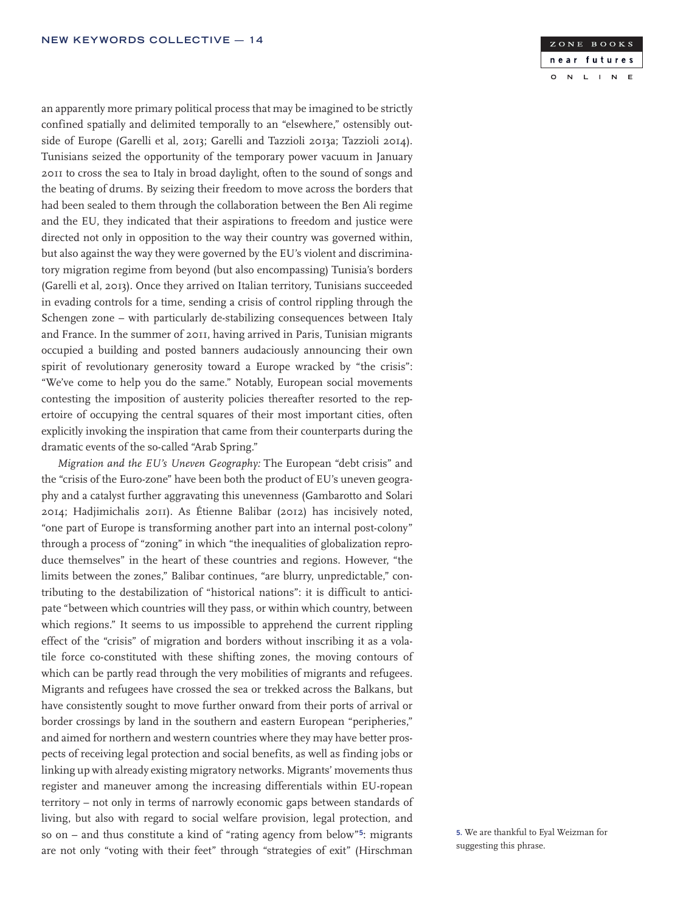an apparently more primary political process that may be imagined to be strictly confined spatially and delimited temporally to an "elsewhere," ostensibly outside of Europe (Garelli et al, 2013; Garelli and Tazzioli 2013a; Tazzioli 2014). Tunisians seized the opportunity of the temporary power vacuum in January 2011 to cross the sea to Italy in broad daylight, often to the sound of songs and the beating of drums. By seizing their freedom to move across the borders that had been sealed to them through the collaboration between the Ben Ali regime and the EU, they indicated that their aspirations to freedom and justice were directed not only in opposition to the way their country was governed within, but also against the way they were governed by the EU's violent and discriminatory migration regime from beyond (but also encompassing) Tunisia's borders (Garelli et al, 2013). Once they arrived on Italian territory, Tunisians succeeded in evading controls for a time, sending a crisis of control rippling through the Schengen zone – with particularly de-stabilizing consequences between Italy and France. In the summer of 2011, having arrived in Paris, Tunisian migrants occupied a building and posted banners audaciously announcing their own spirit of revolutionary generosity toward a Europe wracked by "the crisis": "We've come to help you do the same." Notably, European social movements contesting the imposition of austerity policies thereafter resorted to the repertoire of occupying the central squares of their most important cities, often explicitly invoking the inspiration that came from their counterparts during the dramatic events of the so-called "Arab Spring."

*Migration and the EU's Uneven Geography:* The European "debt crisis" and the "crisis of the Euro-zone" have been both the product of EU's uneven geography and a catalyst further aggravating this unevenness (Gambarotto and Solari 2014; Hadjimichalis 2011). As Étienne Balibar (2012) has incisively noted, "one part of Europe is transforming another part into an internal post-colony" through a process of "zoning" in which "the inequalities of globalization reproduce themselves" in the heart of these countries and regions. However, "the limits between the zones," Balibar continues, "are blurry, unpredictable," contributing to the destabilization of "historical nations": it is difficult to anticipate "between which countries will they pass, or within which country, between which regions." It seems to us impossible to apprehend the current rippling effect of the "crisis" of migration and borders without inscribing it as a volatile force co-constituted with these shifting zones, the moving contours of which can be partly read through the very mobilities of migrants and refugees. Migrants and refugees have crossed the sea or trekked across the Balkans, but have consistently sought to move further onward from their ports of arrival or border crossings by land in the southern and eastern European "peripheries," and aimed for northern and western countries where they may have better prospects of receiving legal protection and social benefits, as well as finding jobs or linking up with already existing migratory networks. Migrants' movements thus register and maneuver among the increasing differentials within EU-ropean territory – not only in terms of narrowly economic gaps between standards of living, but also with regard to social welfare provision, legal protection, and so on – and thus constitute a kind of "rating agency from below"5: migrants are not only "voting with their feet" through "strategies of exit" (Hirschman



5. We are thankful to Eyal Weizman for suggesting this phrase.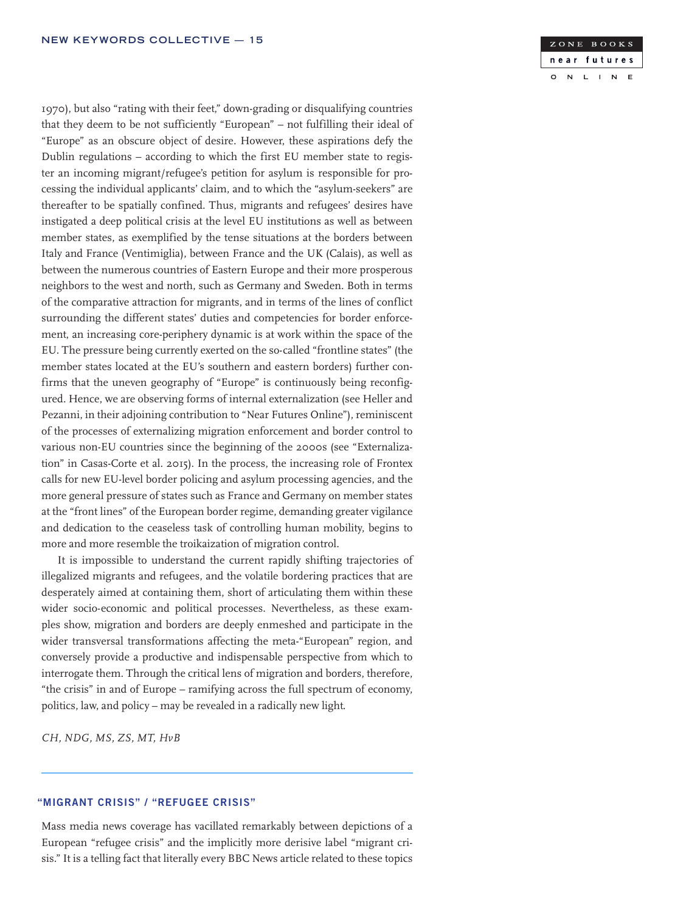1970), but also "rating with their feet," down-grading or disqualifying countries that they deem to be not sufficiently "European" – not fulfilling their ideal of "Europe" as an obscure object of desire. However, these aspirations defy the Dublin regulations – according to which the first EU member state to register an incoming migrant/refugee's petition for asylum is responsible for processing the individual applicants' claim, and to which the "asylum-seekers" are thereafter to be spatially confined. Thus, migrants and refugees' desires have instigated a deep political crisis at the level EU institutions as well as between member states, as exemplified by the tense situations at the borders between Italy and France (Ventimiglia), between France and the UK (Calais), as well as between the numerous countries of Eastern Europe and their more prosperous neighbors to the west and north, such as Germany and Sweden. Both in terms of the comparative attraction for migrants, and in terms of the lines of conflict surrounding the different states' duties and competencies for border enforcement, an increasing core-periphery dynamic is at work within the space of the EU. The pressure being currently exerted on the so-called "frontline states" (the member states located at the EU's southern and eastern borders) further confirms that the uneven geography of "Europe" is continuously being reconfigured. Hence, we are observing forms of internal externalization (see Heller and Pezanni, in their adjoining contribution to "Near Futures Online"), reminiscent of the processes of externalizing migration enforcement and border control to various non-EU countries since the beginning of the 2000s (see "Externalization" in Casas-Corte et al. 2015). In the process, the increasing role of Frontex calls for new EU-level border policing and asylum processing agencies, and the more general pressure of states such as France and Germany on member states at the "front lines" of the European border regime, demanding greater vigilance and dedication to the ceaseless task of controlling human mobility, begins to more and more resemble the troikaization of migration control.

It is impossible to understand the current rapidly shifting trajectories of illegalized migrants and refugees, and the volatile bordering practices that are desperately aimed at containing them, short of articulating them within these wider socio-economic and political processes. Nevertheless, as these examples show, migration and borders are deeply enmeshed and participate in the wider transversal transformations affecting the meta-"European" region, and conversely provide a productive and indispensable perspective from which to interrogate them. Through the critical lens of migration and borders, therefore, "the crisis" in and of Europe – ramifying across the full spectrum of economy, politics, law, and policy – may be revealed in a radically new light.

*CH, NDG, MS, ZS, MT, HvB*

### "MIGRANT CRISIS" / "REFUGEE CRISIS"

Mass media news coverage has vacillated remarkably between depictions of a European "refugee crisis" and the implicitly more derisive label "migrant crisis." It is a telling fact that literally every BBC News article related to these topics

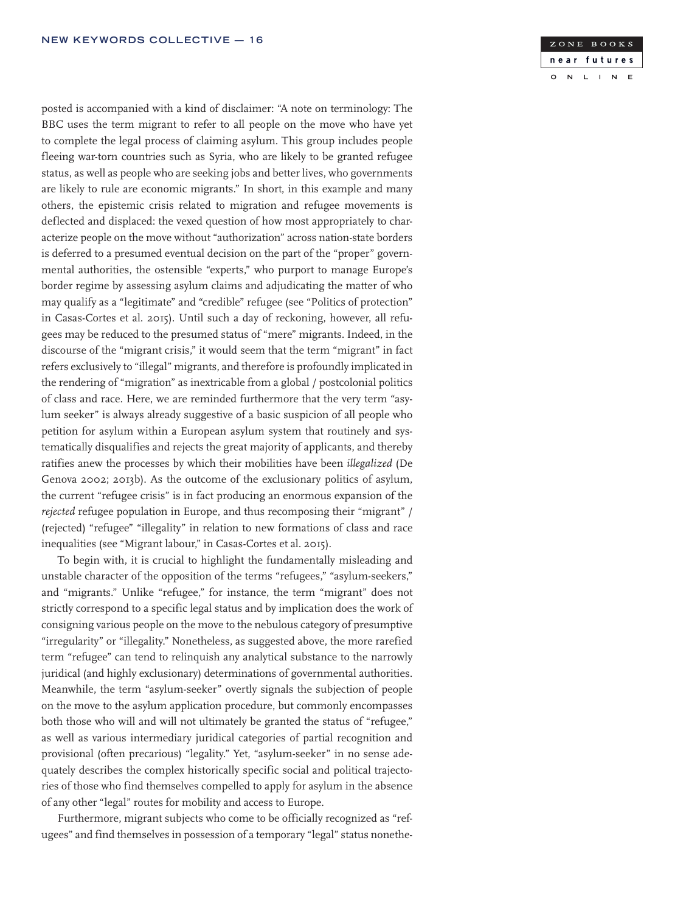posted is accompanied with a kind of disclaimer: "A note on terminology: The BBC uses the term migrant to refer to all people on the move who have yet to complete the legal process of claiming asylum. This group includes people fleeing war-torn countries such as Syria, who are likely to be granted refugee status, as well as people who are seeking jobs and better lives, who governments are likely to rule are economic migrants." In short, in this example and many others, the epistemic crisis related to migration and refugee movements is deflected and displaced: the vexed question of how most appropriately to characterize people on the move without "authorization" across nation-state borders is deferred to a presumed eventual decision on the part of the "proper" governmental authorities, the ostensible "experts," who purport to manage Europe's border regime by assessing asylum claims and adjudicating the matter of who may qualify as a "legitimate" and "credible" refugee (see "Politics of protection" in Casas-Cortes et al. 2015). Until such a day of reckoning, however, all refugees may be reduced to the presumed status of "mere" migrants. Indeed, in the discourse of the "migrant crisis," it would seem that the term "migrant" in fact refers exclusively to "illegal" migrants, and therefore is profoundly implicated in the rendering of "migration" as inextricable from a global / postcolonial politics of class and race. Here, we are reminded furthermore that the very term "asylum seeker" is always already suggestive of a basic suspicion of all people who petition for asylum within a European asylum system that routinely and systematically disqualifies and rejects the great majority of applicants, and thereby ratifies anew the processes by which their mobilities have been *illegalized* (De Genova 2002; 2013b). As the outcome of the exclusionary politics of asylum, the current "refugee crisis" is in fact producing an enormous expansion of the *rejected* refugee population in Europe, and thus recomposing their "migrant" / (rejected) "refugee" "illegality" in relation to new formations of class and race inequalities (see "Migrant labour," in Casas-Cortes et al. 2015).

To begin with, it is crucial to highlight the fundamentally misleading and unstable character of the opposition of the terms "refugees," "asylum-seekers," and "migrants." Unlike "refugee," for instance, the term "migrant" does not strictly correspond to a specific legal status and by implication does the work of consigning various people on the move to the nebulous category of presumptive "irregularity" or "illegality." Nonetheless, as suggested above, the more rarefied term "refugee" can tend to relinquish any analytical substance to the narrowly juridical (and highly exclusionary) determinations of governmental authorities. Meanwhile, the term "asylum-seeker" overtly signals the subjection of people on the move to the asylum application procedure, but commonly encompasses both those who will and will not ultimately be granted the status of "refugee," as well as various intermediary juridical categories of partial recognition and provisional (often precarious) "legality." Yet, "asylum-seeker" in no sense adequately describes the complex historically specific social and political trajectories of those who find themselves compelled to apply for asylum in the absence of any other "legal" routes for mobility and access to Europe.

Furthermore, migrant subjects who come to be officially recognized as "refugees" and find themselves in possession of a temporary "legal" status nonethe-

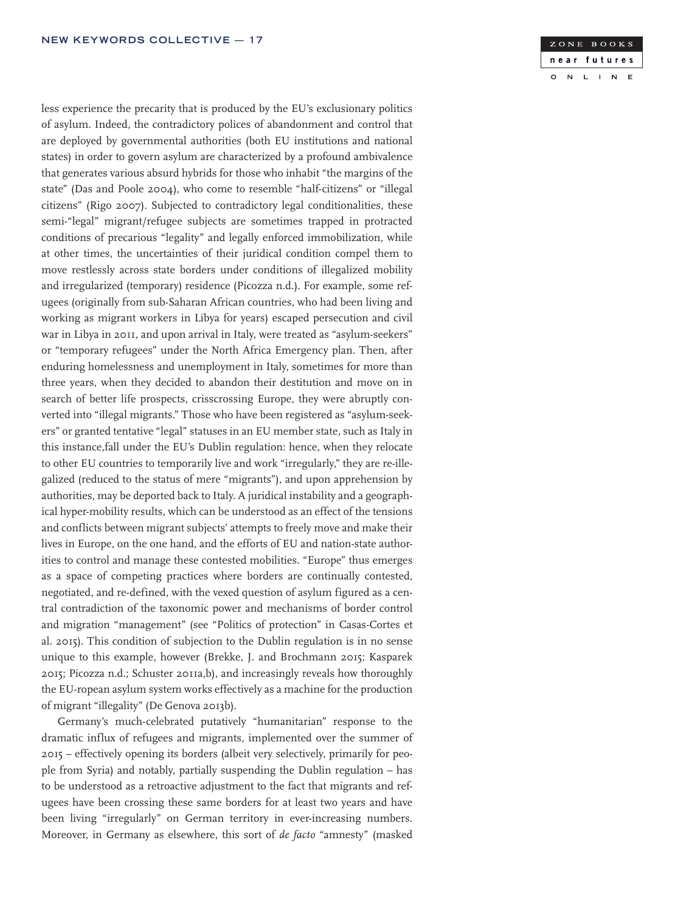less experience the precarity that is produced by the EU's exclusionary politics of asylum. Indeed, the contradictory polices of abandonment and control that are deployed by governmental authorities (both EU institutions and national states) in order to govern asylum are characterized by a profound ambivalence that generates various absurd hybrids for those who inhabit "the margins of the state" (Das and Poole 2004), who come to resemble "half-citizens" or "illegal citizens" (Rigo 2007). Subjected to contradictory legal conditionalities, these semi-"legal" migrant/refugee subjects are sometimes trapped in protracted conditions of precarious "legality" and legally enforced immobilization, while at other times, the uncertainties of their juridical condition compel them to move restlessly across state borders under conditions of illegalized mobility and irregularized (temporary) residence (Picozza n.d.). For example, some refugees (originally from sub-Saharan African countries, who had been living and working as migrant workers in Libya for years) escaped persecution and civil war in Libya in 2011, and upon arrival in Italy, were treated as "asylum-seekers" or "temporary refugees" under the North Africa Emergency plan. Then, after enduring homelessness and unemployment in Italy, sometimes for more than three years, when they decided to abandon their destitution and move on in search of better life prospects, crisscrossing Europe, they were abruptly converted into "illegal migrants." Those who have been registered as "asylum-seekers" or granted tentative "legal" statuses in an EU member state, such as Italy in this instance,fall under the EU's Dublin regulation: hence, when they relocate to other EU countries to temporarily live and work "irregularly," they are re-illegalized (reduced to the status of mere "migrants"), and upon apprehension by authorities, may be deported back to Italy. A juridical instability and a geographical hyper-mobility results, which can be understood as an effect of the tensions and conflicts between migrant subjects' attempts to freely move and make their lives in Europe, on the one hand, and the efforts of EU and nation-state authorities to control and manage these contested mobilities. "Europe" thus emerges as a space of competing practices where borders are continually contested, negotiated, and re-defined, with the vexed question of asylum figured as a central contradiction of the taxonomic power and mechanisms of border control and migration "management" (see "Politics of protection" in Casas-Cortes et al. 2015). This condition of subjection to the Dublin regulation is in no sense unique to this example, however (Brekke, J. and Brochmann 2015; Kasparek 2015; Picozza n.d.; Schuster 2011a,b), and increasingly reveals how thoroughly the EU-ropean asylum system works effectively as a machine for the production of migrant "illegality" (De Genova 2013b).

Germany's much-celebrated putatively "humanitarian" response to the dramatic influx of refugees and migrants, implemented over the summer of 2015 – effectively opening its borders (albeit very selectively, primarily for people from Syria) and notably, partially suspending the Dublin regulation – has to be understood as a retroactive adjustment to the fact that migrants and refugees have been crossing these same borders for at least two years and have been living "irregularly" on German territory in ever-increasing numbers. Moreover, in Germany as elsewhere, this sort of *de facto* "amnesty" (masked

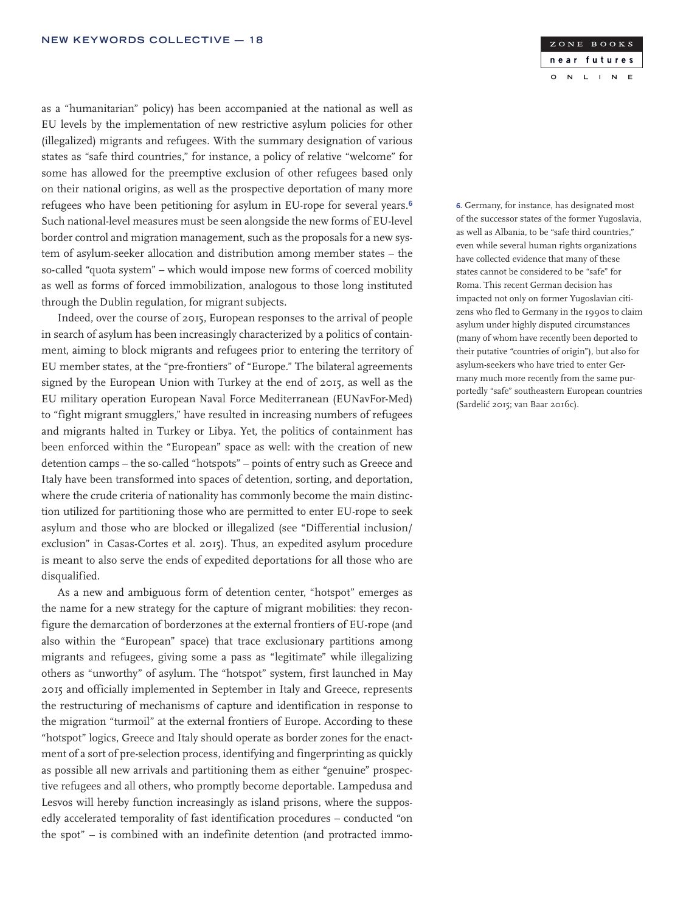as a "humanitarian" policy) has been accompanied at the national as well as EU levels by the implementation of new restrictive asylum policies for other (illegalized) migrants and refugees. With the summary designation of various states as "safe third countries," for instance, a policy of relative "welcome" for some has allowed for the preemptive exclusion of other refugees based only on their national origins, as well as the prospective deportation of many more refugees who have been petitioning for asylum in EU-rope for several years.<sup>6</sup> Such national-level measures must be seen alongside the new forms of EU-level border control and migration management, such as the proposals for a new system of asylum-seeker allocation and distribution among member states – the so-called "quota system" – which would impose new forms of coerced mobility as well as forms of forced immobilization, analogous to those long instituted through the Dublin regulation, for migrant subjects.

Indeed, over the course of 2015, European responses to the arrival of people in search of asylum has been increasingly characterized by a politics of containment, aiming to block migrants and refugees prior to entering the territory of EU member states, at the "pre-frontiers" of "Europe." The bilateral agreements signed by the European Union with Turkey at the end of 2015, as well as the EU military operation European Naval Force Mediterranean (EUNavFor-Med) to "fight migrant smugglers," have resulted in increasing numbers of refugees and migrants halted in Turkey or Libya. Yet, the politics of containment has been enforced within the "European" space as well: with the creation of new detention camps – the so-called "hotspots" – points of entry such as Greece and Italy have been transformed into spaces of detention, sorting, and deportation, where the crude criteria of nationality has commonly become the main distinction utilized for partitioning those who are permitted to enter EU-rope to seek asylum and those who are blocked or illegalized (see "Differential inclusion/ exclusion" in Casas-Cortes et al. 2015). Thus, an expedited asylum procedure is meant to also serve the ends of expedited deportations for all those who are disqualified.

As a new and ambiguous form of detention center, "hotspot" emerges as the name for a new strategy for the capture of migrant mobilities: they reconfigure the demarcation of borderzones at the external frontiers of EU-rope (and also within the "European" space) that trace exclusionary partitions among migrants and refugees, giving some a pass as "legitimate" while illegalizing others as "unworthy" of asylum. The "hotspot" system, first launched in May 2015 and officially implemented in September in Italy and Greece, represents the restructuring of mechanisms of capture and identification in response to the migration "turmoil" at the external frontiers of Europe. According to these "hotspot" logics, Greece and Italy should operate as border zones for the enactment of a sort of pre-selection process, identifying and fingerprinting as quickly as possible all new arrivals and partitioning them as either "genuine" prospective refugees and all others, who promptly become deportable. Lampedusa and Lesvos will hereby function increasingly as island prisons, where the supposedly accelerated temporality of fast identification procedures – conducted "on the spot" – is combined with an indefinite detention (and protracted immoZONE BOOKS near futures  $\overline{N}$  $\mathsf{L}$  $\mathbb{N}$  $E$  $\circ$  $\mathbf{I}$ 

6. Germany, for instance, has designated most of the successor states of the former Yugoslavia, as well as Albania, to be "safe third countries," even while several human rights organizations have collected evidence that many of these states cannot be considered to be "safe" for Roma. This recent German decision has impacted not only on former Yugoslavian citizens who fled to Germany in the 1990s to claim asylum under highly disputed circumstances (many of whom have recently been deported to their putative "countries of origin"), but also for asylum-seekers who have tried to enter Germany much more recently from the same purportedly "safe" southeastern European countries (Sardelić 2015; van Baar 2016c).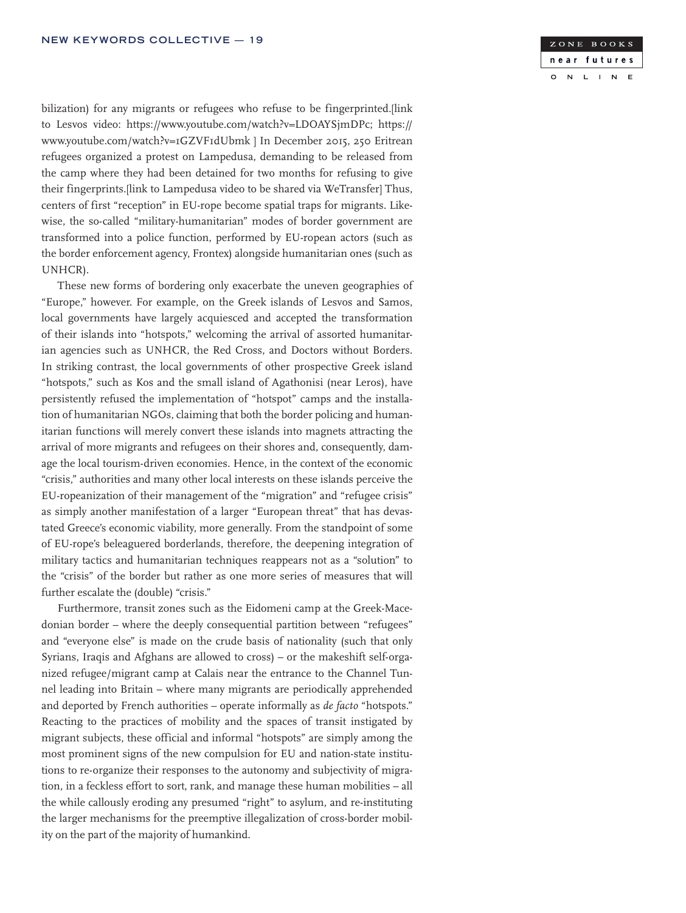

bilization) for any migrants or refugees who refuse to be fingerprinted.[link] to Lesvos video: https://www.youtube.com/watch?v=LDOAYSjmDPc; https:// www.youtube.com/watch?v=1GZVF1dUbmk ] In December 2015, 250 Eritrean refugees organized a protest on Lampedusa, demanding to be released from the camp where they had been detained for two months for refusing to give their fingerprints.[link to Lampedusa video to be shared via WeTransfer] Thus, centers of first "reception" in EU-rope become spatial traps for migrants. Likewise, the so-called "military-humanitarian" modes of border government are transformed into a police function, performed by EU-ropean actors (such as the border enforcement agency, Frontex) alongside humanitarian ones (such as UNHCR).

These new forms of bordering only exacerbate the uneven geographies of "Europe," however. For example, on the Greek islands of Lesvos and Samos, local governments have largely acquiesced and accepted the transformation of their islands into "hotspots," welcoming the arrival of assorted humanitarian agencies such as UNHCR, the Red Cross, and Doctors without Borders. In striking contrast, the local governments of other prospective Greek island "hotspots," such as Kos and the small island of Agathonisi (near Leros), have persistently refused the implementation of "hotspot" camps and the installation of humanitarian NGOs, claiming that both the border policing and humanitarian functions will merely convert these islands into magnets attracting the arrival of more migrants and refugees on their shores and, consequently, damage the local tourism-driven economies. Hence, in the context of the economic "crisis," authorities and many other local interests on these islands perceive the EU-ropeanization of their management of the "migration" and "refugee crisis" as simply another manifestation of a larger "European threat" that has devastated Greece's economic viability, more generally. From the standpoint of some of EU-rope's beleaguered borderlands, therefore, the deepening integration of military tactics and humanitarian techniques reappears not as a "solution" to the "crisis" of the border but rather as one more series of measures that will further escalate the (double) "crisis."

Furthermore, transit zones such as the Eidomeni camp at the Greek-Macedonian border – where the deeply consequential partition between "refugees" and "everyone else" is made on the crude basis of nationality (such that only Syrians, Iraqis and Afghans are allowed to cross) – or the makeshift self-organized refugee/migrant camp at Calais near the entrance to the Channel Tunnel leading into Britain – where many migrants are periodically apprehended and deported by French authorities – operate informally as *de facto* "hotspots." Reacting to the practices of mobility and the spaces of transit instigated by migrant subjects, these official and informal "hotspots" are simply among the most prominent signs of the new compulsion for EU and nation-state institutions to re-organize their responses to the autonomy and subjectivity of migration, in a feckless effort to sort, rank, and manage these human mobilities – all the while callously eroding any presumed "right" to asylum, and re-instituting the larger mechanisms for the preemptive illegalization of cross-border mobility on the part of the majority of humankind.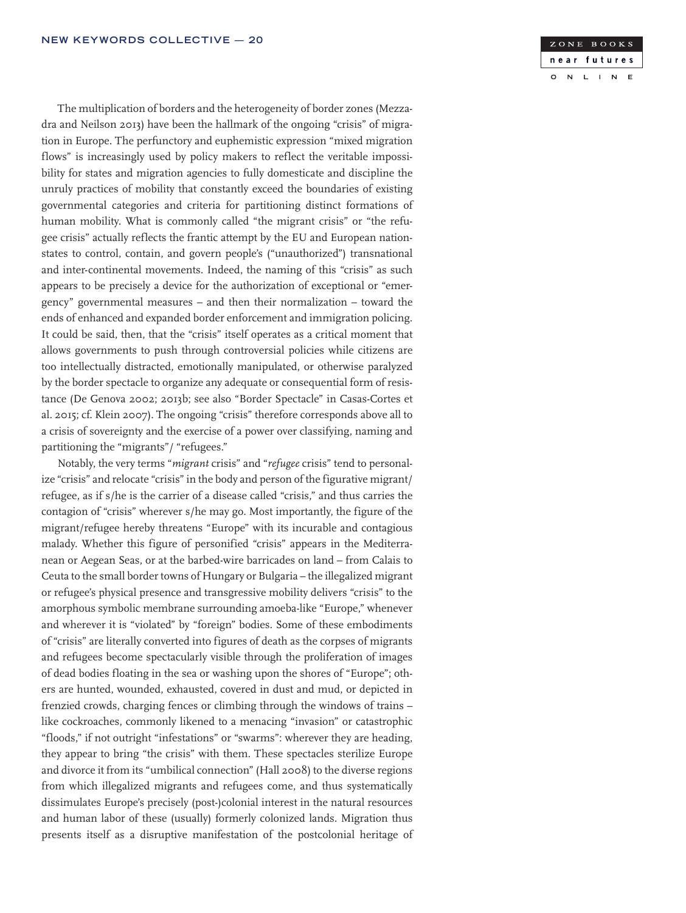The multiplication of borders and the heterogeneity of border zones (Mezzadra and Neilson 2013) have been the hallmark of the ongoing "crisis" of migration in Europe. The perfunctory and euphemistic expression "mixed migration flows" is increasingly used by policy makers to reflect the veritable impossibility for states and migration agencies to fully domesticate and discipline the unruly practices of mobility that constantly exceed the boundaries of existing governmental categories and criteria for partitioning distinct formations of human mobility. What is commonly called "the migrant crisis" or "the refugee crisis" actually reflects the frantic attempt by the EU and European nationstates to control, contain, and govern people's ("unauthorized") transnational and inter-continental movements. Indeed, the naming of this "crisis" as such appears to be precisely a device for the authorization of exceptional or "emergency" governmental measures – and then their normalization – toward the ends of enhanced and expanded border enforcement and immigration policing. It could be said, then, that the "crisis" itself operates as a critical moment that allows governments to push through controversial policies while citizens are too intellectually distracted, emotionally manipulated, or otherwise paralyzed by the border spectacle to organize any adequate or consequential form of resistance (De Genova 2002; 2013b; see also "Border Spectacle" in Casas-Cortes et al. 2015; cf. Klein 2007). The ongoing "crisis" therefore corresponds above all to a crisis of sovereignty and the exercise of a power over classifying, naming and partitioning the "migrants"/ "refugees."

Notably, the very terms "*migrant* crisis" and "*refugee* crisis" tend to personalize "crisis" and relocate "crisis" in the body and person of the figurative migrant/ refugee, as if s/he is the carrier of a disease called "crisis," and thus carries the contagion of "crisis" wherever s/he may go. Most importantly, the figure of the migrant/refugee hereby threatens "Europe" with its incurable and contagious malady. Whether this figure of personified "crisis" appears in the Mediterranean or Aegean Seas, or at the barbed-wire barricades on land – from Calais to Ceuta to the small border towns of Hungary or Bulgaria – the illegalized migrant or refugee's physical presence and transgressive mobility delivers "crisis" to the amorphous symbolic membrane surrounding amoeba-like "Europe," whenever and wherever it is "violated" by "foreign" bodies. Some of these embodiments of "crisis" are literally converted into figures of death as the corpses of migrants and refugees become spectacularly visible through the proliferation of images of dead bodies floating in the sea or washing upon the shores of "Europe"; others are hunted, wounded, exhausted, covered in dust and mud, or depicted in frenzied crowds, charging fences or climbing through the windows of trains – like cockroaches, commonly likened to a menacing "invasion" or catastrophic "floods," if not outright "infestations" or "swarms": wherever they are heading, they appear to bring "the crisis" with them. These spectacles sterilize Europe and divorce it from its "umbilical connection" (Hall 2008) to the diverse regions from which illegalized migrants and refugees come, and thus systematically dissimulates Europe's precisely (post-)colonial interest in the natural resources and human labor of these (usually) formerly colonized lands. Migration thus presents itself as a disruptive manifestation of the postcolonial heritage of

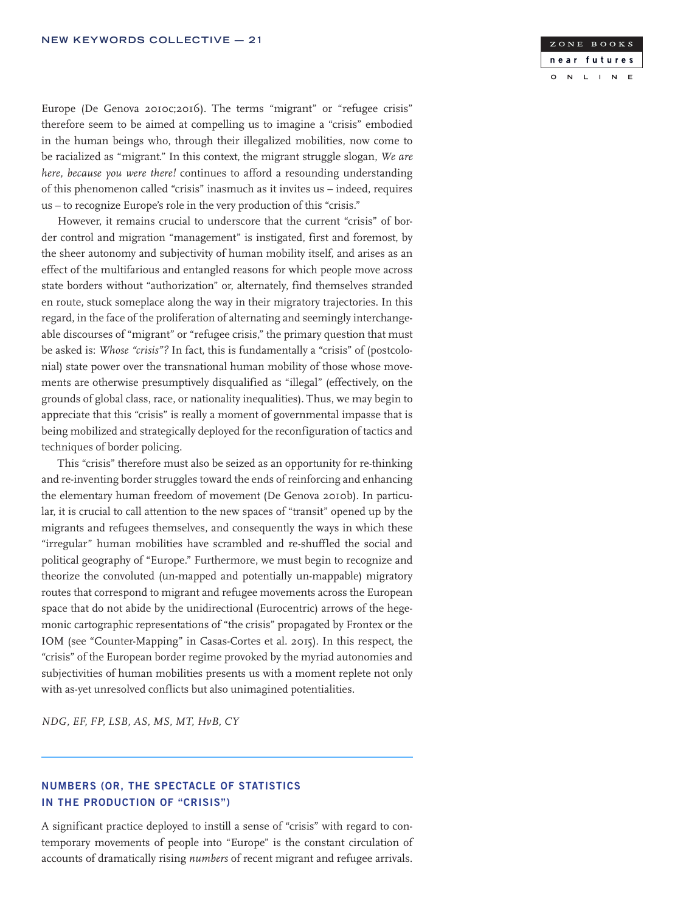ZONE BOOKS near futures  $\overline{N}$  $\mathbf{L}$  $\overline{1}$  $\overline{\mathsf{N}}$  $\mathbf{E}$  $\circ$ 

Europe (De Genova 2010c;2016). The terms "migrant" or "refugee crisis" therefore seem to be aimed at compelling us to imagine a "crisis" embodied in the human beings who, through their illegalized mobilities, now come to be racialized as "migrant." In this context, the migrant struggle slogan, *We are here, because you were there!* continues to afford a resounding understanding of this phenomenon called "crisis" inasmuch as it invites us – indeed, requires us – to recognize Europe's role in the very production of this "crisis."

However, it remains crucial to underscore that the current "crisis" of border control and migration "management" is instigated, first and foremost, by the sheer autonomy and subjectivity of human mobility itself, and arises as an effect of the multifarious and entangled reasons for which people move across state borders without "authorization" or, alternately, find themselves stranded en route, stuck someplace along the way in their migratory trajectories. In this regard, in the face of the proliferation of alternating and seemingly interchangeable discourses of "migrant" or "refugee crisis," the primary question that must be asked is: *Whose "crisis"?* In fact, this is fundamentally a "crisis" of (postcolonial) state power over the transnational human mobility of those whose movements are otherwise presumptively disqualified as "illegal" (effectively, on the grounds of global class, race, or nationality inequalities). Thus, we may begin to appreciate that this "crisis" is really a moment of governmental impasse that is being mobilized and strategically deployed for the reconfiguration of tactics and techniques of border policing.

This "crisis" therefore must also be seized as an opportunity for re-thinking and re-inventing border struggles toward the ends of reinforcing and enhancing the elementary human freedom of movement (De Genova 2010b). In particular, it is crucial to call attention to the new spaces of "transit" opened up by the migrants and refugees themselves, and consequently the ways in which these "irregular" human mobilities have scrambled and re-shuffled the social and political geography of "Europe." Furthermore, we must begin to recognize and theorize the convoluted (un-mapped and potentially un-mappable) migratory routes that correspond to migrant and refugee movements across the European space that do not abide by the unidirectional (Eurocentric) arrows of the hegemonic cartographic representations of "the crisis" propagated by Frontex or the IOM (see "Counter-Mapping" in Casas-Cortes et al. 2015). In this respect, the "crisis" of the European border regime provoked by the myriad autonomies and subjectivities of human mobilities presents us with a moment replete not only with as-yet unresolved conflicts but also unimagined potentialities.

*NDG, EF, FP, LSB, AS, MS, MT, HvB, CY*

# NUMBERS (OR, THE SPECTACLE OF STATISTICS IN THE PRODUCTION OF "CRISIS")

A significant practice deployed to instill a sense of "crisis" with regard to contemporary movements of people into "Europe" is the constant circulation of accounts of dramatically rising *numbers* of recent migrant and refugee arrivals.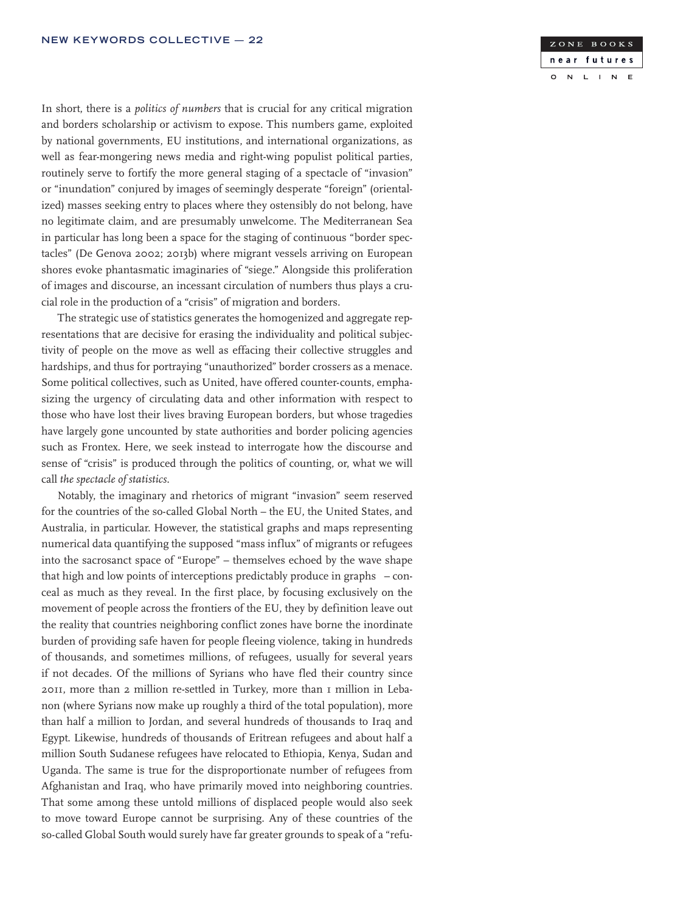In short, there is a *politics of numbers* that is crucial for any critical migration and borders scholarship or activism to expose. This numbers game, exploited by national governments, EU institutions, and international organizations, as well as fear-mongering news media and right-wing populist political parties, routinely serve to fortify the more general staging of a spectacle of "invasion" or "inundation" conjured by images of seemingly desperate "foreign" (orientalized) masses seeking entry to places where they ostensibly do not belong, have no legitimate claim, and are presumably unwelcome. The Mediterranean Sea in particular has long been a space for the staging of continuous "border spectacles" (De Genova 2002; 2013b) where migrant vessels arriving on European shores evoke phantasmatic imaginaries of "siege." Alongside this proliferation of images and discourse, an incessant circulation of numbers thus plays a crucial role in the production of a "crisis" of migration and borders.

The strategic use of statistics generates the homogenized and aggregate representations that are decisive for erasing the individuality and political subjectivity of people on the move as well as effacing their collective struggles and hardships, and thus for portraying "unauthorized" border crossers as a menace. Some political collectives, such as United, have offered counter-counts, emphasizing the urgency of circulating data and other information with respect to those who have lost their lives braving European borders, but whose tragedies have largely gone uncounted by state authorities and border policing agencies such as Frontex. Here, we seek instead to interrogate how the discourse and sense of "crisis" is produced through the politics of counting, or, what we will call *the spectacle of statistics*.

Notably, the imaginary and rhetorics of migrant "invasion" seem reserved for the countries of the so-called Global North – the EU, the United States, and Australia, in particular. However, the statistical graphs and maps representing numerical data quantifying the supposed "mass influx" of migrants or refugees into the sacrosanct space of "Europe" – themselves echoed by the wave shape that high and low points of interceptions predictably produce in graphs – conceal as much as they reveal. In the first place, by focusing exclusively on the movement of people across the frontiers of the EU, they by definition leave out the reality that countries neighboring conflict zones have borne the inordinate burden of providing safe haven for people fleeing violence, taking in hundreds of thousands, and sometimes millions, of refugees, usually for several years if not decades. Of the millions of Syrians who have fled their country since 2011, more than 2 million re-settled in Turkey, more than 1 million in Lebanon (where Syrians now make up roughly a third of the total population), more than half a million to Jordan, and several hundreds of thousands to Iraq and Egypt. Likewise, hundreds of thousands of Eritrean refugees and about half a million South Sudanese refugees have relocated to Ethiopia, Kenya, Sudan and Uganda. The same is true for the disproportionate number of refugees from Afghanistan and Iraq, who have primarily moved into neighboring countries. That some among these untold millions of displaced people would also seek to move toward Europe cannot be surprising. Any of these countries of the so-called Global South would surely have far greater grounds to speak of a "refu-

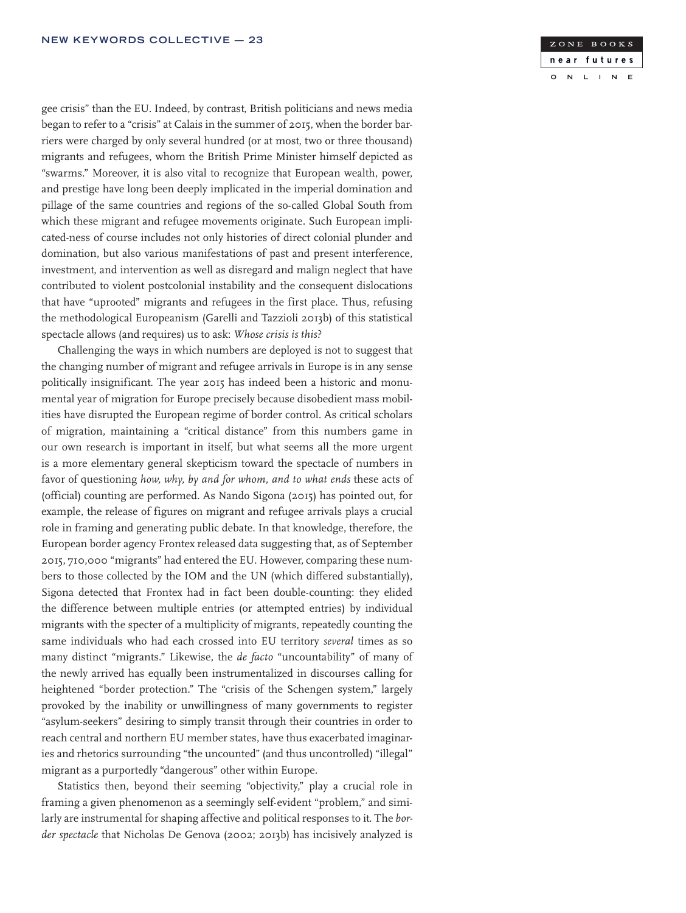gee crisis" than the EU. Indeed, by contrast, British politicians and news media began to refer to a "crisis" at Calais in the summer of 2015, when the border barriers were charged by only several hundred (or at most, two or three thousand) migrants and refugees, whom the British Prime Minister himself depicted as "swarms." Moreover, it is also vital to recognize that European wealth, power, and prestige have long been deeply implicated in the imperial domination and pillage of the same countries and regions of the so-called Global South from which these migrant and refugee movements originate. Such European implicated-ness of course includes not only histories of direct colonial plunder and domination, but also various manifestations of past and present interference, investment, and intervention as well as disregard and malign neglect that have contributed to violent postcolonial instability and the consequent dislocations that have "uprooted" migrants and refugees in the first place. Thus, refusing the methodological Europeanism (Garelli and Tazzioli 2013b) of this statistical spectacle allows (and requires) us to ask: *Whose crisis is this*?

Challenging the ways in which numbers are deployed is not to suggest that the changing number of migrant and refugee arrivals in Europe is in any sense politically insignificant. The year 2015 has indeed been a historic and monumental year of migration for Europe precisely because disobedient mass mobilities have disrupted the European regime of border control. As critical scholars of migration, maintaining a "critical distance" from this numbers game in our own research is important in itself, but what seems all the more urgent is a more elementary general skepticism toward the spectacle of numbers in favor of questioning *how, why, by and for whom, and to what ends* these acts of (official) counting are performed. As Nando Sigona (2015) has pointed out, for example, the release of figures on migrant and refugee arrivals plays a crucial role in framing and generating public debate. In that knowledge, therefore, the European border agency Frontex released data suggesting that, as of September 2015, 710,000 "migrants" had entered the EU. However, comparing these numbers to those collected by the IOM and the UN (which differed substantially), Sigona detected that Frontex had in fact been double-counting: they elided the difference between multiple entries (or attempted entries) by individual migrants with the specter of a multiplicity of migrants, repeatedly counting the same individuals who had each crossed into EU territory *several* times as so many distinct "migrants." Likewise, the *de facto* "uncountability" of many of the newly arrived has equally been instrumentalized in discourses calling for heightened "border protection." The "crisis of the Schengen system," largely provoked by the inability or unwillingness of many governments to register "asylum-seekers" desiring to simply transit through their countries in order to reach central and northern EU member states, have thus exacerbated imaginaries and rhetorics surrounding "the uncounted" (and thus uncontrolled) "illegal" migrant as a purportedly "dangerous" other within Europe.

Statistics then, beyond their seeming "objectivity," play a crucial role in framing a given phenomenon as a seemingly self-evident "problem," and similarly are instrumental for shaping affective and political responses to it. The *border spectacle* that Nicholas De Genova (2002; 2013b) has incisively analyzed is

#### ZONE BOOKS near futures  $\overline{N}$  $\mathbf{L}$  $\overline{\mathsf{N}}$  $E$  $\circ$  $\mathbf{I}$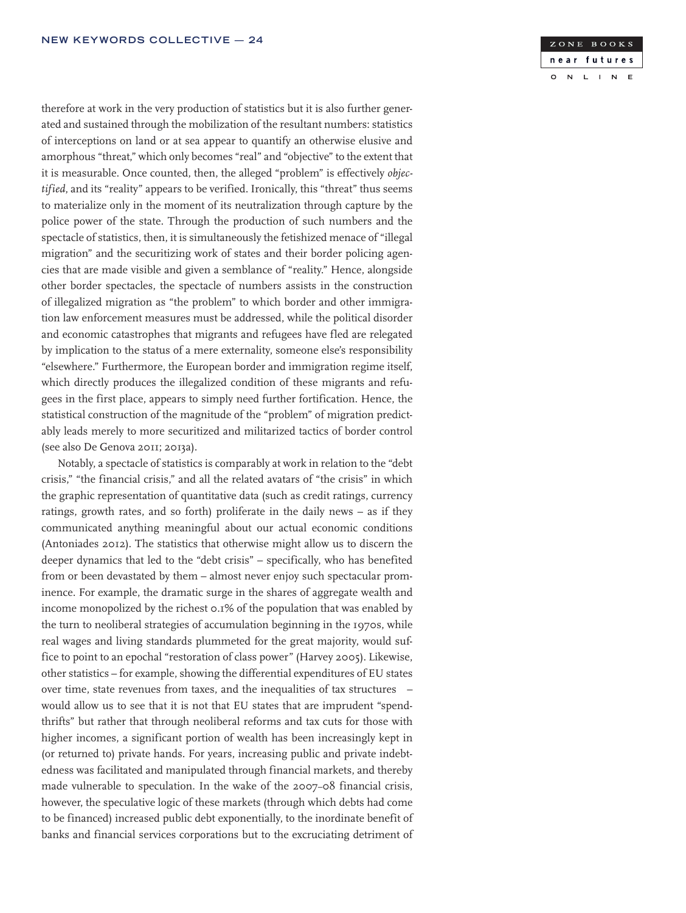therefore at work in the very production of statistics but it is also further generated and sustained through the mobilization of the resultant numbers: statistics of interceptions on land or at sea appear to quantify an otherwise elusive and amorphous "threat," which only becomes "real" and "objective" to the extent that it is measurable. Once counted, then, the alleged "problem" is effectively *objectified*, and its "reality" appears to be verified. Ironically, this "threat" thus seems to materialize only in the moment of its neutralization through capture by the police power of the state. Through the production of such numbers and the spectacle of statistics, then, it is simultaneously the fetishized menace of "illegal migration" and the securitizing work of states and their border policing agencies that are made visible and given a semblance of "reality." Hence, alongside other border spectacles, the spectacle of numbers assists in the construction of illegalized migration as "the problem" to which border and other immigration law enforcement measures must be addressed, while the political disorder and economic catastrophes that migrants and refugees have fled are relegated by implication to the status of a mere externality, someone else's responsibility "elsewhere." Furthermore, the European border and immigration regime itself, which directly produces the illegalized condition of these migrants and refugees in the first place, appears to simply need further fortification. Hence, the statistical construction of the magnitude of the "problem" of migration predictably leads merely to more securitized and militarized tactics of border control (see also De Genova 2011; 2013a).

Notably, a spectacle of statistics is comparably at work in relation to the "debt crisis," "the financial crisis," and all the related avatars of "the crisis" in which the graphic representation of quantitative data (such as credit ratings, currency ratings, growth rates, and so forth) proliferate in the daily news – as if they communicated anything meaningful about our actual economic conditions (Antoniades 2012). The statistics that otherwise might allow us to discern the deeper dynamics that led to the "debt crisis" – specifically, who has benefited from or been devastated by them – almost never enjoy such spectacular prominence. For example, the dramatic surge in the shares of aggregate wealth and income monopolized by the richest 0.1% of the population that was enabled by the turn to neoliberal strategies of accumulation beginning in the 1970s, while real wages and living standards plummeted for the great majority, would suffice to point to an epochal "restoration of class power" (Harvey 2005). Likewise, other statistics – for example, showing the differential expenditures of EU states over time, state revenues from taxes, and the inequalities of tax structures – would allow us to see that it is not that EU states that are imprudent "spendthrifts" but rather that through neoliberal reforms and tax cuts for those with higher incomes, a significant portion of wealth has been increasingly kept in (or returned to) private hands. For years, increasing public and private indebtedness was facilitated and manipulated through financial markets, and thereby made vulnerable to speculation. In the wake of the 2007–08 financial crisis, however, the speculative logic of these markets (through which debts had come to be financed) increased public debt exponentially, to the inordinate benefit of banks and financial services corporations but to the excruciating detriment of

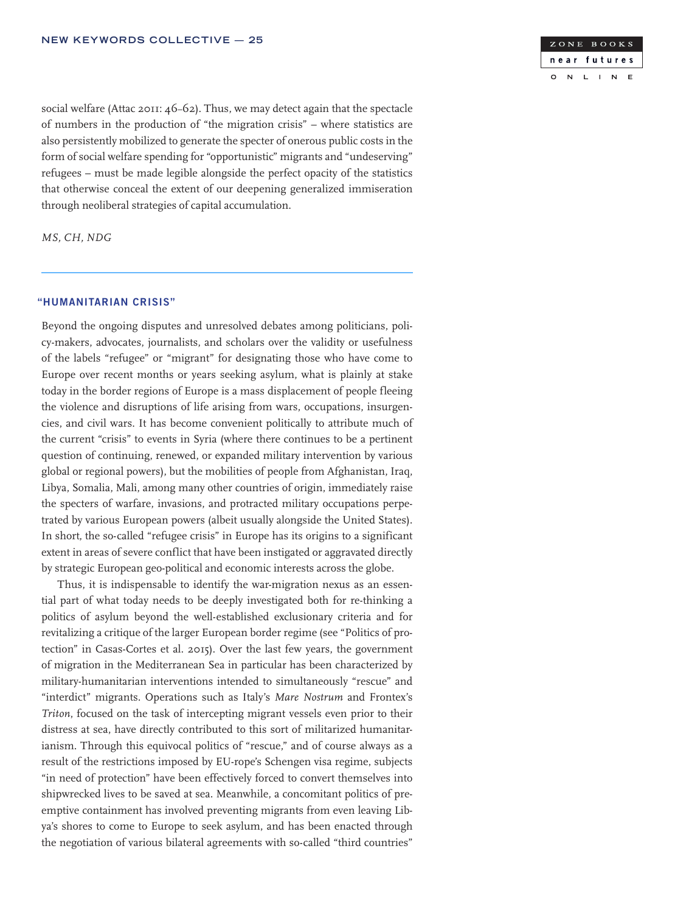

social welfare (Attac 2011: 46–62). Thus, we may detect again that the spectacle of numbers in the production of "the migration crisis" – where statistics are also persistently mobilized to generate the specter of onerous public costs in the form of social welfare spending for "opportunistic" migrants and "undeserving" refugees – must be made legible alongside the perfect opacity of the statistics that otherwise conceal the extent of our deepening generalized immiseration through neoliberal strategies of capital accumulation.

*MS, CH, NDG*

### "HUMANITARIAN CRISIS"

Beyond the ongoing disputes and unresolved debates among politicians, policy-makers, advocates, journalists, and scholars over the validity or usefulness of the labels "refugee" or "migrant" for designating those who have come to Europe over recent months or years seeking asylum, what is plainly at stake today in the border regions of Europe is a mass displacement of people fleeing the violence and disruptions of life arising from wars, occupations, insurgencies, and civil wars. It has become convenient politically to attribute much of the current "crisis" to events in Syria (where there continues to be a pertinent question of continuing, renewed, or expanded military intervention by various global or regional powers), but the mobilities of people from Afghanistan, Iraq, Libya, Somalia, Mali, among many other countries of origin, immediately raise the specters of warfare, invasions, and protracted military occupations perpetrated by various European powers (albeit usually alongside the United States). In short, the so-called "refugee crisis" in Europe has its origins to a significant extent in areas of severe conflict that have been instigated or aggravated directly by strategic European geo-political and economic interests across the globe.

Thus, it is indispensable to identify the war-migration nexus as an essential part of what today needs to be deeply investigated both for re-thinking a politics of asylum beyond the well-established exclusionary criteria and for revitalizing a critique of the larger European border regime (see "Politics of protection" in Casas-Cortes et al. 2015). Over the last few years, the government of migration in the Mediterranean Sea in particular has been characterized by military-humanitarian interventions intended to simultaneously "rescue" and "interdict" migrants. Operations such as Italy's *Mare Nostrum* and Frontex's *Triton*, focused on the task of intercepting migrant vessels even prior to their distress at sea, have directly contributed to this sort of militarized humanitarianism. Through this equivocal politics of "rescue," and of course always as a result of the restrictions imposed by EU-rope's Schengen visa regime, subjects "in need of protection" have been effectively forced to convert themselves into shipwrecked lives to be saved at sea. Meanwhile, a concomitant politics of preemptive containment has involved preventing migrants from even leaving Libya's shores to come to Europe to seek asylum, and has been enacted through the negotiation of various bilateral agreements with so-called "third countries"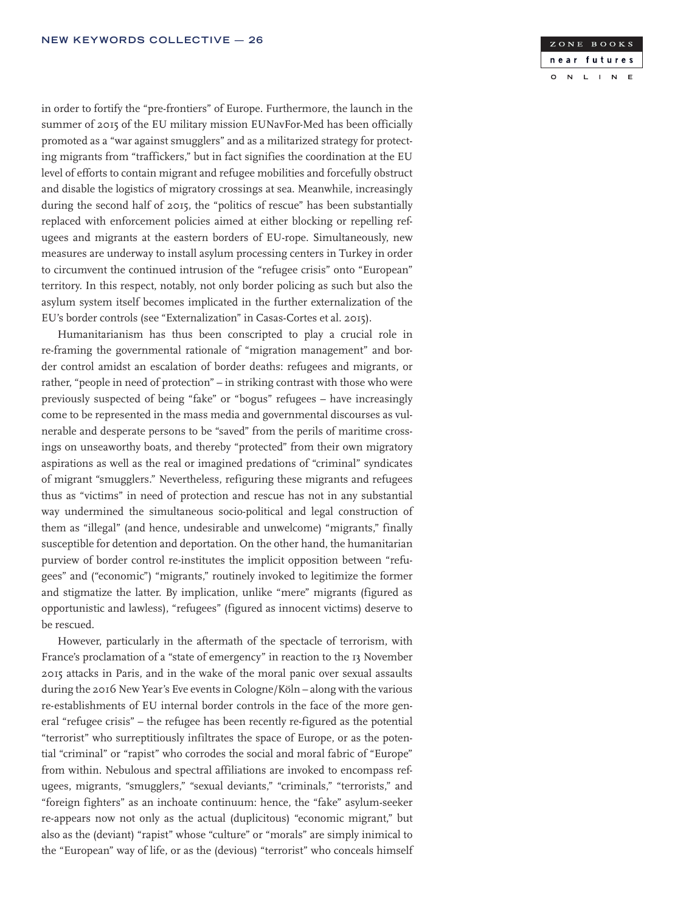ZONE BOOKS near futures  $\overline{N}$  $\mathbf{L}$  $\mathbf{I}$  $\overline{N}$  $E$  $\circ$ 

in order to fortify the "pre-frontiers" of Europe. Furthermore, the launch in the summer of 2015 of the EU military mission EUNavFor-Med has been officially promoted as a "war against smugglers" and as a militarized strategy for protecting migrants from "traffickers," but in fact signifies the coordination at the EU level of efforts to contain migrant and refugee mobilities and forcefully obstruct and disable the logistics of migratory crossings at sea. Meanwhile, increasingly during the second half of 2015, the "politics of rescue" has been substantially replaced with enforcement policies aimed at either blocking or repelling refugees and migrants at the eastern borders of EU-rope. Simultaneously, new measures are underway to install asylum processing centers in Turkey in order to circumvent the continued intrusion of the "refugee crisis" onto "European" territory. In this respect, notably, not only border policing as such but also the asylum system itself becomes implicated in the further externalization of the EU's border controls (see "Externalization" in Casas-Cortes et al. 2015).

Humanitarianism has thus been conscripted to play a crucial role in re-framing the governmental rationale of "migration management" and border control amidst an escalation of border deaths: refugees and migrants, or rather, "people in need of protection" – in striking contrast with those who were previously suspected of being "fake" or "bogus" refugees – have increasingly come to be represented in the mass media and governmental discourses as vulnerable and desperate persons to be "saved" from the perils of maritime crossings on unseaworthy boats, and thereby "protected" from their own migratory aspirations as well as the real or imagined predations of "criminal" syndicates of migrant "smugglers." Nevertheless, refiguring these migrants and refugees thus as "victims" in need of protection and rescue has not in any substantial way undermined the simultaneous socio-political and legal construction of them as "illegal" (and hence, undesirable and unwelcome) "migrants," finally susceptible for detention and deportation. On the other hand, the humanitarian purview of border control re-institutes the implicit opposition between "refugees" and ("economic") "migrants," routinely invoked to legitimize the former and stigmatize the latter. By implication, unlike "mere" migrants (figured as opportunistic and lawless), "refugees" (figured as innocent victims) deserve to be rescued.

However, particularly in the aftermath of the spectacle of terrorism, with France's proclamation of a "state of emergency" in reaction to the 13 November 2015 attacks in Paris, and in the wake of the moral panic over sexual assaults during the 2016 New Year's Eve events in Cologne/Köln – along with the various re-establishments of EU internal border controls in the face of the more general "refugee crisis" – the refugee has been recently re-figured as the potential "terrorist" who surreptitiously infiltrates the space of Europe, or as the potential "criminal" or "rapist" who corrodes the social and moral fabric of "Europe" from within. Nebulous and spectral affiliations are invoked to encompass refugees, migrants, "smugglers," "sexual deviants," "criminals," "terrorists," and "foreign fighters" as an inchoate continuum: hence, the "fake" asylum-seeker re-appears now not only as the actual (duplicitous) "economic migrant," but also as the (deviant) "rapist" whose "culture" or "morals" are simply inimical to the "European" way of life, or as the (devious) "terrorist" who conceals himself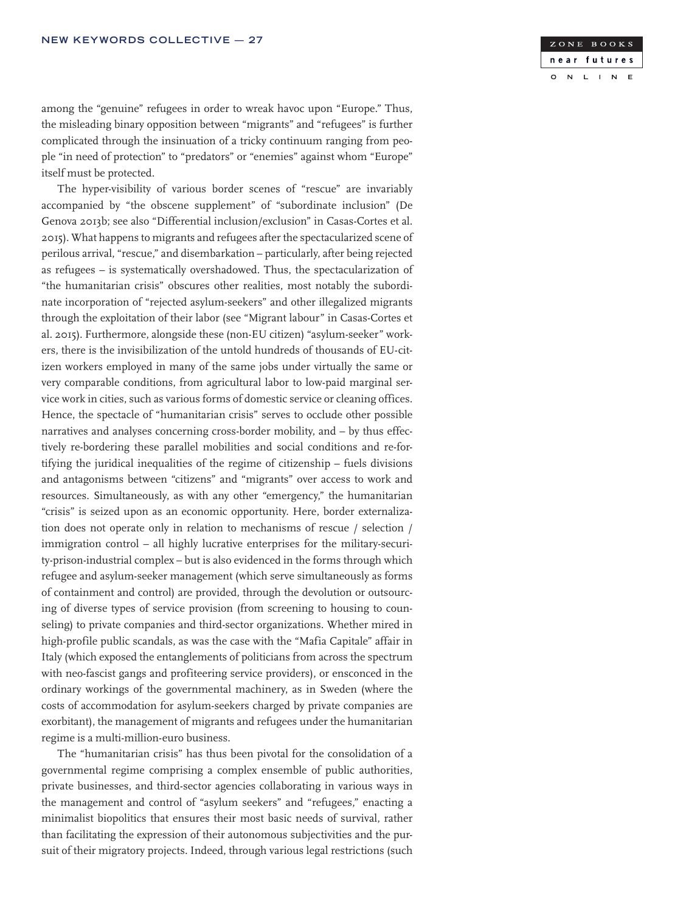

among the "genuine" refugees in order to wreak havoc upon "Europe." Thus, the misleading binary opposition between "migrants" and "refugees" is further complicated through the insinuation of a tricky continuum ranging from people "in need of protection" to "predators" or "enemies" against whom "Europe" itself must be protected.

The hyper-visibility of various border scenes of "rescue" are invariably accompanied by "the obscene supplement" of "subordinate inclusion" (De Genova 2013b; see also "Differential inclusion/exclusion" in Casas-Cortes et al. 2015). What happens to migrants and refugees after the spectacularized scene of perilous arrival, "rescue," and disembarkation – particularly, after being rejected as refugees – is systematically overshadowed. Thus, the spectacularization of "the humanitarian crisis" obscures other realities, most notably the subordinate incorporation of "rejected asylum-seekers" and other illegalized migrants through the exploitation of their labor (see "Migrant labour" in Casas-Cortes et al. 2015). Furthermore, alongside these (non-EU citizen) "asylum-seeker" workers, there is the invisibilization of the untold hundreds of thousands of EU-citizen workers employed in many of the same jobs under virtually the same or very comparable conditions, from agricultural labor to low-paid marginal service work in cities, such as various forms of domestic service or cleaning offices. Hence, the spectacle of "humanitarian crisis" serves to occlude other possible narratives and analyses concerning cross-border mobility, and – by thus effectively re-bordering these parallel mobilities and social conditions and re-fortifying the juridical inequalities of the regime of citizenship – fuels divisions and antagonisms between "citizens" and "migrants" over access to work and resources. Simultaneously, as with any other "emergency," the humanitarian "crisis" is seized upon as an economic opportunity. Here, border externalization does not operate only in relation to mechanisms of rescue / selection / immigration control – all highly lucrative enterprises for the military-security-prison-industrial complex – but is also evidenced in the forms through which refugee and asylum-seeker management (which serve simultaneously as forms of containment and control) are provided, through the devolution or outsourcing of diverse types of service provision (from screening to housing to counseling) to private companies and third-sector organizations. Whether mired in high-profile public scandals, as was the case with the "Mafia Capitale" affair in Italy (which exposed the entanglements of politicians from across the spectrum with neo-fascist gangs and profiteering service providers), or ensconced in the ordinary workings of the governmental machinery, as in Sweden (where the costs of accommodation for asylum-seekers charged by private companies are exorbitant), the management of migrants and refugees under the humanitarian regime is a multi-million-euro business.

The "humanitarian crisis" has thus been pivotal for the consolidation of a governmental regime comprising a complex ensemble of public authorities, private businesses, and third-sector agencies collaborating in various ways in the management and control of "asylum seekers" and "refugees," enacting a minimalist biopolitics that ensures their most basic needs of survival, rather than facilitating the expression of their autonomous subjectivities and the pursuit of their migratory projects. Indeed, through various legal restrictions (such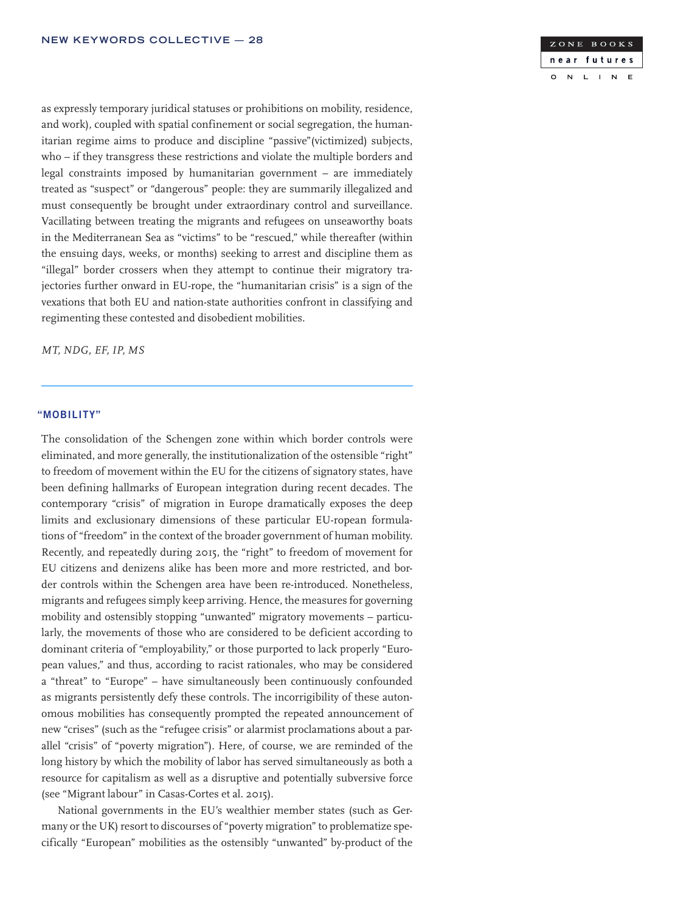

as expressly temporary juridical statuses or prohibitions on mobility, residence, and work), coupled with spatial confinement or social segregation, the humanitarian regime aims to produce and discipline "passive"(victimized) subjects, who – if they transgress these restrictions and violate the multiple borders and legal constraints imposed by humanitarian government – are immediately treated as "suspect" or "dangerous" people: they are summarily illegalized and must consequently be brought under extraordinary control and surveillance. Vacillating between treating the migrants and refugees on unseaworthy boats in the Mediterranean Sea as "victims" to be "rescued," while thereafter (within the ensuing days, weeks, or months) seeking to arrest and discipline them as "illegal" border crossers when they attempt to continue their migratory trajectories further onward in EU-rope, the "humanitarian crisis" is a sign of the vexations that both EU and nation-state authorities confront in classifying and regimenting these contested and disobedient mobilities.

*MT, NDG, EF, IP, MS*

### "MOBILITY"

The consolidation of the Schengen zone within which border controls were eliminated, and more generally, the institutionalization of the ostensible "right" to freedom of movement within the EU for the citizens of signatory states, have been defining hallmarks of European integration during recent decades. The contemporary "crisis" of migration in Europe dramatically exposes the deep limits and exclusionary dimensions of these particular EU-ropean formulations of "freedom" in the context of the broader government of human mobility. Recently, and repeatedly during 2015, the "right" to freedom of movement for EU citizens and denizens alike has been more and more restricted, and border controls within the Schengen area have been re-introduced. Nonetheless, migrants and refugees simply keep arriving. Hence, the measures for governing mobility and ostensibly stopping "unwanted" migratory movements – particularly, the movements of those who are considered to be deficient according to dominant criteria of "employability," or those purported to lack properly "European values," and thus, according to racist rationales, who may be considered a "threat" to "Europe" – have simultaneously been continuously confounded as migrants persistently defy these controls. The incorrigibility of these autonomous mobilities has consequently prompted the repeated announcement of new "crises" (such as the "refugee crisis" or alarmist proclamations about a parallel "crisis" of "poverty migration"). Here, of course, we are reminded of the long history by which the mobility of labor has served simultaneously as both a resource for capitalism as well as a disruptive and potentially subversive force (see "Migrant labour" in Casas-Cortes et al. 2015).

National governments in the EU's wealthier member states (such as Germany or the UK) resort to discourses of "poverty migration" to problematize specifically "European" mobilities as the ostensibly "unwanted" by-product of the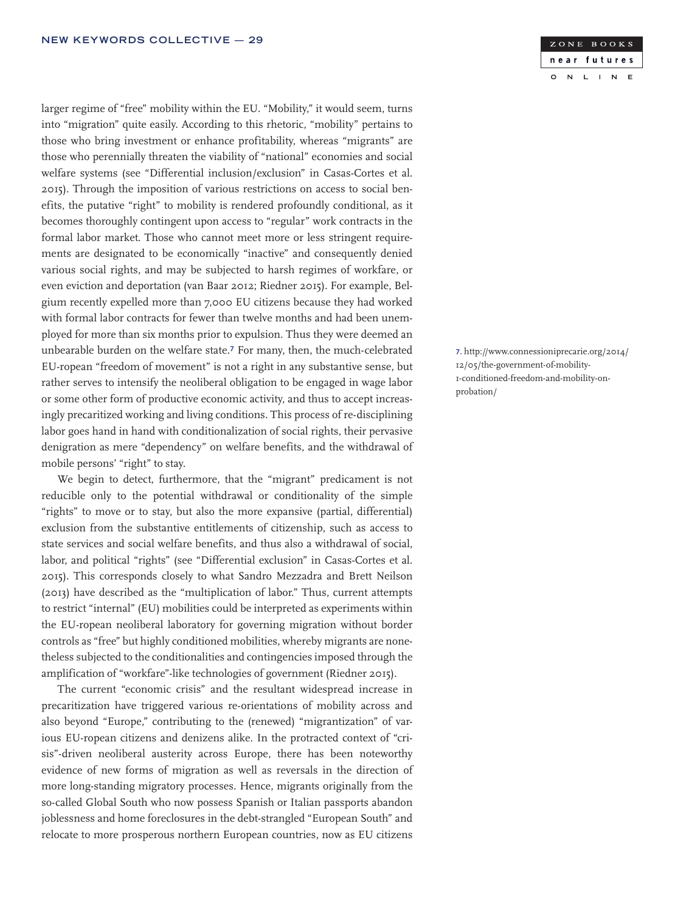larger regime of "free" mobility within the EU. "Mobility," it would seem, turns into "migration" quite easily. According to this rhetoric, "mobility" pertains to those who bring investment or enhance profitability, whereas "migrants" are those who perennially threaten the viability of "national" economies and social welfare systems (see "Differential inclusion/exclusion" in Casas-Cortes et al. 2015). Through the imposition of various restrictions on access to social benefits, the putative "right" to mobility is rendered profoundly conditional, as it becomes thoroughly contingent upon access to "regular" work contracts in the formal labor market. Those who cannot meet more or less stringent requirements are designated to be economically "inactive" and consequently denied various social rights, and may be subjected to harsh regimes of workfare, or even eviction and deportation (van Baar 2012; Riedner 2015). For example, Belgium recently expelled more than 7,000 EU citizens because they had worked with formal labor contracts for fewer than twelve months and had been unemployed for more than six months prior to expulsion. Thus they were deemed an unbearable burden on the welfare state.7 For many, then, the much-celebrated EU-ropean "freedom of movement" is not a right in any substantive sense, but rather serves to intensify the neoliberal obligation to be engaged in wage labor or some other form of productive economic activity, and thus to accept increasingly precaritized working and living conditions. This process of re-disciplining labor goes hand in hand with conditionalization of social rights, their pervasive denigration as mere "dependency" on welfare benefits, and the withdrawal of mobile persons' "right" to stay.

We begin to detect, furthermore, that the "migrant" predicament is not reducible only to the potential withdrawal or conditionality of the simple "rights" to move or to stay, but also the more expansive (partial, differential) exclusion from the substantive entitlements of citizenship, such as access to state services and social welfare benefits, and thus also a withdrawal of social, labor, and political "rights" (see "Differential exclusion" in Casas-Cortes et al. 2015). This corresponds closely to what Sandro Mezzadra and Brett Neilson (2013) have described as the "multiplication of labor." Thus, current attempts to restrict "internal" (EU) mobilities could be interpreted as experiments within the EU-ropean neoliberal laboratory for governing migration without border controls as "free" but highly conditioned mobilities, whereby migrants are nonetheless subjected to the conditionalities and contingencies imposed through the amplification of "workfare"-like technologies of government (Riedner 2015).

The current "economic crisis" and the resultant widespread increase in precaritization have triggered various re-orientations of mobility across and also beyond "Europe," contributing to the (renewed) "migrantization" of various EU-ropean citizens and denizens alike. In the protracted context of "crisis"-driven neoliberal austerity across Europe, there has been noteworthy evidence of new forms of migration as well as reversals in the direction of more long-standing migratory processes. Hence, migrants originally from the so-called Global South who now possess Spanish or Italian passports abandon joblessness and home foreclosures in the debt-strangled "European South" and relocate to more prosperous northern European countries, now as EU citizens

#### ZONE BOOKS near futures  $\overline{N}$  $\mathbf{L}$  $\overline{N}$  $E$  $\circ$  $\mathbf{I}$

7. http://www.connessioniprecarie.org/2014/ 12/05/the-government-of-mobility-1-conditioned-freedom-and-mobility-onprobation/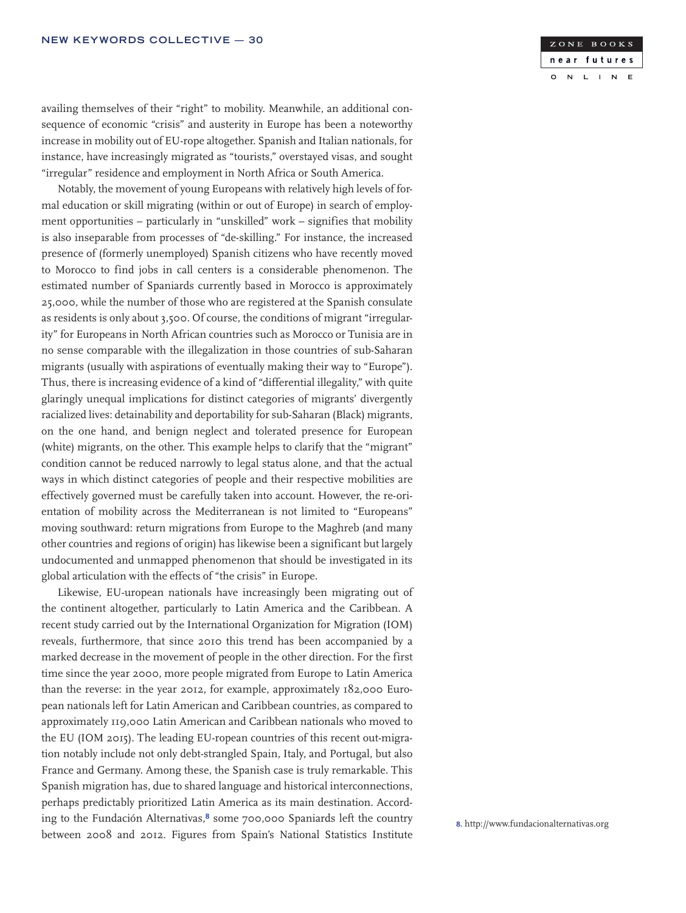

availing themselves of their "right" to mobility. Meanwhile, an additional consequence of economic "crisis" and austerity in Europe has been a noteworthy increase in mobility out of EU-rope altogether. Spanish and Italian nationals, for instance, have increasingly migrated as "tourists," overstayed visas, and sought "irregular" residence and employment in North Africa or South America.

Notably, the movement of young Europeans with relatively high levels of formal education or skill migrating (within or out of Europe) in search of employment opportunities – particularly in "unskilled" work – signifies that mobility is also inseparable from processes of "de-skilling." For instance, the increased presence of (formerly unemployed) Spanish citizens who have recently moved to Morocco to find jobs in call centers is a considerable phenomenon. The estimated number of Spaniards currently based in Morocco is approximately 25,000, while the number of those who are registered at the Spanish consulate as residents is only about 3,500. Of course, the conditions of migrant "irregularity" for Europeans in North African countries such as Morocco or Tunisia are in no sense comparable with the illegalization in those countries of sub-Saharan migrants (usually with aspirations of eventually making their way to "Europe"). Thus, there is increasing evidence of a kind of "differential illegality," with quite glaringly unequal implications for distinct categories of migrants' divergently racialized lives: detainability and deportability for sub-Saharan (Black) migrants, on the one hand, and benign neglect and tolerated presence for European (white) migrants, on the other. This example helps to clarify that the "migrant" condition cannot be reduced narrowly to legal status alone, and that the actual ways in which distinct categories of people and their respective mobilities are effectively governed must be carefully taken into account. However, the re-orientation of mobility across the Mediterranean is not limited to "Europeans" moving southward: return migrations from Europe to the Maghreb (and many other countries and regions of origin) has likewise been a significant but largely undocumented and unmapped phenomenon that should be investigated in its global articulation with the effects of "the crisis" in Europe.

Likewise, EU-uropean nationals have increasingly been migrating out of the continent altogether, particularly to Latin America and the Caribbean. A recent study carried out by the International Organization for Migration (IOM) reveals, furthermore, that since 2010 this trend has been accompanied by a marked decrease in the movement of people in the other direction. For the first time since the year 2000, more people migrated from Europe to Latin America than the reverse: in the year 2012, for example, approximately 182,000 European nationals left for Latin American and Caribbean countries, as compared to approximately 119,000 Latin American and Caribbean nationals who moved to the EU (IOM 2015). The leading EU-ropean countries of this recent out-migration notably include not only debt-strangled Spain, Italy, and Portugal, but also France and Germany. Among these, the Spanish case is truly remarkable. This Spanish migration has, due to shared language and historical interconnections, perhaps predictably prioritized Latin America as its main destination. According to the Fundación Alternativas,<sup>8</sup> some 700,000 Spaniards left the country between 2008 and 2012. Figures from Spain's National Statistics Institute 8. http://www.fundacionalternativas.org<br>between 2008 and 2012. Figures from Spain's National Statistics Institute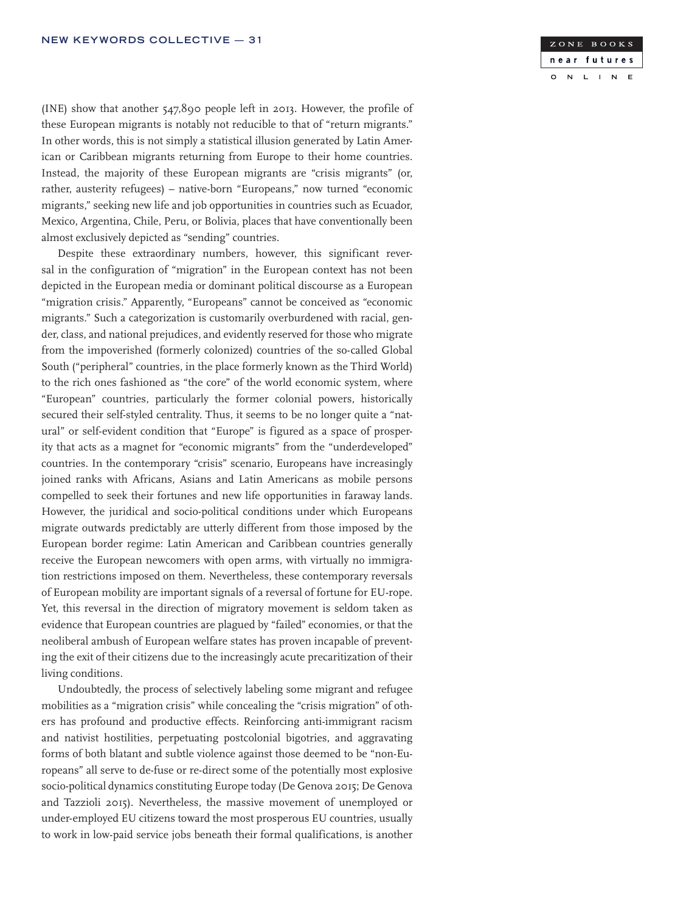

(INE) show that another 547,890 people left in 2013. However, the profile of these European migrants is notably not reducible to that of "return migrants." In other words, this is not simply a statistical illusion generated by Latin American or Caribbean migrants returning from Europe to their home countries. Instead, the majority of these European migrants are "crisis migrants" (or, rather, austerity refugees) – native-born "Europeans," now turned "economic migrants," seeking new life and job opportunities in countries such as Ecuador, Mexico, Argentina, Chile, Peru, or Bolivia, places that have conventionally been almost exclusively depicted as "sending" countries.

Despite these extraordinary numbers, however, this significant reversal in the configuration of "migration" in the European context has not been depicted in the European media or dominant political discourse as a European "migration crisis." Apparently, "Europeans" cannot be conceived as "economic migrants." Such a categorization is customarily overburdened with racial, gender, class, and national prejudices, and evidently reserved for those who migrate from the impoverished (formerly colonized) countries of the so-called Global South ("peripheral" countries, in the place formerly known as the Third World) to the rich ones fashioned as "the core" of the world economic system, where "European" countries, particularly the former colonial powers, historically secured their self-styled centrality. Thus, it seems to be no longer quite a "natural" or self-evident condition that "Europe" is figured as a space of prosperity that acts as a magnet for "economic migrants" from the "underdeveloped" countries. In the contemporary "crisis" scenario, Europeans have increasingly joined ranks with Africans, Asians and Latin Americans as mobile persons compelled to seek their fortunes and new life opportunities in faraway lands. However, the juridical and socio-political conditions under which Europeans migrate outwards predictably are utterly different from those imposed by the European border regime: Latin American and Caribbean countries generally receive the European newcomers with open arms, with virtually no immigration restrictions imposed on them. Nevertheless, these contemporary reversals of European mobility are important signals of a reversal of fortune for EU-rope. Yet, this reversal in the direction of migratory movement is seldom taken as evidence that European countries are plagued by "failed" economies, or that the neoliberal ambush of European welfare states has proven incapable of preventing the exit of their citizens due to the increasingly acute precaritization of their living conditions.

Undoubtedly, the process of selectively labeling some migrant and refugee mobilities as a "migration crisis" while concealing the "crisis migration" of others has profound and productive effects. Reinforcing anti-immigrant racism and nativist hostilities, perpetuating postcolonial bigotries, and aggravating forms of both blatant and subtle violence against those deemed to be "non-Europeans" all serve to de-fuse or re-direct some of the potentially most explosive socio-political dynamics constituting Europe today (De Genova 2015; De Genova and Tazzioli 2015). Nevertheless, the massive movement of unemployed or under-employed EU citizens toward the most prosperous EU countries, usually to work in low-paid service jobs beneath their formal qualifications, is another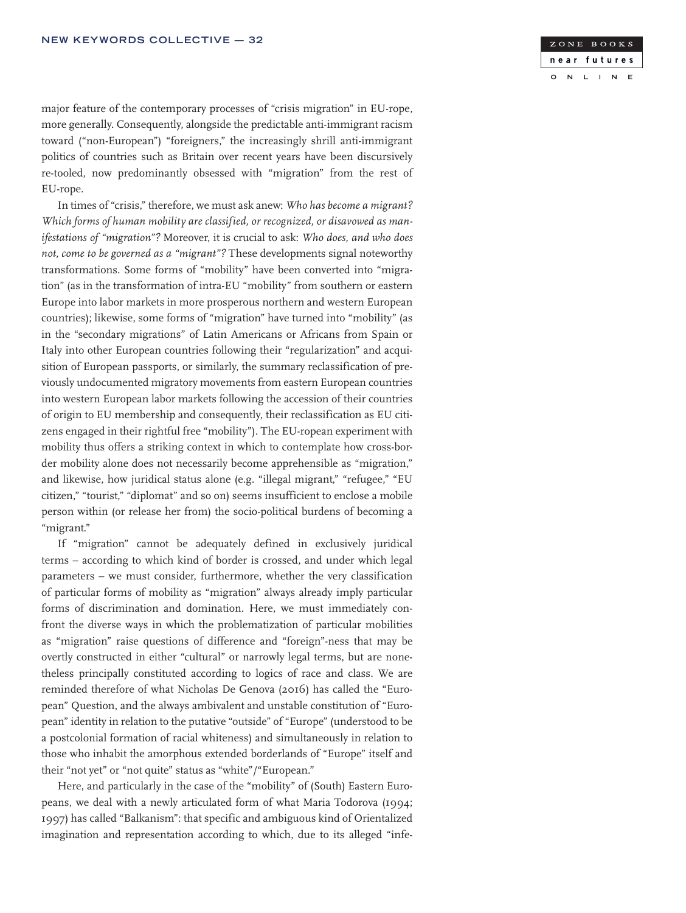

major feature of the contemporary processes of "crisis migration" in EU-rope, more generally. Consequently, alongside the predictable anti-immigrant racism toward ("non-European") "foreigners," the increasingly shrill anti-immigrant politics of countries such as Britain over recent years have been discursively re-tooled, now predominantly obsessed with "migration" from the rest of EU-rope.

In times of "crisis," therefore, we must ask anew: *Who has become a migrant? Which forms of human mobility are classified, or recognized, or disavowed as manifestations of "migration"?* Moreover, it is crucial to ask: *Who does, and who does not, come to be governed as a "migrant"?* These developments signal noteworthy transformations. Some forms of "mobility" have been converted into "migration" (as in the transformation of intra-EU "mobility" from southern or eastern Europe into labor markets in more prosperous northern and western European countries); likewise, some forms of "migration" have turned into "mobility" (as in the "secondary migrations" of Latin Americans or Africans from Spain or Italy into other European countries following their "regularization" and acquisition of European passports, or similarly, the summary reclassification of previously undocumented migratory movements from eastern European countries into western European labor markets following the accession of their countries of origin to EU membership and consequently, their reclassification as EU citizens engaged in their rightful free "mobility"). The EU-ropean experiment with mobility thus offers a striking context in which to contemplate how cross-border mobility alone does not necessarily become apprehensible as "migration," and likewise, how juridical status alone (e.g. "illegal migrant," "refugee," "EU citizen," "tourist," "diplomat" and so on) seems insufficient to enclose a mobile person within (or release her from) the socio-political burdens of becoming a "migrant."

If "migration" cannot be adequately defined in exclusively juridical terms – according to which kind of border is crossed, and under which legal parameters – we must consider, furthermore, whether the very classification of particular forms of mobility as "migration" always already imply particular forms of discrimination and domination. Here, we must immediately confront the diverse ways in which the problematization of particular mobilities as "migration" raise questions of difference and "foreign"-ness that may be overtly constructed in either "cultural" or narrowly legal terms, but are nonetheless principally constituted according to logics of race and class. We are reminded therefore of what Nicholas De Genova (2016) has called the "European" Question, and the always ambivalent and unstable constitution of "European" identity in relation to the putative "outside" of "Europe" (understood to be a postcolonial formation of racial whiteness) and simultaneously in relation to those who inhabit the amorphous extended borderlands of "Europe" itself and their "not yet" or "not quite" status as "white"/"European."

Here, and particularly in the case of the "mobility" of (South) Eastern Europeans, we deal with a newly articulated form of what Maria Todorova (1994; 1997) has called "Balkanism": that specific and ambiguous kind of Orientalized imagination and representation according to which, due to its alleged "infe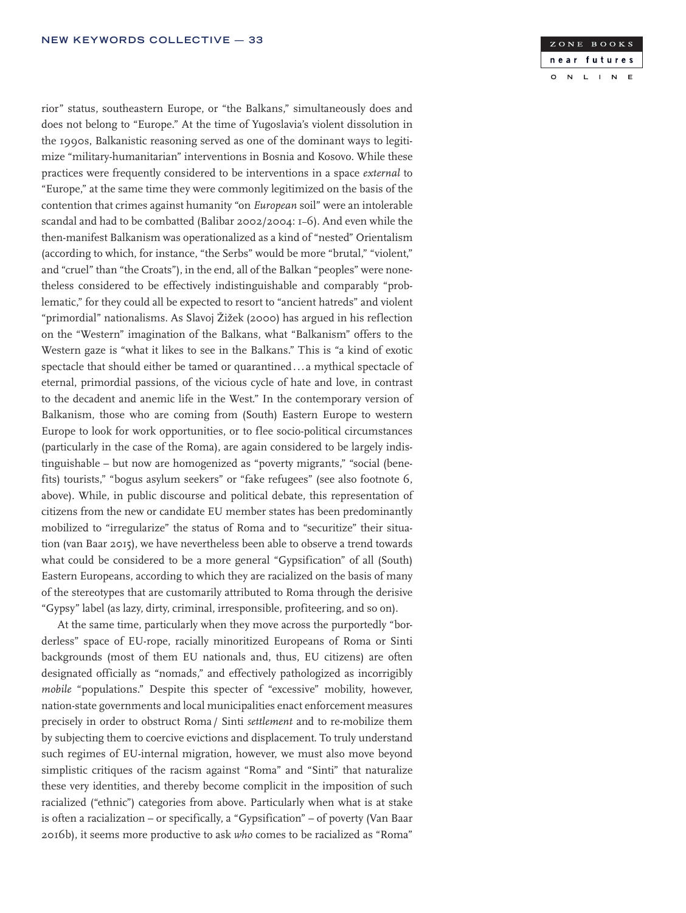rior" status, southeastern Europe, or "the Balkans," simultaneously does and does not belong to "Europe." At the time of Yugoslavia's violent dissolution in the 1990s, Balkanistic reasoning served as one of the dominant ways to legitimize "military-humanitarian" interventions in Bosnia and Kosovo. While these practices were frequently considered to be interventions in a space *external* to "Europe," at the same time they were commonly legitimized on the basis of the contention that crimes against humanity "on *European* soil" were an intolerable scandal and had to be combatted (Balibar 2002/2004: 1–6). And even while the then-manifest Balkanism was operationalized as a kind of "nested" Orientalism (according to which, for instance, "the Serbs" would be more "brutal," "violent," and "cruel" than "the Croats"), in the end, all of the Balkan "peoples" were nonetheless considered to be effectively indistinguishable and comparably "problematic," for they could all be expected to resort to "ancient hatreds" and violent "primordial" nationalisms. As Slavoj Žižek (2000) has argued in his reflection on the "Western" imagination of the Balkans, what "Balkanism" offers to the Western gaze is "what it likes to see in the Balkans." This is "a kind of exotic spectacle that should either be tamed or quarantined... a mythical spectacle of eternal, primordial passions, of the vicious cycle of hate and love, in contrast to the decadent and anemic life in the West." In the contemporary version of Balkanism, those who are coming from (South) Eastern Europe to western Europe to look for work opportunities, or to flee socio-political circumstances (particularly in the case of the Roma), are again considered to be largely indistinguishable – but now are homogenized as "poverty migrants," "social (benefits) tourists," "bogus asylum seekers" or "fake refugees" (see also footnote 6, above). While, in public discourse and political debate, this representation of citizens from the new or candidate EU member states has been predominantly mobilized to "irregularize" the status of Roma and to "securitize" their situation (van Baar 2015), we have nevertheless been able to observe a trend towards what could be considered to be a more general "Gypsification" of all (South) Eastern Europeans, according to which they are racialized on the basis of many of the stereotypes that are customarily attributed to Roma through the derisive "Gypsy" label (as lazy, dirty, criminal, irresponsible, profiteering, and so on).

At the same time, particularly when they move across the purportedly "borderless" space of EU-rope, racially minoritized Europeans of Roma or Sinti backgrounds (most of them EU nationals and, thus, EU citizens) are often designated officially as "nomads," and effectively pathologized as incorrigibly *mobile* "populations." Despite this specter of "excessive" mobility, however, nation-state governments and local municipalities enact enforcement measures precisely in order to obstruct Roma / Sinti *settlement* and to re-mobilize them by subjecting them to coercive evictions and displacement. To truly understand such regimes of EU-internal migration, however, we must also move beyond simplistic critiques of the racism against "Roma" and "Sinti" that naturalize these very identities, and thereby become complicit in the imposition of such racialized ("ethnic") categories from above. Particularly when what is at stake is often a racialization – or specifically, a "Gypsification" – of poverty (Van Baar 2016b), it seems more productive to ask *who* comes to be racialized as "Roma"

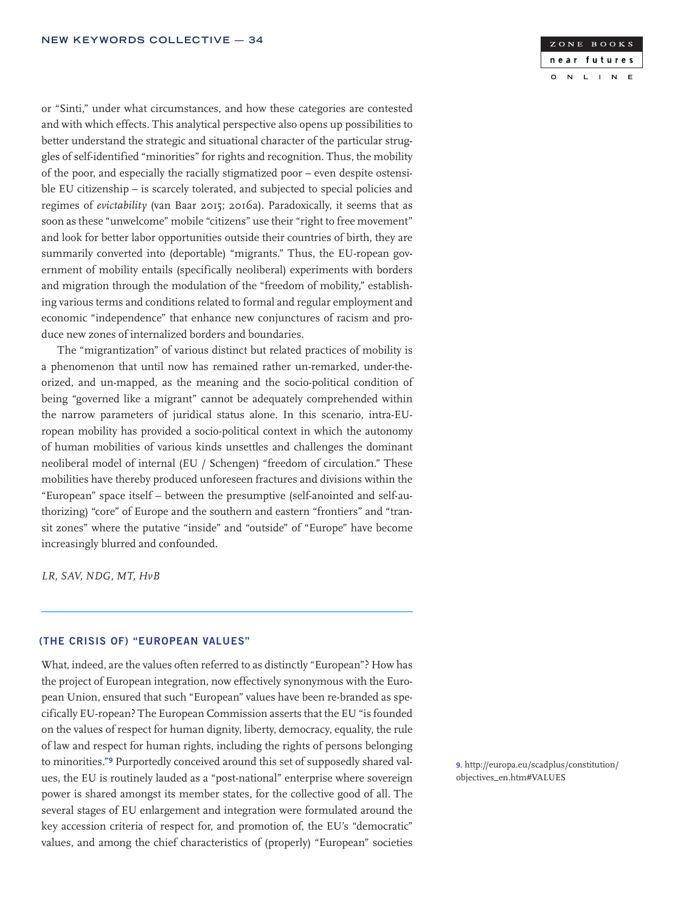ZONE BOOKS near futures  $\overline{N}$  $\mathbf{L}$  $\overline{\mathsf{N}}$  $\mathbf{E}$  $\circ$  $\mathbf{I}$ 

or "Sinti," under what circumstances, and how these categories are contested and with which effects. This analytical perspective also opens up possibilities to better understand the strategic and situational character of the particular struggles of self-identified "minorities" for rights and recognition. Thus, the mobility of the poor, and especially the racially stigmatized poor – even despite ostensible EU citizenship – is scarcely tolerated, and subjected to special policies and regimes of *evictability* (van Baar 2015; 2016a). Paradoxically, it seems that as soon as these "unwelcome" mobile "citizens" use their "right to free movement" and look for better labor opportunities outside their countries of birth, they are summarily converted into (deportable) "migrants." Thus, the EU-ropean government of mobility entails (specifically neoliberal) experiments with borders and migration through the modulation of the "freedom of mobility," establishing various terms and conditions related to formal and regular employment and economic "independence" that enhance new conjunctures of racism and produce new zones of internalized borders and boundaries.

The "migrantization" of various distinct but related practices of mobility is a phenomenon that until now has remained rather un-remarked, under-theorized, and un-mapped, as the meaning and the socio-political condition of being "governed like a migrant" cannot be adequately comprehended within the narrow parameters of juridical status alone. In this scenario, intra-EUropean mobility has provided a socio-political context in which the autonomy of human mobilities of various kinds unsettles and challenges the dominant neoliberal model of internal (EU / Schengen) "freedom of circulation." These mobilities have thereby produced unforeseen fractures and divisions within the "European" space itself – between the presumptive (self-anointed and self-authorizing) "core" of Europe and the southern and eastern "frontiers" and "transit zones" where the putative "inside" and "outside" of "Europe" have become increasingly blurred and confounded.

*LR, SAV, NDG, MT, HvB*

### (THE CRISIS OF) "EUROPEAN VALUES"

What, indeed, are the values often referred to as distinctly "European"? How has the project of European integration, now effectively synonymous with the European Union, ensured that such "European" values have been re-branded as specifically EU-ropean? The European Commission asserts that the EU "is founded on the values of respect for human dignity, liberty, democracy, equality, the rule of law and respect for human rights, including the rights of persons belonging to minorities."9 Purportedly conceived around this set of supposedly shared values, the EU is routinely lauded as a "post-national" enterprise where sovereign power is shared amongst its member states, for the collective good of all. The several stages of EU enlargement and integration were formulated around the key accession criteria of respect for, and promotion of, the EU's "democratic" values, and among the chief characteristics of (properly) "European" societies

9. http://europa.eu/scadplus/constitution/ objectives\_en.htm#VALUES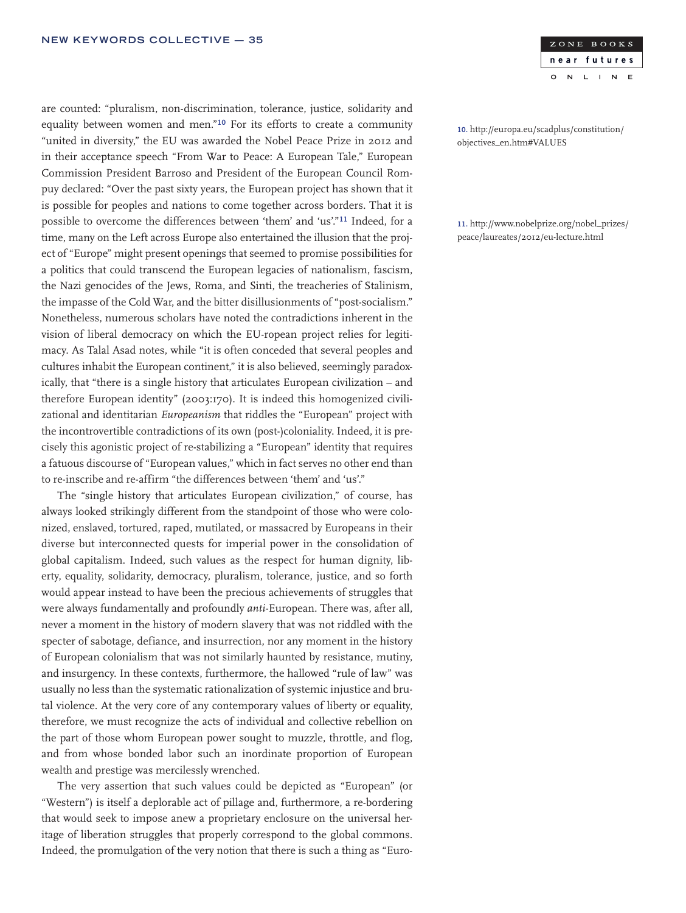are counted: "pluralism, non-discrimination, tolerance, justice, solidarity and equality between women and men."10 For its efforts to create a community "united in diversity," the EU was awarded the Nobel Peace Prize in 2012 and in their acceptance speech "From War to Peace: A European Tale," European Commission President Barroso and President of the European Council Rompuy declared: "Over the past sixty years, the European project has shown that it is possible for peoples and nations to come together across borders. That it is possible to overcome the differences between 'them' and 'us'."11 Indeed, for a time, many on the Left across Europe also entertained the illusion that the project of "Europe" might present openings that seemed to promise possibilities for a politics that could transcend the European legacies of nationalism, fascism, the Nazi genocides of the Jews, Roma, and Sinti, the treacheries of Stalinism, the impasse of the Cold War, and the bitter disillusionments of "post-socialism." Nonetheless, numerous scholars have noted the contradictions inherent in the vision of liberal democracy on which the EU-ropean project relies for legitimacy. As Talal Asad notes, while "it is often conceded that several peoples and cultures inhabit the European continent," it is also believed, seemingly paradoxically, that "there is a single history that articulates European civilization – and therefore European identity" (2003:170). It is indeed this homogenized civilizational and identitarian *Europeanism* that riddles the "European" project with the incontrovertible contradictions of its own (post-)coloniality. Indeed, it is precisely this agonistic project of re-stabilizing a "European" identity that requires a fatuous discourse of "European values," which in fact serves no other end than to re-inscribe and re-affirm "the differences between 'them' and 'us'."

The "single history that articulates European civilization," of course, has always looked strikingly different from the standpoint of those who were colonized, enslaved, tortured, raped, mutilated, or massacred by Europeans in their diverse but interconnected quests for imperial power in the consolidation of global capitalism. Indeed, such values as the respect for human dignity, liberty, equality, solidarity, democracy, pluralism, tolerance, justice, and so forth would appear instead to have been the precious achievements of struggles that were always fundamentally and profoundly *anti*-European. There was, after all, never a moment in the history of modern slavery that was not riddled with the specter of sabotage, defiance, and insurrection, nor any moment in the history of European colonialism that was not similarly haunted by resistance, mutiny, and insurgency. In these contexts, furthermore, the hallowed "rule of law" was usually no less than the systematic rationalization of systemic injustice and brutal violence. At the very core of any contemporary values of liberty or equality, therefore, we must recognize the acts of individual and collective rebellion on the part of those whom European power sought to muzzle, throttle, and flog, and from whose bonded labor such an inordinate proportion of European wealth and prestige was mercilessly wrenched.

The very assertion that such values could be depicted as "European" (or "Western") is itself a deplorable act of pillage and, furthermore, a re-bordering that would seek to impose anew a proprietary enclosure on the universal heritage of liberation struggles that properly correspond to the global commons. Indeed, the promulgation of the very notion that there is such a thing as "Euro-



10. http://europa.eu/scadplus/constitution/ objectives\_en.htm#VALUES

11. http://www.nobelprize.org/nobel\_prizes/ peace/laureates/2012/eu-lecture.html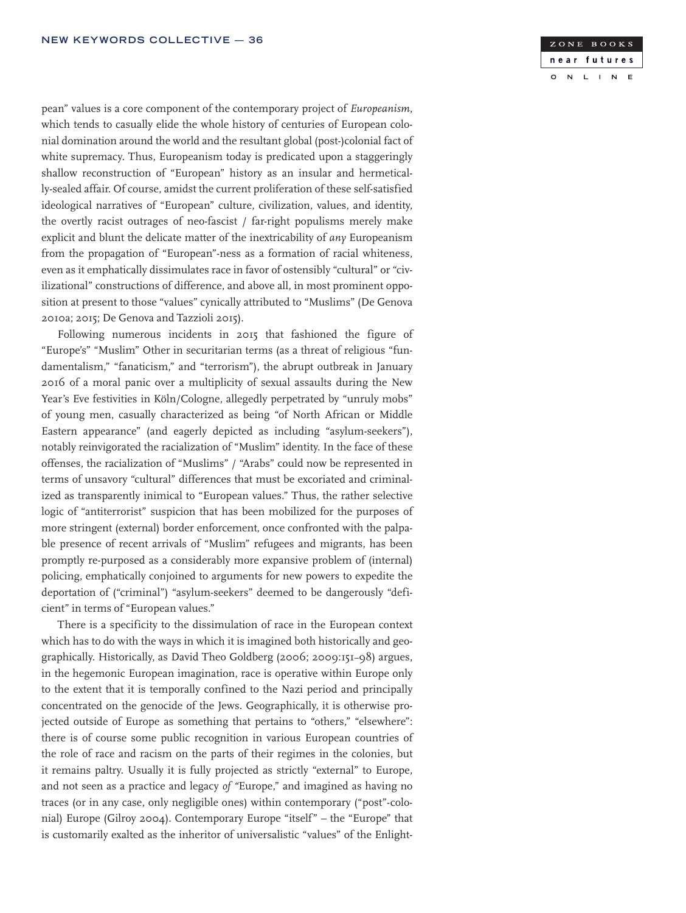pean" values is a core component of the contemporary project of *Europeanism*, which tends to casually elide the whole history of centuries of European colonial domination around the world and the resultant global (post-)colonial fact of white supremacy. Thus, Europeanism today is predicated upon a staggeringly shallow reconstruction of "European" history as an insular and hermetically-sealed affair. Of course, amidst the current proliferation of these self-satisfied ideological narratives of "European" culture, civilization, values, and identity, the overtly racist outrages of neo-fascist / far-right populisms merely make explicit and blunt the delicate matter of the inextricability of *any* Europeanism from the propagation of "European"-ness as a formation of racial whiteness, even as it emphatically dissimulates race in favor of ostensibly "cultural" or "civilizational" constructions of difference, and above all, in most prominent opposition at present to those "values" cynically attributed to "Muslims" (De Genova 2010a; 2015; De Genova and Tazzioli 2015).

Following numerous incidents in 2015 that fashioned the figure of "Europe's" "Muslim" Other in securitarian terms (as a threat of religious "fundamentalism," "fanaticism," and "terrorism"), the abrupt outbreak in January 2016 of a moral panic over a multiplicity of sexual assaults during the New Year's Eve festivities in Köln/Cologne, allegedly perpetrated by "unruly mobs" of young men, casually characterized as being "of North African or Middle Eastern appearance" (and eagerly depicted as including "asylum-seekers"), notably reinvigorated the racialization of "Muslim" identity. In the face of these offenses, the racialization of "Muslims" / "Arabs" could now be represented in terms of unsavory "cultural" differences that must be excoriated and criminalized as transparently inimical to "European values." Thus, the rather selective logic of "antiterrorist" suspicion that has been mobilized for the purposes of more stringent (external) border enforcement, once confronted with the palpable presence of recent arrivals of "Muslim" refugees and migrants, has been promptly re-purposed as a considerably more expansive problem of (internal) policing, emphatically conjoined to arguments for new powers to expedite the deportation of ("criminal") "asylum-seekers" deemed to be dangerously "deficient" in terms of "European values."

There is a specificity to the dissimulation of race in the European context which has to do with the ways in which it is imagined both historically and geographically. Historically, as David Theo Goldberg (2006; 2009:151–98) argues, in the hegemonic European imagination, race is operative within Europe only to the extent that it is temporally confined to the Nazi period and principally concentrated on the genocide of the Jews. Geographically, it is otherwise projected outside of Europe as something that pertains to "others," "elsewhere": there is of course some public recognition in various European countries of the role of race and racism on the parts of their regimes in the colonies, but it remains paltry. Usually it is fully projected as strictly "external" to Europe, and not seen as a practice and legacy *of "*Europe," and imagined as having no traces (or in any case, only negligible ones) within contemporary ("post"-colonial) Europe (Gilroy 2004). Contemporary Europe "itself" – the "Europe" that is customarily exalted as the inheritor of universalistic "values" of the Enlight-

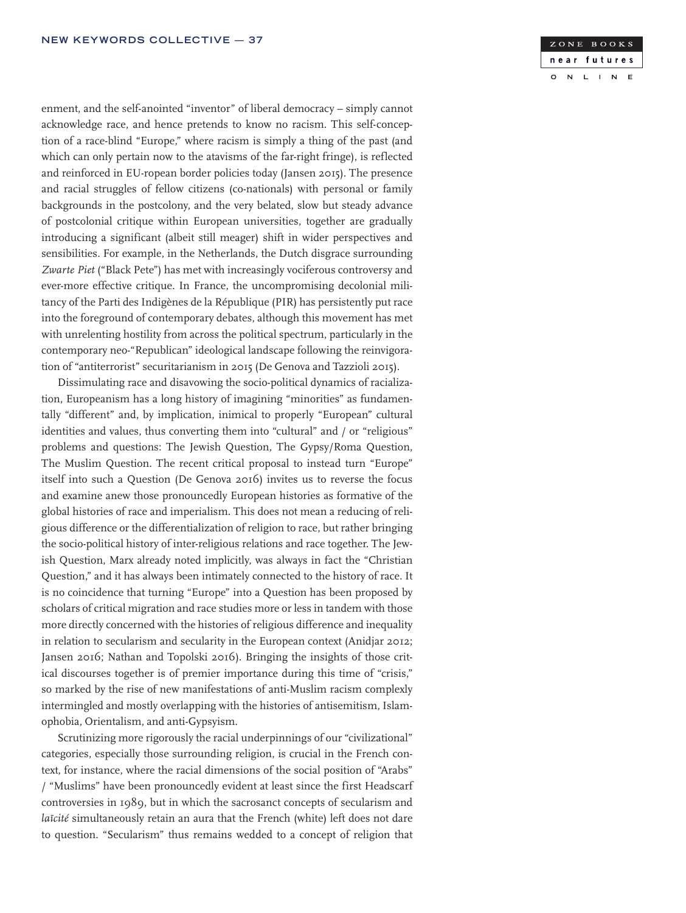enment, and the self-anointed "inventor" of liberal democracy – simply cannot acknowledge race, and hence pretends to know no racism. This self-conception of a race-blind "Europe," where racism is simply a thing of the past (and which can only pertain now to the atavisms of the far-right fringe), is reflected and reinforced in EU-ropean border policies today (Jansen 2015). The presence and racial struggles of fellow citizens (co-nationals) with personal or family backgrounds in the postcolony, and the very belated, slow but steady advance of postcolonial critique within European universities, together are gradually introducing a significant (albeit still meager) shift in wider perspectives and sensibilities. For example, in the Netherlands, the Dutch disgrace surrounding *Zwarte Piet* ("Black Pete") has met with increasingly vociferous controversy and ever-more effective critique. In France, the uncompromising decolonial militancy of the Parti des Indigènes de la République (PIR) has persistently put race into the foreground of contemporary debates, although this movement has met with unrelenting hostility from across the political spectrum, particularly in the contemporary neo-"Republican" ideological landscape following the reinvigoration of "antiterrorist" securitarianism in 2015 (De Genova and Tazzioli 2015).

Dissimulating race and disavowing the socio-political dynamics of racialization, Europeanism has a long history of imagining "minorities" as fundamentally "different" and, by implication, inimical to properly "European" cultural identities and values, thus converting them into "cultural" and / or "religious" problems and questions: The Jewish Question, The Gypsy/Roma Question, The Muslim Question. The recent critical proposal to instead turn "Europe" itself into such a Question (De Genova 2016) invites us to reverse the focus and examine anew those pronouncedly European histories as formative of the global histories of race and imperialism. This does not mean a reducing of religious difference or the differentialization of religion to race, but rather bringing the socio-political history of inter-religious relations and race together. The Jewish Question, Marx already noted implicitly, was always in fact the "Christian Question," and it has always been intimately connected to the history of race. It is no coincidence that turning "Europe" into a Question has been proposed by scholars of critical migration and race studies more or less in tandem with those more directly concerned with the histories of religious difference and inequality in relation to secularism and secularity in the European context (Anidjar 2012; Jansen 2016; Nathan and Topolski 2016). Bringing the insights of those critical discourses together is of premier importance during this time of "crisis," so marked by the rise of new manifestations of anti-Muslim racism complexly intermingled and mostly overlapping with the histories of antisemitism, Islamophobia, Orientalism, and anti-Gypsyism.

Scrutinizing more rigorously the racial underpinnings of our "civilizational" categories, especially those surrounding religion, is crucial in the French context, for instance, where the racial dimensions of the social position of "Arabs" / "Muslims" have been pronouncedly evident at least since the first Headscarf controversies in 1989, but in which the sacrosanct concepts of secularism and *laïcité* simultaneously retain an aura that the French (white) left does not dare to question. "Secularism" thus remains wedded to a concept of religion that

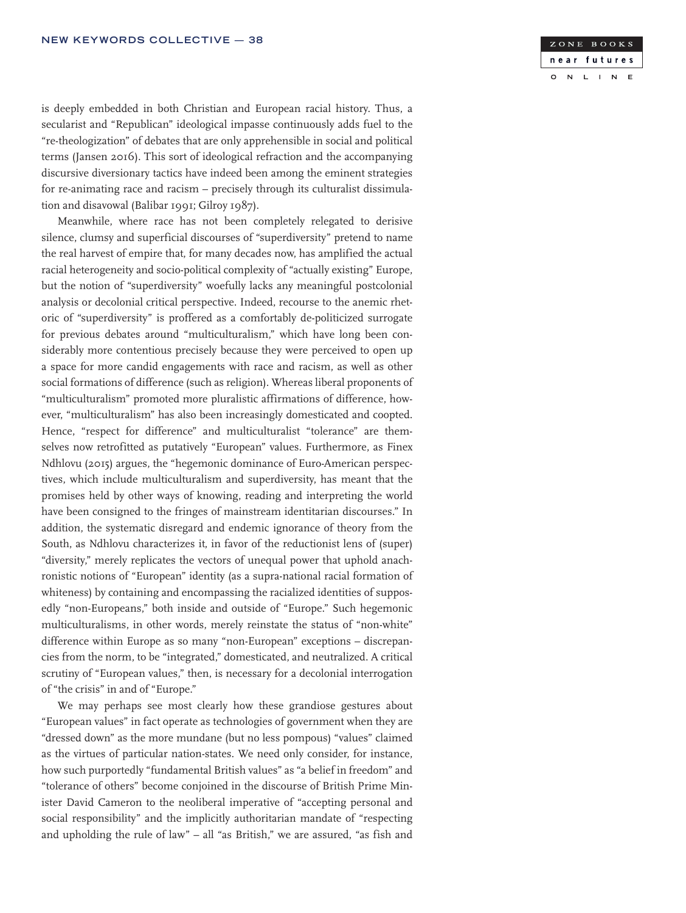

is deeply embedded in both Christian and European racial history. Thus, a secularist and "Republican" ideological impasse continuously adds fuel to the "re-theologization" of debates that are only apprehensible in social and political terms (Jansen 2016). This sort of ideological refraction and the accompanying discursive diversionary tactics have indeed been among the eminent strategies for re-animating race and racism – precisely through its culturalist dissimulation and disavowal (Balibar 1991; Gilroy 1987).

Meanwhile, where race has not been completely relegated to derisive silence, clumsy and superficial discourses of "superdiversity" pretend to name the real harvest of empire that, for many decades now, has amplified the actual racial heterogeneity and socio-political complexity of "actually existing" Europe, but the notion of "superdiversity" woefully lacks any meaningful postcolonial analysis or decolonial critical perspective. Indeed, recourse to the anemic rhetoric of "superdiversity" is proffered as a comfortably de-politicized surrogate for previous debates around "multiculturalism," which have long been considerably more contentious precisely because they were perceived to open up a space for more candid engagements with race and racism, as well as other social formations of difference (such as religion). Whereas liberal proponents of "multiculturalism" promoted more pluralistic affirmations of difference, however, "multiculturalism" has also been increasingly domesticated and coopted. Hence, "respect for difference" and multiculturalist "tolerance" are themselves now retrofitted as putatively "European" values. Furthermore, as Finex Ndhlovu (2015) argues, the "hegemonic dominance of Euro-American perspectives, which include multiculturalism and superdiversity, has meant that the promises held by other ways of knowing, reading and interpreting the world have been consigned to the fringes of mainstream identitarian discourses." In addition, the systematic disregard and endemic ignorance of theory from the South, as Ndhlovu characterizes it, in favor of the reductionist lens of (super) "diversity," merely replicates the vectors of unequal power that uphold anachronistic notions of "European" identity (as a supra-national racial formation of whiteness) by containing and encompassing the racialized identities of supposedly "non-Europeans," both inside and outside of "Europe." Such hegemonic multiculturalisms, in other words, merely reinstate the status of "non-white" difference within Europe as so many "non-European" exceptions – discrepancies from the norm, to be "integrated," domesticated, and neutralized. A critical scrutiny of "European values," then, is necessary for a decolonial interrogation of "the crisis" in and of "Europe."

We may perhaps see most clearly how these grandiose gestures about "European values" in fact operate as technologies of government when they are "dressed down" as the more mundane (but no less pompous) "values" claimed as the virtues of particular nation-states. We need only consider, for instance, how such purportedly "fundamental British values" as "a belief in freedom" and "tolerance of others" become conjoined in the discourse of British Prime Minister David Cameron to the neoliberal imperative of "accepting personal and social responsibility" and the implicitly authoritarian mandate of "respecting and upholding the rule of law" – all "as British," we are assured, "as fish and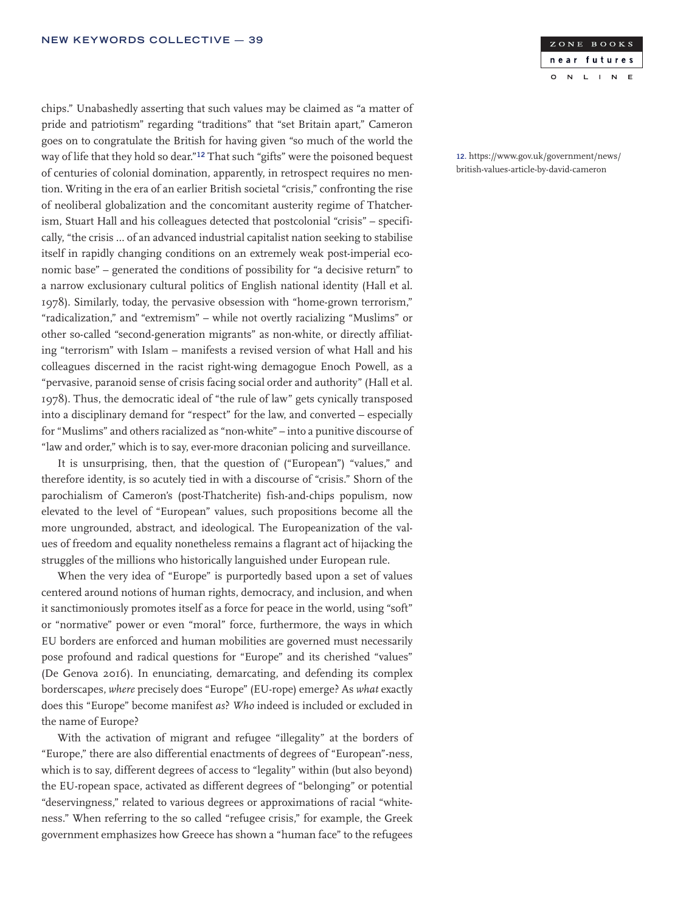chips." Unabashedly asserting that such values may be claimed as "a matter of pride and patriotism" regarding "traditions" that "set Britain apart," Cameron goes on to congratulate the British for having given "so much of the world the way of life that they hold so dear."12 That such "gifts" were the poisoned bequest of centuries of colonial domination, apparently, in retrospect requires no mention. Writing in the era of an earlier British societal "crisis," confronting the rise of neoliberal globalization and the concomitant austerity regime of Thatcherism, Stuart Hall and his colleagues detected that postcolonial "crisis" – specifically, "the crisis … of an advanced industrial capitalist nation seeking to stabilise itself in rapidly changing conditions on an extremely weak post-imperial economic base" – generated the conditions of possibility for "a decisive return" to a narrow exclusionary cultural politics of English national identity (Hall et al. 1978). Similarly, today, the pervasive obsession with "home-grown terrorism," "radicalization," and "extremism" – while not overtly racializing "Muslims" or other so-called "second-generation migrants" as non-white, or directly affiliating "terrorism" with Islam – manifests a revised version of what Hall and his colleagues discerned in the racist right-wing demagogue Enoch Powell, as a "pervasive, paranoid sense of crisis facing social order and authority" (Hall et al. 1978). Thus, the democratic ideal of "the rule of law" gets cynically transposed into a disciplinary demand for "respect" for the law, and converted – especially for "Muslims" and others racialized as "non-white" – into a punitive discourse of "law and order," which is to say, ever-more draconian policing and surveillance.

It is unsurprising, then, that the question of ("European") "values," and therefore identity, is so acutely tied in with a discourse of "crisis." Shorn of the parochialism of Cameron's (post-Thatcherite) fish-and-chips populism, now elevated to the level of "European" values, such propositions become all the more ungrounded, abstract, and ideological. The Europeanization of the values of freedom and equality nonetheless remains a flagrant act of hijacking the struggles of the millions who historically languished under European rule.

When the very idea of "Europe" is purportedly based upon a set of values centered around notions of human rights, democracy, and inclusion, and when it sanctimoniously promotes itself as a force for peace in the world, using "soft" or "normative" power or even "moral" force, furthermore, the ways in which EU borders are enforced and human mobilities are governed must necessarily pose profound and radical questions for "Europe" and its cherished "values" (De Genova 2016). In enunciating, demarcating, and defending its complex borderscapes, *where* precisely does "Europe" (EU-rope) emerge? As *what* exactly does this "Europe" become manifest *as*? *Who* indeed is included or excluded in the name of Europe?

With the activation of migrant and refugee "illegality" at the borders of "Europe," there are also differential enactments of degrees of "European"-ness, which is to say, different degrees of access to "legality" within (but also beyond) the EU-ropean space, activated as different degrees of "belonging" or potential "deservingness," related to various degrees or approximations of racial "whiteness." When referring to the so called "refugee crisis," for example, the Greek government emphasizes how Greece has shown a "human face" to the refugees



12. https://www.gov.uk/government/news/ british-values-article-by-david-cameron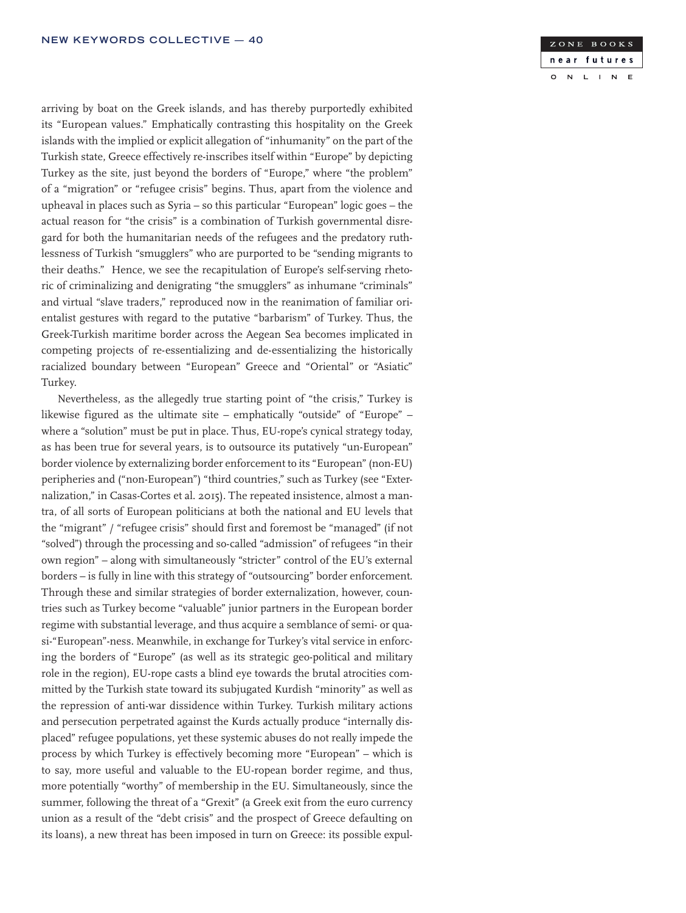arriving by boat on the Greek islands, and has thereby purportedly exhibited its "European values." Emphatically contrasting this hospitality on the Greek islands with the implied or explicit allegation of "inhumanity" on the part of the Turkish state, Greece effectively re-inscribes itself within "Europe" by depicting Turkey as the site, just beyond the borders of "Europe," where "the problem" of a "migration" or "refugee crisis" begins. Thus, apart from the violence and upheaval in places such as Syria – so this particular "European" logic goes – the actual reason for "the crisis" is a combination of Turkish governmental disregard for both the humanitarian needs of the refugees and the predatory ruthlessness of Turkish "smugglers" who are purported to be "sending migrants to their deaths." Hence, we see the recapitulation of Europe's self-serving rhetoric of criminalizing and denigrating "the smugglers" as inhumane "criminals" and virtual "slave traders," reproduced now in the reanimation of familiar orientalist gestures with regard to the putative "barbarism" of Turkey. Thus, the Greek-Turkish maritime border across the Aegean Sea becomes implicated in competing projects of re-essentializing and de-essentializing the historically racialized boundary between "European" Greece and "Oriental" or "Asiatic" Turkey.

Nevertheless, as the allegedly true starting point of "the crisis," Turkey is likewise figured as the ultimate site – emphatically "outside" of "Europe" – where a "solution" must be put in place. Thus, EU-rope's cynical strategy today, as has been true for several years, is to outsource its putatively "un-European" border violence by externalizing border enforcement to its "European" (non-EU) peripheries and ("non-European") "third countries," such as Turkey (see "Externalization," in Casas-Cortes et al. 2015). The repeated insistence, almost a mantra, of all sorts of European politicians at both the national and EU levels that the "migrant" / "refugee crisis" should first and foremost be "managed" (if not "solved") through the processing and so-called "admission" of refugees "in their own region" – along with simultaneously "stricter" control of the EU's external borders – is fully in line with this strategy of "outsourcing" border enforcement. Through these and similar strategies of border externalization, however, countries such as Turkey become "valuable" junior partners in the European border regime with substantial leverage, and thus acquire a semblance of semi- or quasi-"European"-ness. Meanwhile, in exchange for Turkey's vital service in enforcing the borders of "Europe" (as well as its strategic geo-political and military role in the region), EU-rope casts a blind eye towards the brutal atrocities committed by the Turkish state toward its subjugated Kurdish "minority" as well as the repression of anti-war dissidence within Turkey. Turkish military actions and persecution perpetrated against the Kurds actually produce "internally displaced" refugee populations, yet these systemic abuses do not really impede the process by which Turkey is effectively becoming more "European" – which is to say, more useful and valuable to the EU-ropean border regime, and thus, more potentially "worthy" of membership in the EU. Simultaneously, since the summer, following the threat of a "Grexit" (a Greek exit from the euro currency union as a result of the "debt crisis" and the prospect of Greece defaulting on its loans), a new threat has been imposed in turn on Greece: its possible expul-

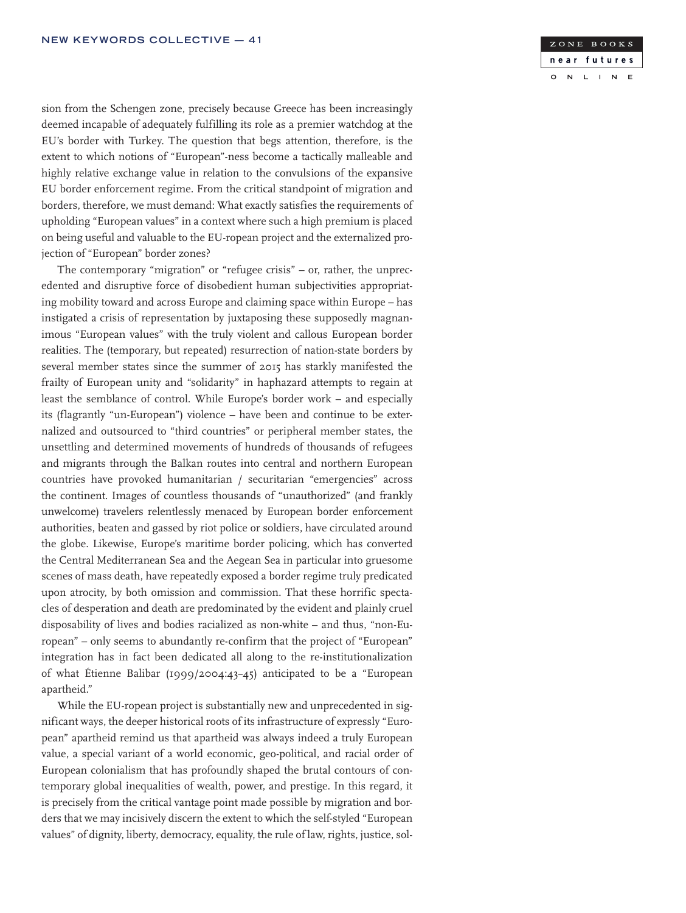

sion from the Schengen zone, precisely because Greece has been increasingly deemed incapable of adequately fulfilling its role as a premier watchdog at the EU's border with Turkey. The question that begs attention, therefore, is the extent to which notions of "European"-ness become a tactically malleable and highly relative exchange value in relation to the convulsions of the expansive EU border enforcement regime. From the critical standpoint of migration and borders, therefore, we must demand: What exactly satisfies the requirements of upholding "European values" in a context where such a high premium is placed on being useful and valuable to the EU-ropean project and the externalized projection of "European" border zones?

The contemporary "migration" or "refugee crisis" – or, rather, the unprecedented and disruptive force of disobedient human subjectivities appropriating mobility toward and across Europe and claiming space within Europe – has instigated a crisis of representation by juxtaposing these supposedly magnanimous "European values" with the truly violent and callous European border realities. The (temporary, but repeated) resurrection of nation-state borders by several member states since the summer of 2015 has starkly manifested the frailty of European unity and "solidarity" in haphazard attempts to regain at least the semblance of control. While Europe's border work – and especially its (flagrantly "un-European") violence – have been and continue to be externalized and outsourced to "third countries" or peripheral member states, the unsettling and determined movements of hundreds of thousands of refugees and migrants through the Balkan routes into central and northern European countries have provoked humanitarian / securitarian "emergencies" across the continent. Images of countless thousands of "unauthorized" (and frankly unwelcome) travelers relentlessly menaced by European border enforcement authorities, beaten and gassed by riot police or soldiers, have circulated around the globe. Likewise, Europe's maritime border policing, which has converted the Central Mediterranean Sea and the Aegean Sea in particular into gruesome scenes of mass death, have repeatedly exposed a border regime truly predicated upon atrocity, by both omission and commission. That these horrific spectacles of desperation and death are predominated by the evident and plainly cruel disposability of lives and bodies racialized as non-white – and thus, "non-European" – only seems to abundantly re-confirm that the project of "European" integration has in fact been dedicated all along to the re-institutionalization of what Étienne Balibar (1999/2004:43–45) anticipated to be a "European apartheid."

While the EU-ropean project is substantially new and unprecedented in significant ways, the deeper historical roots of its infrastructure of expressly "European" apartheid remind us that apartheid was always indeed a truly European value, a special variant of a world economic, geo-political, and racial order of European colonialism that has profoundly shaped the brutal contours of contemporary global inequalities of wealth, power, and prestige. In this regard, it is precisely from the critical vantage point made possible by migration and borders that we may incisively discern the extent to which the self-styled "European values" of dignity, liberty, democracy, equality, the rule of law, rights, justice, sol-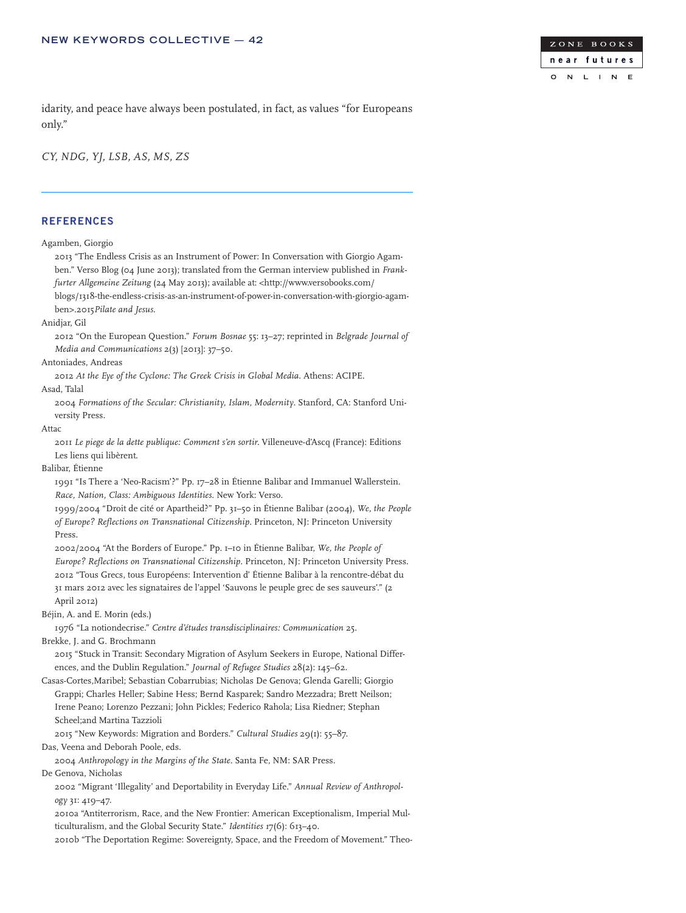

idarity, and peace have always been postulated, in fact, as values "for Europeans only."

*CY, NDG, YJ, LSB, AS, MS, ZS*

### **REFERENCES**

Agamben, Giorgio 2013 "The Endless Crisis as an Instrument of Power: In Conversation with Giorgio Agamben." Verso Blog (04 June 2013); translated from the German interview published in *Frankfurter Allgemeine Zeitung* (24 May 2013); available at: <http://www.versobooks.com/ blogs/1318-the-endless-crisis-as-an-instrument-of-power-in-conversation-with-giorgio-agamben>.2015*Pilate and Jesus*. Anidjar, Gil 2012 "On the European Question." *Forum Bosnae* 55: 13–27; reprinted in *Belgrade Journal of Media and Communications* 2(3) [2013]: 37–50. Antoniades, Andreas 2012 *At the Eye of the Cyclone: The Greek Crisis in Global Media*. Athens: ACIPE. Asad, Talal 2004 *Formations of the Secular: Christianity, Islam, Modernity*. Stanford, CA: Stanford University Press. Attac 2011 *Le piege de la dette publique: Comment s'en sortir.* Villeneuve-d'Ascq (France): Editions Les liens qui libèrent. Balibar, Étienne 1991 "Is There a 'Neo-Racism'?" Pp. 17–28 in Étienne Balibar and Immanuel Wallerstein. *Race, Nation, Class: Ambiguous Identities*. New York: Verso. 1999/2004 "Droit de cité or Apartheid?" Pp. 31–50 in Étienne Balibar (2004), *We, the People of Europe? Reflections on Transnational Citizenship*. Princeton, NJ: Princeton University Press. 2002/2004 "At the Borders of Europe." Pp. 1–10 in Étienne Balibar, *We, the People of Europe? Reflections on Transnational Citizenship*. Princeton, NJ: Princeton University Press. 2012 "Tous Grecs, tous Européens: Intervention d' Étienne Balibar à la rencontre-débat du 31 mars 2012 avec les signataires de l'appel 'Sauvons le peuple grec de ses sauveurs'." (2 April 2012) Béjin, A. and E. Morin (eds.) 1976 "La notiondecrise." *Centre d'études transdisciplinaires: Communication* 25. Brekke, J. and G. Brochmann 2015 "Stuck in Transit: Secondary Migration of Asylum Seekers in Europe, National Differences, and the Dublin Regulation." *Journal of Refugee Studies* 28(2): 145–62. Casas-Cortes,Maribel; Sebastian Cobarrubias; Nicholas De Genova; Glenda Garelli; Giorgio Grappi; Charles Heller; Sabine Hess; Bernd Kasparek; Sandro Mezzadra; Brett Neilson; Irene Peano; Lorenzo Pezzani; John Pickles; Federico Rahola; Lisa Riedner; Stephan Scheel;and Martina Tazzioli 2015 "New Keywords: Migration and Borders." *Cultural Studies* 29(1): 55–87. Das, Veena and Deborah Poole, eds. 2004 *Anthropology in the Margins of the State*. Santa Fe, NM: SAR Press. De Genova, Nicholas 2002 "Migrant 'Illegality' and Deportability in Everyday Life." *Annual Review of Anthropology* 31: 419–47. 2010a "Antiterrorism, Race, and the New Frontier: American Exceptionalism, Imperial Multiculturalism, and the Global Security State." *Identities 1*7(6): 613–40.

2010b "The Deportation Regime: Sovereignty, Space, and the Freedom of Movement." Theo-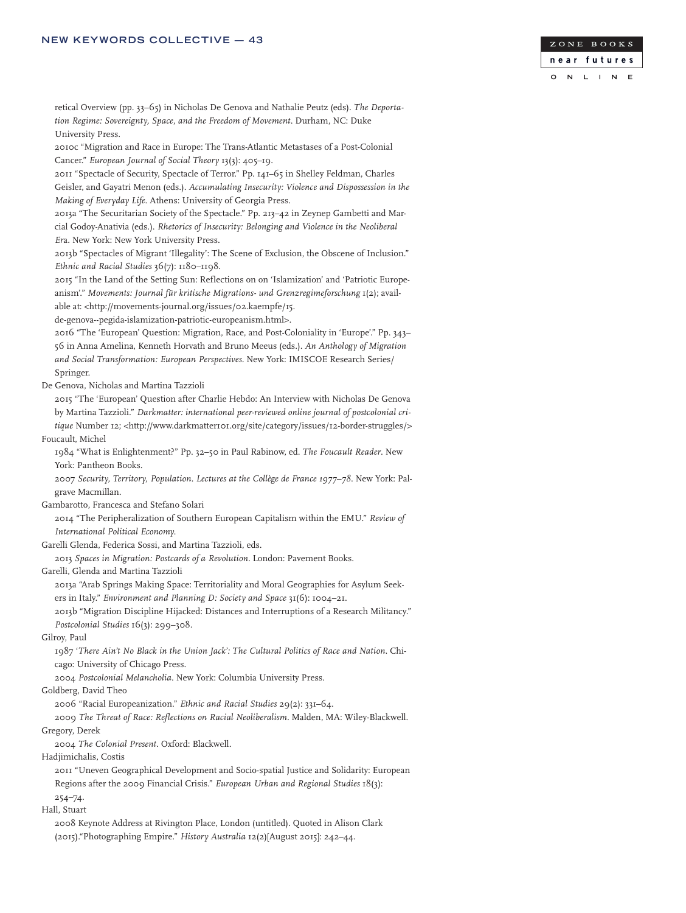

retical Overview (pp. 33–65) in Nicholas De Genova and Nathalie Peutz (eds). *The Deportation Regime: Sovereignty, Space, and the Freedom of Movement*. Durham, NC: Duke University Press.

2010c "Migration and Race in Europe: The Trans-Atlantic Metastases of a Post-Colonial Cancer." *European Journal of Social Theory* 13(3): 405–19.

2011 "Spectacle of Security, Spectacle of Terror." Pp. 141–65 in Shelley Feldman, Charles Geisler, and Gayatri Menon (eds.). *Accumulating Insecurity: Violence and Dispossession in the Making of Everyday Life*. Athens: University of Georgia Press.

2013a "The Securitarian Society of the Spectacle." Pp. 213–42 in Zeynep Gambetti and Marcial Godoy-Anativia (eds.). *Rhetorics of Insecurity: Belonging and Violence in the Neoliberal Er*a. New York: New York University Press.

2013b "Spectacles of Migrant 'Illegality': The Scene of Exclusion, the Obscene of Inclusion." *Ethnic and Racial Studies* 36(7): 1180–1198.

2015 "In the Land of the Setting Sun: Reflections on on 'Islamization' and 'Patriotic Europeanism'." *Movements: Journal für kritische Migrations- und Grenzregimeforschung* 1(2); available at: <http://movements-journal.org/issues/02.kaempfe/15.

de-genova--pegida-islamization-patriotic-europeanism.html>.

2016 "The 'European' Question: Migration, Race, and Post-Coloniality in 'Europe'." Pp. 343– 56 in Anna Amelina, Kenneth Horvath and Bruno Meeus (eds.). *An Anthology of Migration and Social Transformation: European Perspectives*. New York: IMISCOE Research Series/ Springer.

De Genova, Nicholas and Martina Tazzioli

2015 "The 'European' Question after Charlie Hebdo: An Interview with Nicholas De Genova by Martina Tazzioli." *Darkmatter: international peer-reviewed online journal of postcolonial critique* Number 12; <http://www.darkmatter101.org/site/category/issues/12-border-struggles/> Foucault, Michel

1984 "What is Enlightenment?" Pp. 32–50 in Paul Rabinow, ed. *The Foucault Reader*. New York: Pantheon Books.

2007 *Security, Territory, Population. Lectures at the Collège de France 1977*–*78*. New York: Palgrave Macmillan.

### Gambarotto, Francesca and Stefano Solari

2014 "The Peripheralization of Southern European Capitalism within the EMU." *Review of International Political Economy.*

Garelli Glenda, Federica Sossi, and Martina Tazzioli, eds.

2013 *Spaces in Migration: Postcards of a Revolution*. London: Pavement Books.

Garelli, Glenda and Martina Tazzioli

2013a "Arab Springs Making Space: Territoriality and Moral Geographies for Asylum Seekers in Italy." *Environment and Planning D: Society and Space* 31(6): 1004–21.

2013b "Migration Discipline Hijacked: Distances and Interruptions of a Research Militancy."

*Postcolonial Studies* 16(3): 299–308.

Gilroy, Paul

1987 '*There Ain't No Black in the Union Jack': The Cultural Politics of Race and Nation*. Chi-

cago: University of Chicago Press.

2004 *Postcolonial Melancholia*. New York: Columbia University Press.

Goldberg, David Theo

2006 "Racial Europeanization." *Ethnic and Racial Studies* 29(2): 331–64.

2009 *The Threat of Race: Reflections on Racial Neoliberalism*. Malden, MA: Wiley-Blackwell.

Gregory, Derek

2004 *The Colonial Present*. Oxford: Blackwell.

Hadjimichalis, Costis

2011 "Uneven Geographical Development and Socio-spatial Justice and Solidarity: European Regions after the 2009 Financial Crisis." *European Urban and Regional Studies* 18(3): 254–74.

Hall, Stuart

2008 Keynote Address at Rivington Place, London (untitled). Quoted in Alison Clark (2015)."Photographing Empire." *History Australia* 12(2)[August 2015]: 242–44.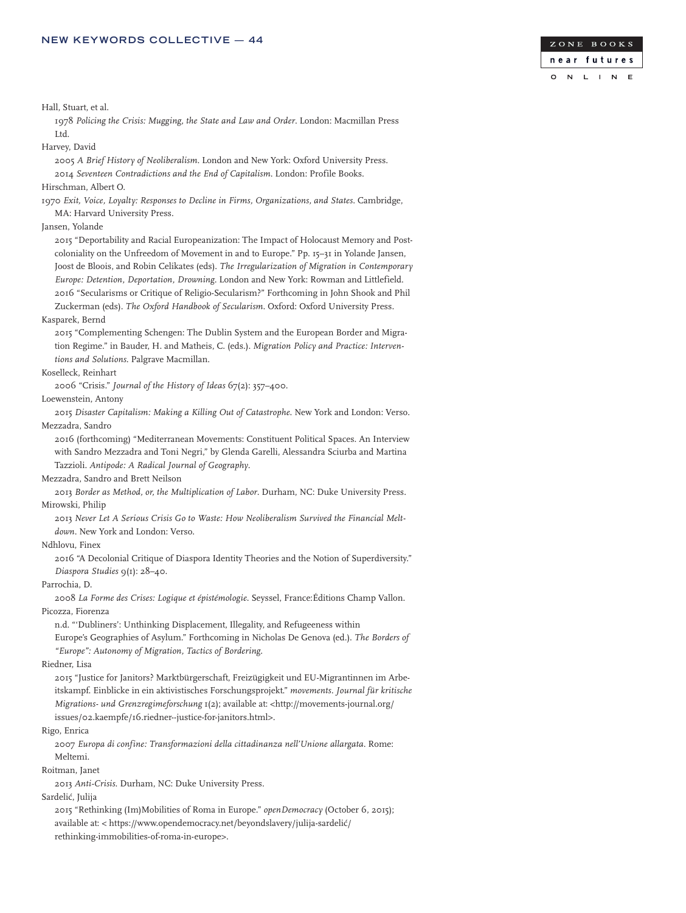

Hall, Stuart, et al.

1978 *Policing the Crisis: Mugging, the State and Law and Order*. London: Macmillan Press Ltd.

Harvey, David

2005 *A Brief History of Neoliberalism*. London and New York: Oxford University Press. 2014 *Seventeen Contradictions and the End of Capitalism*. London: Profile Books.

Hirschman, Albert O.

1970 *Exit, Voice, Loyalty: Responses to Decline in Firms, Organizations, and States*. Cambridge, MA: Harvard University Press.

Jansen, Yolande

2015 "Deportability and Racial Europeanization: The Impact of Holocaust Memory and Postcoloniality on the Unfreedom of Movement in and to Europe." Pp. 15–31 in Yolande Jansen, Joost de Bloois, and Robin Celikates (eds). *The Irregularization of Migration in Contemporary Europe: Detention, Deportation, Drowning*. London and New York: Rowman and Littlefield. 2016 "Secularisms or Critique of Religio-Secularism?" Forthcoming in John Shook and Phil Zuckerman (eds). *The Oxford Handbook of Secularism*. Oxford: Oxford University Press.

### Kasparek, Bernd

2015 "Complementing Schengen: The Dublin System and the European Border and Migration Regime." in Bauder, H. and Matheis, C. (eds.). *Migration Policy and Practice: Interventions and Solutions*. Palgrave Macmillan.

Koselleck, Reinhart

2006 "Crisis." *Journal of the History of Ideas* 67(2): 357–400.

Loewenstein, Antony

2015 *Disaster Capitalism: Making a Killing Out of Catastrophe*. New York and London: Verso. Mezzadra, Sandro

2016 (forthcoming) "Mediterranean Movements: Constituent Political Spaces. An Interview with Sandro Mezzadra and Toni Negri," by Glenda Garelli, Alessandra Sciurba and Martina Tazzioli. *Antipode: A Radical Journal of Geography*.

Mezzadra, Sandro and Brett Neilson

2013 *Border as Method, or, the Multiplication of Labor*. Durham, NC: Duke University Press. Mirowski, Philip

2013 *Never Let A Serious Crisis Go to Waste: How Neoliberalism Survived the Financial Meltdown*. New York and London: Verso.

Ndhlovu, Finex

2016 "A Decolonial Critique of Diaspora Identity Theories and the Notion of Superdiversity." *Diaspora Studies* 9(1): 28–40.

### Parrochia, D.

2008 *La Forme des Crises: Logique et épistémologie*. Seyssel, France:Éditions Champ Vallon. Picozza, Fiorenza

n.d. "'Dubliners': Unthinking Displacement, Illegality, and Refugeeness within Europe's Geographies of Asylum." Forthcoming in Nicholas De Genova (ed.). *The Borders of "Europe": Autonomy of Migration, Tactics of Bordering*.

### Riedner, Lisa

2015 "Justice for Janitors? Marktbürgerschaft, Freizügigkeit und EU-Migrantinnen im Arbeitskampf. Einblicke in ein aktivistisches Forschungsprojekt." *movements. Journal für kritische Migrations- und Grenzregimeforschung* 1(2); available at: <http://movements-journal.org/ issues/02.kaempfe/16.riedner--justice-for-janitors.html>.

### Rigo, Enrica

2007 *Europa di confine: Transformazioni della cittadinanza nell'Unione allargata*. Rome: Meltemi.

Roitman, Janet

2013 *Anti-Crisis*. Durham, NC: Duke University Press.

Sardelić, Julija

2015 "Rethinking (Im)Mobilities of Roma in Europe." *openDemocracy* (October 6, 2015); available at: < https://www.opendemocracy.net/beyondslavery/julija-sardelić/ rethinking-immobilities-of-roma-in-europe>.